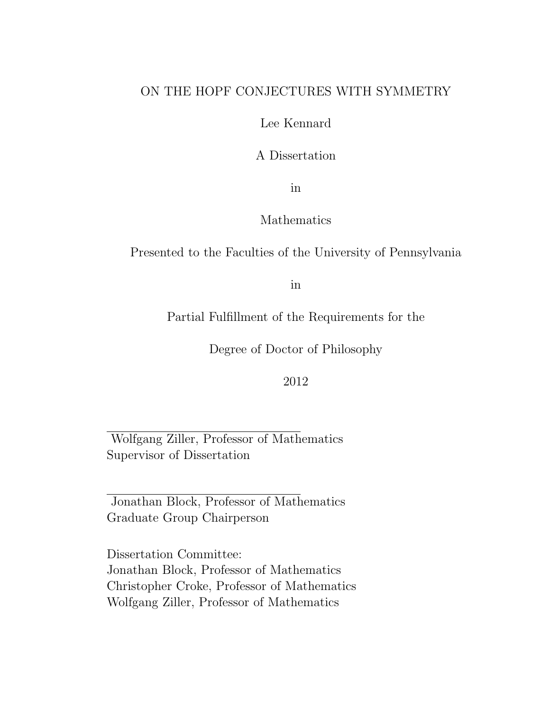#### ON THE HOPF CONJECTURES WITH SYMMETRY

Lee Kennard

A Dissertation

in

#### Mathematics

Presented to the Faculties of the University of Pennsylvania

in

Partial Fulfillment of the Requirements for the

Degree of Doctor of Philosophy

2012

Wolfgang Ziller, Professor of Mathematics Supervisor of Dissertation

Jonathan Block, Professor of Mathematics Graduate Group Chairperson

Dissertation Committee: Jonathan Block, Professor of Mathematics Christopher Croke, Professor of Mathematics Wolfgang Ziller, Professor of Mathematics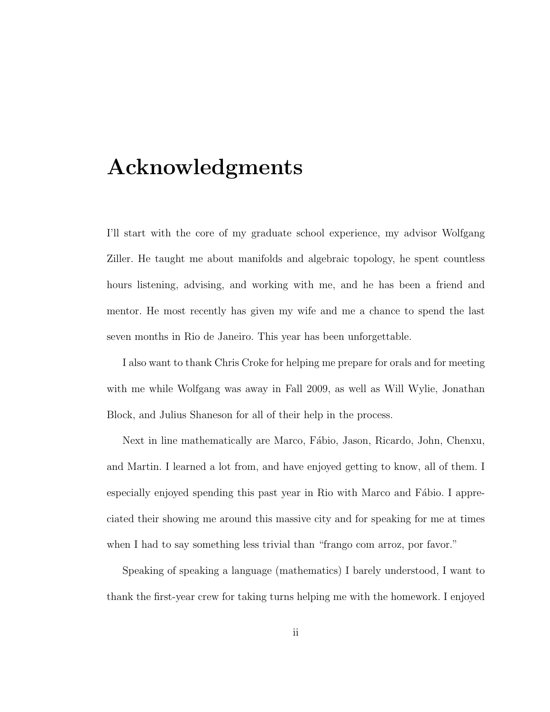### Acknowledgments

I'll start with the core of my graduate school experience, my advisor Wolfgang Ziller. He taught me about manifolds and algebraic topology, he spent countless hours listening, advising, and working with me, and he has been a friend and mentor. He most recently has given my wife and me a chance to spend the last seven months in Rio de Janeiro. This year has been unforgettable.

I also want to thank Chris Croke for helping me prepare for orals and for meeting with me while Wolfgang was away in Fall 2009, as well as Will Wylie, Jonathan Block, and Julius Shaneson for all of their help in the process.

Next in line mathematically are Marco, Fábio, Jason, Ricardo, John, Chenxu, and Martin. I learned a lot from, and have enjoyed getting to know, all of them. I especially enjoyed spending this past year in Rio with Marco and Fábio. I appreciated their showing me around this massive city and for speaking for me at times when I had to say something less trivial than "frango com arroz, por favor."

Speaking of speaking a language (mathematics) I barely understood, I want to thank the first-year crew for taking turns helping me with the homework. I enjoyed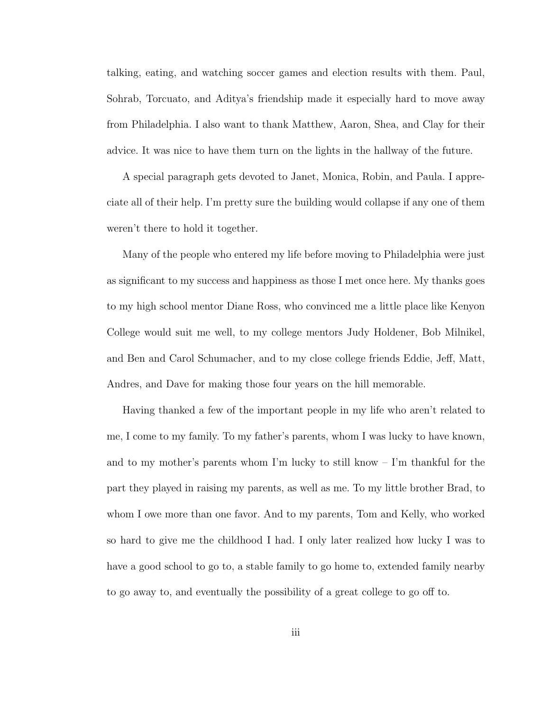talking, eating, and watching soccer games and election results with them. Paul, Sohrab, Torcuato, and Aditya's friendship made it especially hard to move away from Philadelphia. I also want to thank Matthew, Aaron, Shea, and Clay for their advice. It was nice to have them turn on the lights in the hallway of the future.

A special paragraph gets devoted to Janet, Monica, Robin, and Paula. I appreciate all of their help. I'm pretty sure the building would collapse if any one of them weren't there to hold it together.

Many of the people who entered my life before moving to Philadelphia were just as significant to my success and happiness as those I met once here. My thanks goes to my high school mentor Diane Ross, who convinced me a little place like Kenyon College would suit me well, to my college mentors Judy Holdener, Bob Milnikel, and Ben and Carol Schumacher, and to my close college friends Eddie, Jeff, Matt, Andres, and Dave for making those four years on the hill memorable.

Having thanked a few of the important people in my life who aren't related to me, I come to my family. To my father's parents, whom I was lucky to have known, and to my mother's parents whom I'm lucky to still know  $\overline{-}$  I'm thankful for the part they played in raising my parents, as well as me. To my little brother Brad, to whom I owe more than one favor. And to my parents, Tom and Kelly, who worked so hard to give me the childhood I had. I only later realized how lucky I was to have a good school to go to, a stable family to go home to, extended family nearby to go away to, and eventually the possibility of a great college to go off to.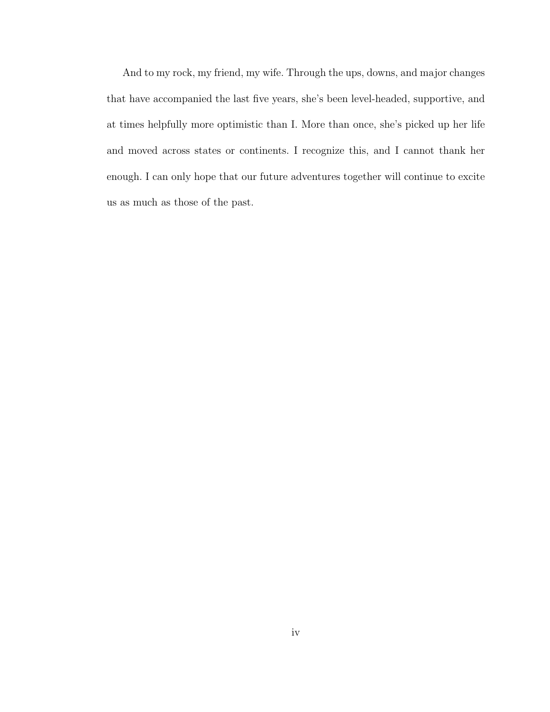And to my rock, my friend, my wife. Through the ups, downs, and major changes that have accompanied the last five years, she's been level-headed, supportive, and at times helpfully more optimistic than I. More than once, she's picked up her life and moved across states or continents. I recognize this, and I cannot thank her enough. I can only hope that our future adventures together will continue to excite us as much as those of the past.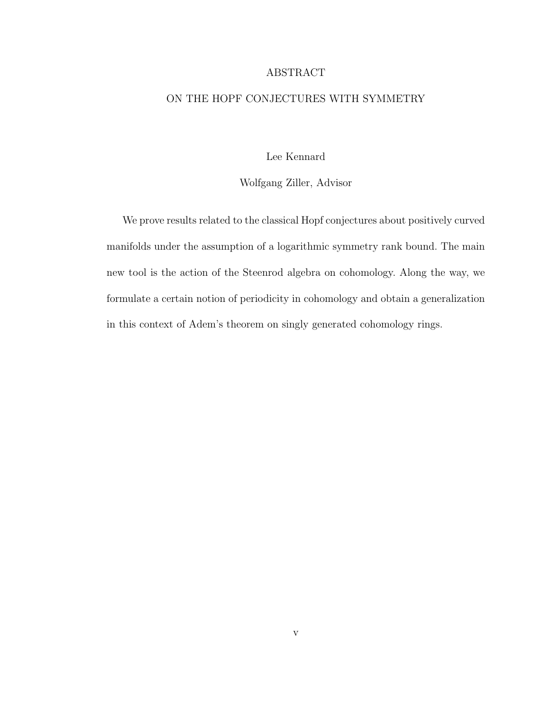#### ABSTRACT

#### ON THE HOPF CONJECTURES WITH SYMMETRY

Lee Kennard

Wolfgang Ziller, Advisor

We prove results related to the classical Hopf conjectures about positively curved manifolds under the assumption of a logarithmic symmetry rank bound. The main new tool is the action of the Steenrod algebra on cohomology. Along the way, we formulate a certain notion of periodicity in cohomology and obtain a generalization in this context of Adem's theorem on singly generated cohomology rings.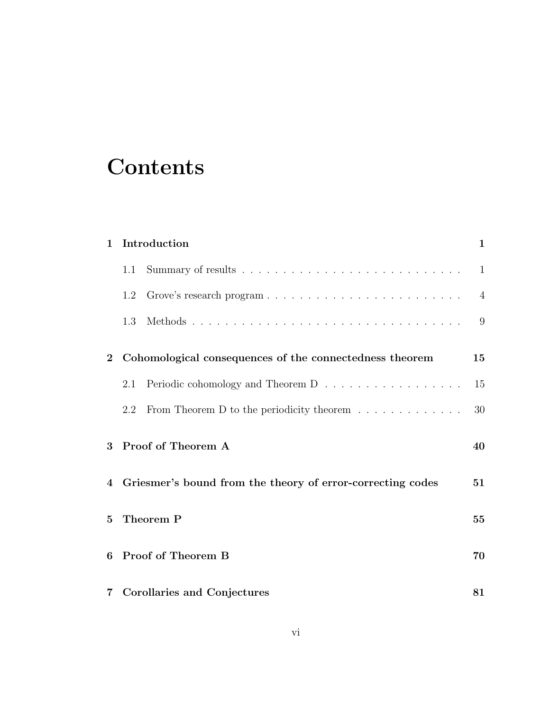# **Contents**

| $\mathbf{1}$ | Introduction                                            |                                                                     |                |  |
|--------------|---------------------------------------------------------|---------------------------------------------------------------------|----------------|--|
|              | 1.1                                                     |                                                                     | $\mathbf{1}$   |  |
|              | 1.2                                                     |                                                                     | $\overline{4}$ |  |
|              | 1.3                                                     |                                                                     | 9              |  |
| $\bf{2}$     | Cohomological consequences of the connectedness theorem |                                                                     |                |  |
|              | 2.1                                                     | Periodic cohomology and Theorem D                                   | 15             |  |
|              | 2.2                                                     | From Theorem D to the periodicity theorem $\dots \dots \dots \dots$ | 30             |  |
| 3            |                                                         | Proof of Theorem A                                                  | 40             |  |
| 4            |                                                         | Griesmer's bound from the theory of error-correcting codes          | 51             |  |
| 5            | Theorem P                                               |                                                                     | 55             |  |
| 6            |                                                         | Proof of Theorem B                                                  | 70             |  |
|              |                                                         | 7 Corollaries and Conjectures                                       | 81             |  |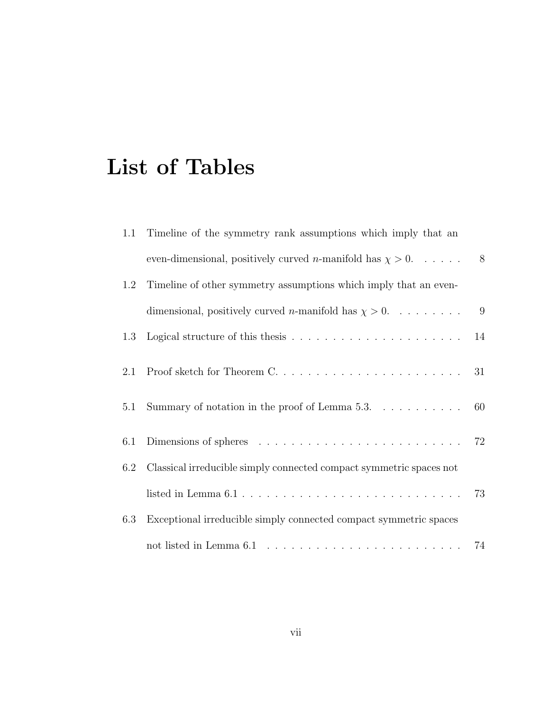# List of Tables

| 1.1 | Timeline of the symmetry rank assumptions which imply that an                                    |    |
|-----|--------------------------------------------------------------------------------------------------|----|
|     | even-dimensional, positively curved <i>n</i> -manifold has $\chi > 0$                            | 8  |
| 1.2 | Timeline of other symmetry assumptions which imply that an even-                                 |    |
|     | dimensional, positively curved <i>n</i> -manifold has $\chi > 0$ . 9                             |    |
| 1.3 |                                                                                                  | 14 |
| 2.1 |                                                                                                  | 31 |
| 5.1 | Summary of notation in the proof of Lemma 5.3. $\dots \dots \dots$                               | 60 |
| 6.1 | Dimensions of spheres $\ldots \ldots \ldots \ldots \ldots \ldots \ldots \ldots \ldots \ldots$ 72 |    |
| 6.2 | Classical irreducible simply connected compact symmetric spaces not                              |    |
|     |                                                                                                  | 73 |
| 6.3 | Exceptional irreducible simply connected compact symmetric spaces                                |    |
|     |                                                                                                  |    |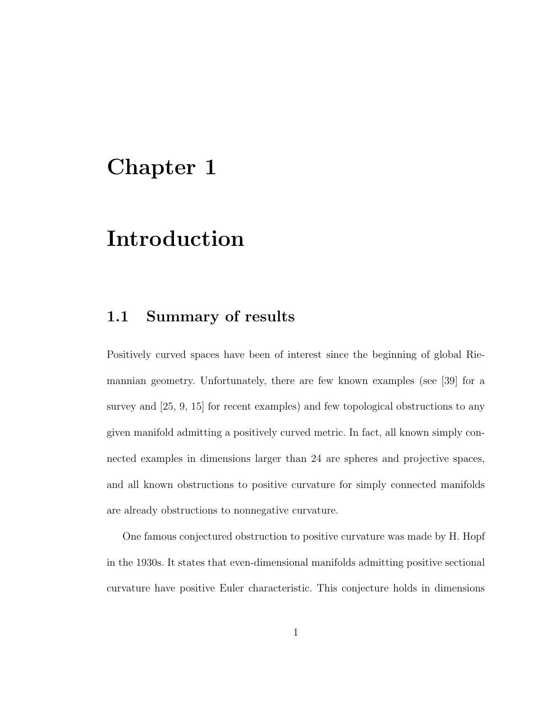### Chapter 1

### Introduction

#### 1.1 Summary of results

Positively curved spaces have been of interest since the beginning of global Riemannian geometry. Unfortunately, there are few known examples (see [39] for a survey and [25, 9, 15] for recent examples) and few topological obstructions to any given manifold admitting a positively curved metric. In fact, all known simply connected examples in dimensions larger than 24 are spheres and projective spaces, and all known obstructions to positive curvature for simply connected manifolds are already obstructions to nonnegative curvature.

One famous conjectured obstruction to positive curvature was made by H. Hopf in the 1930s. It states that even-dimensional manifolds admitting positive sectional curvature have positive Euler characteristic. This conjecture holds in dimensions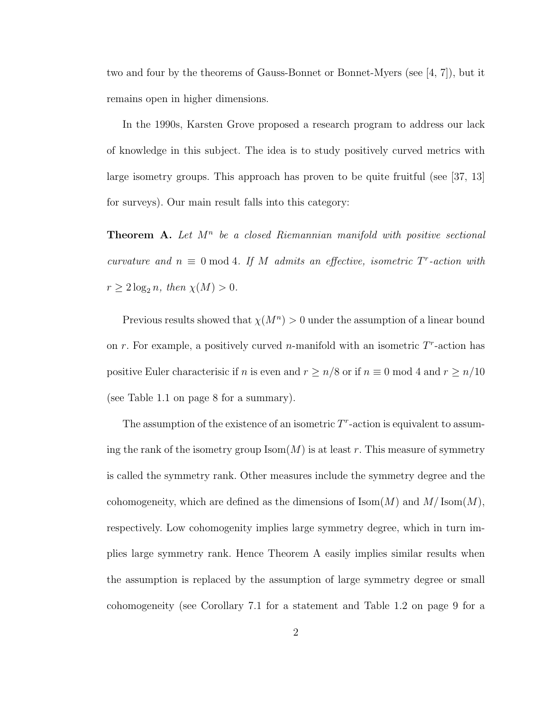two and four by the theorems of Gauss-Bonnet or Bonnet-Myers (see [4, 7]), but it remains open in higher dimensions.

In the 1990s, Karsten Grove proposed a research program to address our lack of knowledge in this subject. The idea is to study positively curved metrics with large isometry groups. This approach has proven to be quite fruitful (see [37, 13] for surveys). Our main result falls into this category:

**Theorem A.** Let  $M^n$  be a closed Riemannian manifold with positive sectional curvature and  $n \equiv 0 \mod 4$ . If M admits an effective, isometric  $T^r$ -action with  $r \geq 2 \log_2 n$ , then  $\chi(M) > 0$ .

Previous results showed that  $\chi(M^n) > 0$  under the assumption of a linear bound on r. For example, a positively curved *n*-manifold with an isometric  $T<sup>r</sup>$ -action has positive Euler characterisic if n is even and  $r \ge n/8$  or if  $n \equiv 0 \mod 4$  and  $r \ge n/10$ (see Table 1.1 on page 8 for a summary).

The assumption of the existence of an isometric  $T<sup>r</sup>$ -action is equivalent to assuming the rank of the isometry group  $\text{Isom}(M)$  is at least r. This measure of symmetry is called the symmetry rank. Other measures include the symmetry degree and the cohomogeneity, which are defined as the dimensions of  $\text{Isom}(M)$  and  $M/\text{Isom}(M)$ , respectively. Low cohomogenity implies large symmetry degree, which in turn implies large symmetry rank. Hence Theorem A easily implies similar results when the assumption is replaced by the assumption of large symmetry degree or small cohomogeneity (see Corollary 7.1 for a statement and Table 1.2 on page 9 for a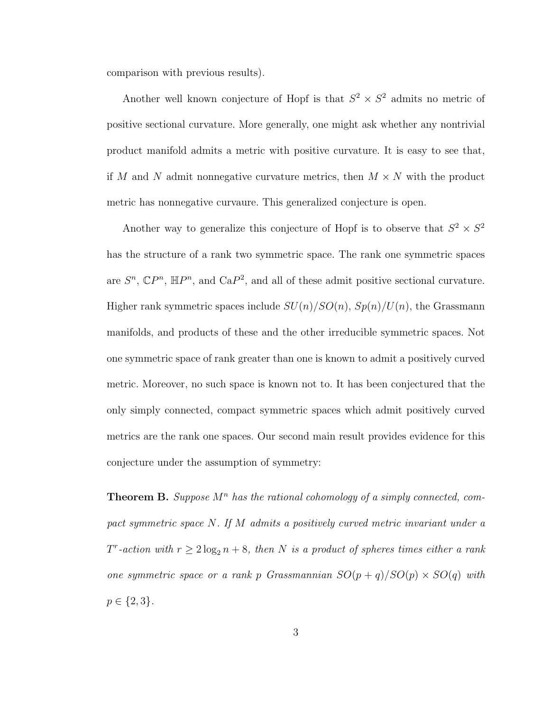comparison with previous results).

Another well known conjecture of Hopf is that  $S^2 \times S^2$  admits no metric of positive sectional curvature. More generally, one might ask whether any nontrivial product manifold admits a metric with positive curvature. It is easy to see that, if M and N admit nonnegative curvature metrics, then  $M \times N$  with the product metric has nonnegative curvaure. This generalized conjecture is open.

Another way to generalize this conjecture of Hopf is to observe that  $S^2 \times S^2$ has the structure of a rank two symmetric space. The rank one symmetric spaces are  $S^n$ ,  $\mathbb{C}P^n$ ,  $\mathbb{H}P^n$ , and  $\text{Ca}P^2$ , and all of these admit positive sectional curvature. Higher rank symmetric spaces include  $SU(n)/SO(n)$ ,  $Sp(n)/U(n)$ , the Grassmann manifolds, and products of these and the other irreducible symmetric spaces. Not one symmetric space of rank greater than one is known to admit a positively curved metric. Moreover, no such space is known not to. It has been conjectured that the only simply connected, compact symmetric spaces which admit positively curved metrics are the rank one spaces. Our second main result provides evidence for this conjecture under the assumption of symmetry:

**Theorem B.** Suppose  $M^n$  has the rational cohomology of a simply connected, compact symmetric space N. If M admits a positively curved metric invariant under a  $T<sup>r</sup>$ -action with  $r \geq 2 \log_2 n + 8$ , then N is a product of spheres times either a rank one symmetric space or a rank p Grassmannian  $SO(p+q)/SO(p) \times SO(q)$  with  $p \in \{2,3\}.$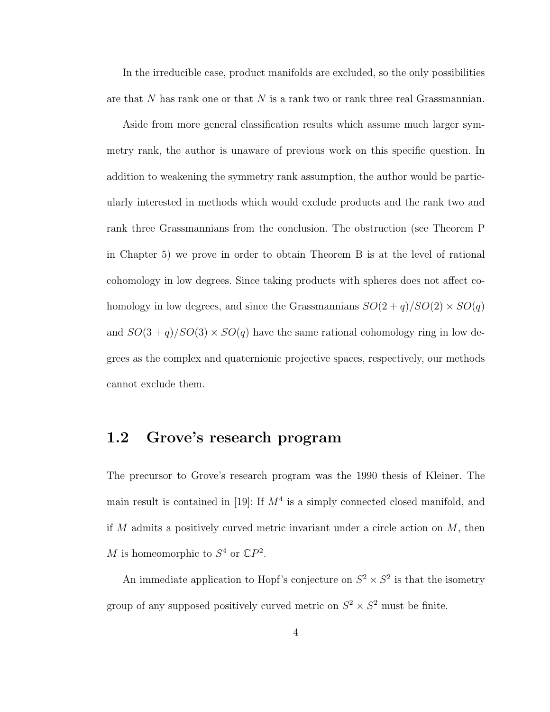In the irreducible case, product manifolds are excluded, so the only possibilities are that  $N$  has rank one or that  $N$  is a rank two or rank three real Grassmannian.

Aside from more general classification results which assume much larger symmetry rank, the author is unaware of previous work on this specific question. In addition to weakening the symmetry rank assumption, the author would be particularly interested in methods which would exclude products and the rank two and rank three Grassmannians from the conclusion. The obstruction (see Theorem P in Chapter 5) we prove in order to obtain Theorem B is at the level of rational cohomology in low degrees. Since taking products with spheres does not affect cohomology in low degrees, and since the Grassmannians  $SO(2 + q)/SO(2) \times SO(q)$ and  $SO(3 + q)/SO(3) \times SO(q)$  have the same rational cohomology ring in low degrees as the complex and quaternionic projective spaces, respectively, our methods cannot exclude them.

#### 1.2 Grove's research program

The precursor to Grove's research program was the 1990 thesis of Kleiner. The main result is contained in [19]: If  $M<sup>4</sup>$  is a simply connected closed manifold, and if M admits a positively curved metric invariant under a circle action on  $M$ , then M is homeomorphic to  $S^4$  or  $\mathbb{C}P^2$ .

An immediate application to Hopf's conjecture on  $S^2 \times S^2$  is that the isometry group of any supposed positively curved metric on  $S^2 \times S^2$  must be finite.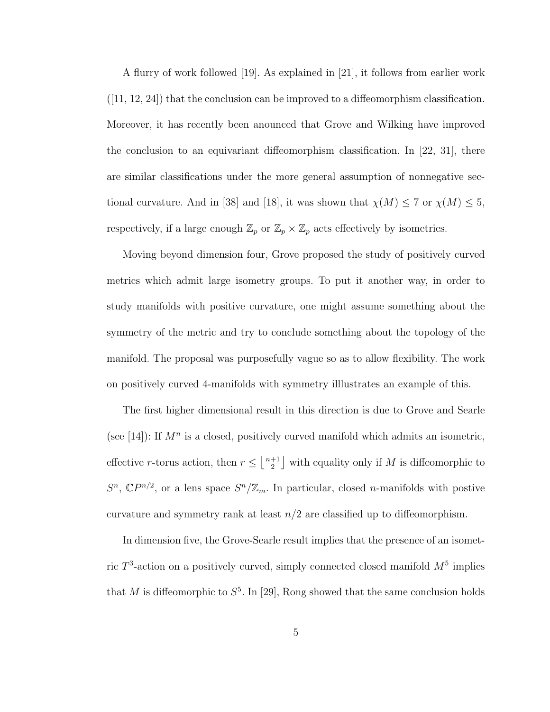A flurry of work followed [19]. As explained in [21], it follows from earlier work  $([11, 12, 24])$  that the conclusion can be improved to a diffeomorphism classification. Moreover, it has recently been anounced that Grove and Wilking have improved the conclusion to an equivariant diffeomorphism classification. In [22, 31], there are similar classifications under the more general assumption of nonnegative sectional curvature. And in [38] and [18], it was shown that  $\chi(M) \leq 7$  or  $\chi(M) \leq 5$ , respectively, if a large enough  $\mathbb{Z}_p$  or  $\mathbb{Z}_p\times \mathbb{Z}_p$  acts effectively by isometries.

Moving beyond dimension four, Grove proposed the study of positively curved metrics which admit large isometry groups. To put it another way, in order to study manifolds with positive curvature, one might assume something about the symmetry of the metric and try to conclude something about the topology of the manifold. The proposal was purposefully vague so as to allow flexibility. The work on positively curved 4-manifolds with symmetry illlustrates an example of this.

The first higher dimensional result in this direction is due to Grove and Searle (see [14]): If  $M^n$  is a closed, positively curved manifold which admits an isometric, effective r-torus action, then  $r \leq \frac{n+1}{2}$  $\frac{+1}{2}$  with equality only if M is diffeomorphic to  $S<sup>n</sup>$ ,  $\mathbb{C}P^{n/2}$ , or a lens space  $S<sup>n</sup>/\mathbb{Z}_m$ . In particular, closed *n*-manifolds with postive curvature and symmetry rank at least  $n/2$  are classified up to diffeomorphism.

In dimension five, the Grove-Searle result implies that the presence of an isometric  $T^3$ -action on a positively curved, simply connected closed manifold  $M^5$  implies that M is diffeomorphic to  $S^5$ . In [29], Rong showed that the same conclusion holds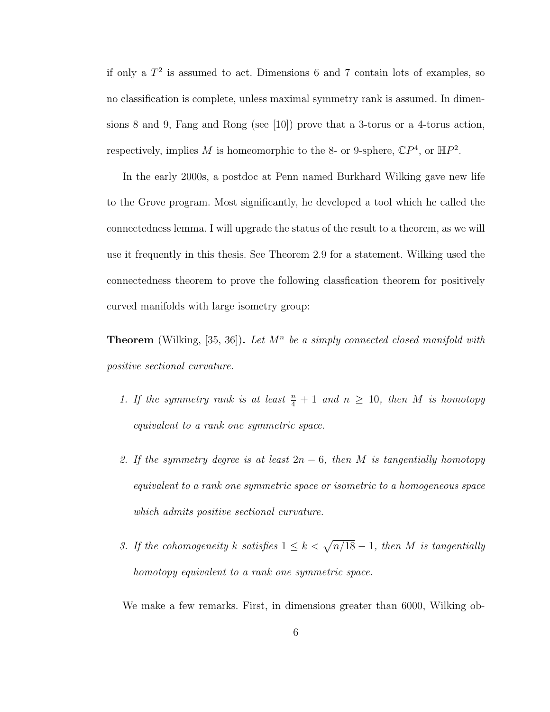if only a  $T^2$  is assumed to act. Dimensions 6 and 7 contain lots of examples, so no classification is complete, unless maximal symmetry rank is assumed. In dimensions 8 and 9, Fang and Rong (see [10]) prove that a 3-torus or a 4-torus action, respectively, implies M is homeomorphic to the 8- or 9-sphere,  $\mathbb{C}P^4$ , or  $\mathbb{H}P^2$ .

In the early 2000s, a postdoc at Penn named Burkhard Wilking gave new life to the Grove program. Most significantly, he developed a tool which he called the connectedness lemma. I will upgrade the status of the result to a theorem, as we will use it frequently in this thesis. See Theorem 2.9 for a statement. Wilking used the connectedness theorem to prove the following classfication theorem for positively curved manifolds with large isometry group:

**Theorem** (Wilking, [35, 36]). Let  $M^n$  be a simply connected closed manifold with positive sectional curvature.

- 1. If the symmetry rank is at least  $\frac{n}{4} + 1$  and  $n \ge 10$ , then M is homotopy equivalent to a rank one symmetric space.
- 2. If the symmetry degree is at least  $2n-6$ , then M is tangentially homotopy equivalent to a rank one symmetric space or isometric to a homogeneous space which admits positive sectional curvature.
- 3. If the cohomogeneity k satisfies  $1 \leq k < \sqrt{n/18} 1$ , then M is tangentially homotopy equivalent to a rank one symmetric space.

We make a few remarks. First, in dimensions greater than 6000, Wilking ob-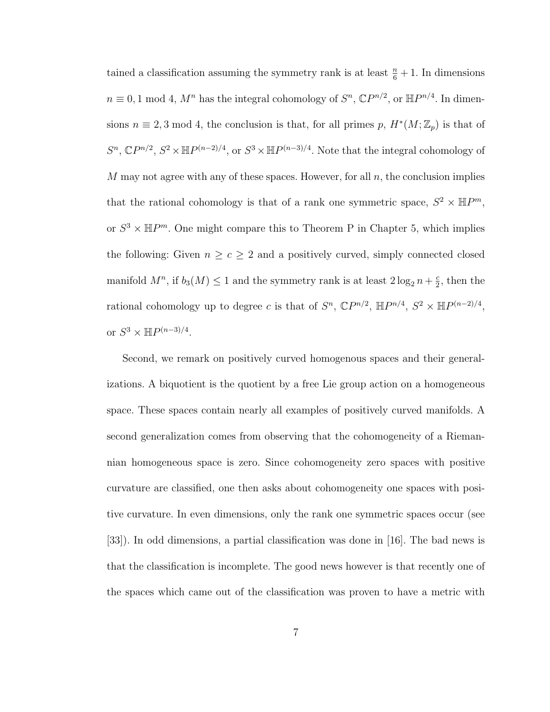tained a classification assuming the symmetry rank is at least  $\frac{n}{6} + 1$ . In dimensions  $n \equiv 0, 1 \mod 4$ ,  $M^n$  has the integral cohomology of  $S^n$ ,  $\mathbb{C}P^{n/2}$ , or  $\mathbb{H}P^{n/4}$ . In dimensions  $n \equiv 2, 3 \mod 4$ , the conclusion is that, for all primes p,  $H^*(M; \mathbb{Z}_p)$  is that of  $S^n$ ,  $\mathbb{C}P^{n/2}$ ,  $S^2 \times \mathbb{H}P^{(n-2)/4}$ , or  $S^3 \times \mathbb{H}P^{(n-3)/4}$ . Note that the integral cohomology of M may not agree with any of these spaces. However, for all  $n$ , the conclusion implies that the rational cohomology is that of a rank one symmetric space,  $S^2 \times \mathbb{H}P^m$ , or  $S^3 \times \mathbb{H}P^m$ . One might compare this to Theorem P in Chapter 5, which implies the following: Given  $n \ge c \ge 2$  and a positively curved, simply connected closed manifold  $M^n$ , if  $b_3(M) \leq 1$  and the symmetry rank is at least  $2 \log_2 n + \frac{c}{2}$  $\frac{c}{2}$ , then the rational cohomology up to degree c is that of  $S<sup>n</sup>$ ,  $\mathbb{C}P^{n/2}$ ,  $\mathbb{H}P^{n/4}$ ,  $S<sup>2</sup> \times \mathbb{H}P^{(n-2)/4}$ , or  $S^3 \times \mathbb{H}P^{(n-3)/4}$ .

Second, we remark on positively curved homogenous spaces and their generalizations. A biquotient is the quotient by a free Lie group action on a homogeneous space. These spaces contain nearly all examples of positively curved manifolds. A second generalization comes from observing that the cohomogeneity of a Riemannian homogeneous space is zero. Since cohomogeneity zero spaces with positive curvature are classified, one then asks about cohomogeneity one spaces with positive curvature. In even dimensions, only the rank one symmetric spaces occur (see [33]). In odd dimensions, a partial classification was done in [16]. The bad news is that the classification is incomplete. The good news however is that recently one of the spaces which came out of the classification was proven to have a metric with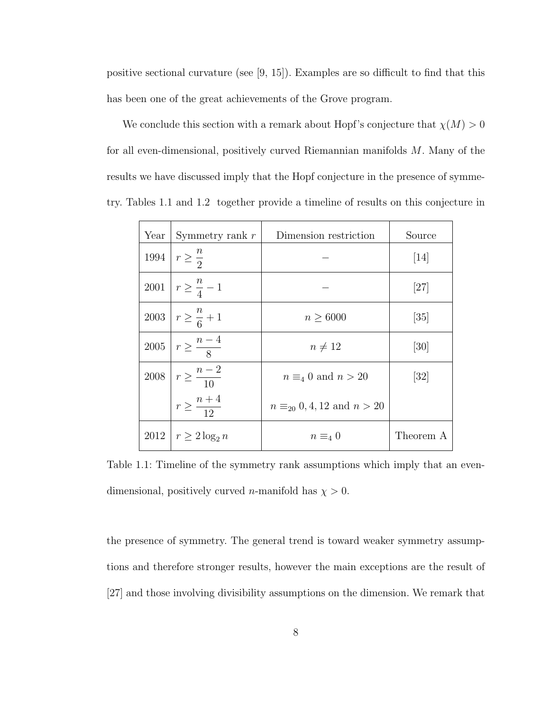positive sectional curvature (see [9, 15]). Examples are so difficult to find that this has been one of the great achievements of the Grove program.

We conclude this section with a remark about Hopf's conjecture that  $\chi(M) > 0$ for all even-dimensional, positively curved Riemannian manifolds M. Many of the results we have discussed imply that the Hopf conjecture in the presence of symmetry. Tables 1.1 and 1.2 together provide a timeline of results on this conjecture in

| Year | Symmetry rank $r$                 | Dimension restriction                 | Source            |
|------|-----------------------------------|---------------------------------------|-------------------|
|      | 1994 $r \geq \frac{n}{2}$         |                                       | $\vert 14 \vert$  |
|      | 2001 $r \geq \frac{n}{4} - 1$     |                                       | [27]              |
|      | 2003 $r \geq \frac{n}{6} + 1$     | $n \geq 6000$                         | $\left[35\right]$ |
|      | $2005 \mid r \geq \frac{n-4}{8}$  | $n \neq 12$                           | [30]              |
|      | $2008 \mid r \geq \frac{n-2}{10}$ | $n \equiv_4 0$ and $n > 20$           | $\left[32\right]$ |
|      | $r \geq \frac{n+4}{12}$           | $n \equiv_{20} 0, 4, 12$ and $n > 20$ |                   |
|      | $2012   r \geq 2 \log_2 n$        | $n \equiv_4 0$                        | Theorem A         |

Table 1.1: Timeline of the symmetry rank assumptions which imply that an evendimensional, positively curved *n*-manifold has  $\chi > 0$ .

the presence of symmetry. The general trend is toward weaker symmetry assumptions and therefore stronger results, however the main exceptions are the result of [27] and those involving divisibility assumptions on the dimension. We remark that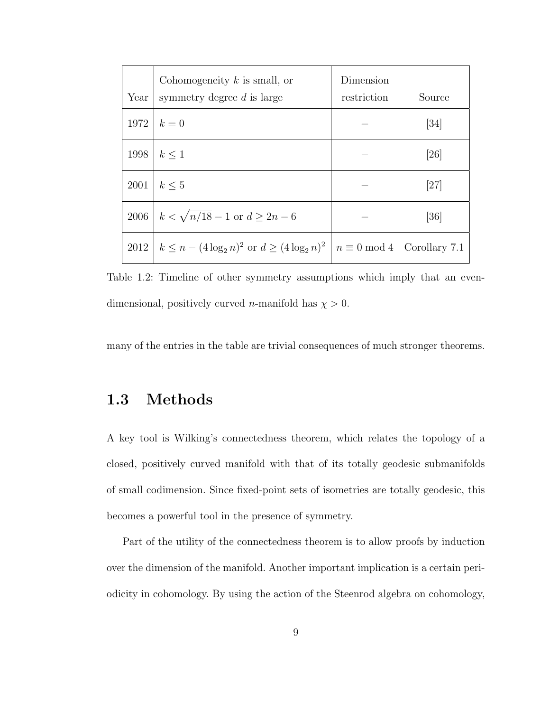| Year | Cohomogeneity $k$ is small, or<br>symmetry degree $d$ is large                          | Dimension<br>restriction | Source             |
|------|-----------------------------------------------------------------------------------------|--------------------------|--------------------|
|      | $1972 \mid k=0$                                                                         |                          | [34]               |
| 1998 | $k \leq 1$                                                                              |                          | $\left[ 26\right]$ |
| 2001 | $k \leq 5$                                                                              |                          | [27]               |
| 2006 | $k < \sqrt{n/18 - 1}$ or $d \geq 2n - 6$                                                |                          | $\left[ 36\right]$ |
|      | $2012 \mid k \leq n - (4 \log_2 n)^2$ or $d \geq (4 \log_2 n)^2 \mid n \equiv 0 \mod 4$ |                          | Corollary 7.1      |

Table 1.2: Timeline of other symmetry assumptions which imply that an evendimensional, positively curved *n*-manifold has  $\chi > 0$ .

many of the entries in the table are trivial consequences of much stronger theorems.

### 1.3 Methods

A key tool is Wilking's connectedness theorem, which relates the topology of a closed, positively curved manifold with that of its totally geodesic submanifolds of small codimension. Since fixed-point sets of isometries are totally geodesic, this becomes a powerful tool in the presence of symmetry.

Part of the utility of the connectedness theorem is to allow proofs by induction over the dimension of the manifold. Another important implication is a certain periodicity in cohomology. By using the action of the Steenrod algebra on cohomology,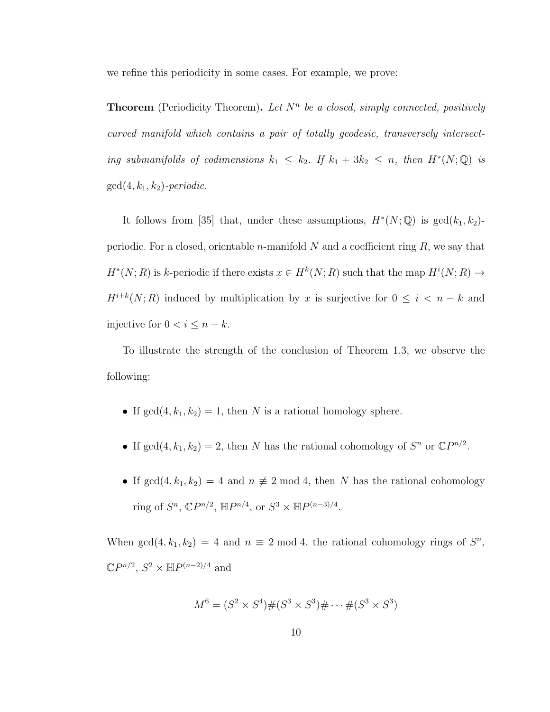we refine this periodicity in some cases. For example, we prove:

**Theorem** (Periodicity Theorem). Let  $N^n$  be a closed, simply connected, positively curved manifold which contains a pair of totally geodesic, transversely intersecting submanifolds of codimensions  $k_1 \leq k_2$ . If  $k_1 + 3k_2 \leq n$ , then  $H^*(N; \mathbb{Q})$  is  $gcd(4, k_1, k_2)$ -periodic.

It follows from [35] that, under these assumptions,  $H^*(N; \mathbb{Q})$  is  $gcd(k_1, k_2)$ periodic. For a closed, orientable *n*-manifold  $N$  and a coefficient ring  $R$ , we say that  $H^*(N;R)$  is k-periodic if there exists  $x \in H^k(N;R)$  such that the map  $H^i(N;R) \to$  $H^{i+k}(N;R)$  induced by multiplication by x is surjective for  $0 \leq i \leq n-k$  and injective for  $0 < i \leq n - k$ .

To illustrate the strength of the conclusion of Theorem 1.3, we observe the following:

- If  $gcd(4, k_1, k_2) = 1$ , then N is a rational homology sphere.
- If  $gcd(4, k_1, k_2) = 2$ , then N has the rational cohomology of  $S<sup>n</sup>$  or  $\mathbb{C}P^{n/2}$ .
- If  $gcd(4, k_1, k_2) = 4$  and  $n \neq 2 \mod 4$ , then N has the rational cohomology ring of  $S^n$ ,  $\mathbb{C}P^{n/2}$ ,  $\mathbb{H}P^{n/4}$ , or  $S^3 \times \mathbb{H}P^{(n-3)/4}$ .

When  $gcd(4, k_1, k_2) = 4$  and  $n \equiv 2 \mod 4$ , the rational cohomology rings of  $S<sup>n</sup>$ ,  $\mathbb{C}P^{n/2}, S^2 \times \mathbb{H}P^{(n-2)/4}$  and

$$
M^6 = (S^2 \times S^4) \# (S^3 \times S^3) \# \cdots \# (S^3 \times S^3)
$$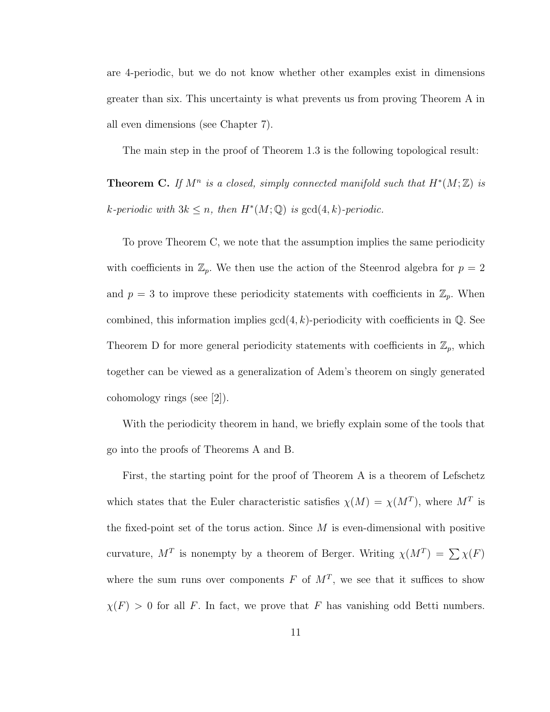are 4-periodic, but we do not know whether other examples exist in dimensions greater than six. This uncertainty is what prevents us from proving Theorem A in all even dimensions (see Chapter 7).

The main step in the proof of Theorem 1.3 is the following topological result:

**Theorem C.** If  $M^n$  is a closed, simply connected manifold such that  $H^*(M; \mathbb{Z})$  is k-periodic with  $3k \leq n$ , then  $H^*(M; \mathbb{Q})$  is  $gcd(4, k)$ -periodic.

To prove Theorem C, we note that the assumption implies the same periodicity with coefficients in  $\mathbb{Z}_p$ . We then use the action of the Steenrod algebra for  $p = 2$ and  $p = 3$  to improve these periodicity statements with coefficients in  $\mathbb{Z}_p$ . When combined, this information implies  $gcd(4, k)$ -periodicity with coefficients in  $\mathbb{Q}$ . See Theorem D for more general periodicity statements with coefficients in  $\mathbb{Z}_p$ , which together can be viewed as a generalization of Adem's theorem on singly generated cohomology rings (see [2]).

With the periodicity theorem in hand, we briefly explain some of the tools that go into the proofs of Theorems A and B.

First, the starting point for the proof of Theorem A is a theorem of Lefschetz which states that the Euler characteristic satisfies  $\chi(M) = \chi(M^T)$ , where  $M^T$  is the fixed-point set of the torus action. Since  $M$  is even-dimensional with positive curvature,  $M^T$  is nonempty by a theorem of Berger. Writing  $\chi(M^T) = \sum \chi(F)$ where the sum runs over components F of  $M<sup>T</sup>$ , we see that it suffices to show  $\chi(F) > 0$  for all F. In fact, we prove that F has vanishing odd Betti numbers.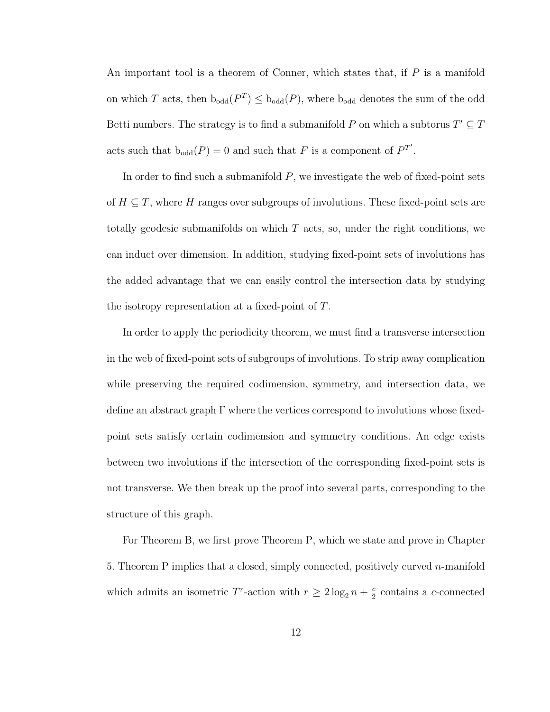An important tool is a theorem of Conner, which states that, if P is a manifold on which T acts, then  $b_{odd}(P^T) \leq b_{odd}(P)$ , where  $b_{odd}$  denotes the sum of the odd Betti numbers. The strategy is to find a submanifold P on which a subtorus  $T' \subseteq T$ acts such that  $b_{odd}(P) = 0$  and such that F is a component of  $P^{T'}$ .

In order to find such a submanifold  $P$ , we investigate the web of fixed-point sets of  $H \subseteq T$ , where H ranges over subgroups of involutions. These fixed-point sets are totally geodesic submanifolds on which  $T$  acts, so, under the right conditions, we can induct over dimension. In addition, studying fixed-point sets of involutions has the added advantage that we can easily control the intersection data by studying the isotropy representation at a fixed-point of T.

In order to apply the periodicity theorem, we must find a transverse intersection in the web of fixed-point sets of subgroups of involutions. To strip away complication while preserving the required codimension, symmetry, and intersection data, we define an abstract graph  $\Gamma$  where the vertices correspond to involutions whose fixedpoint sets satisfy certain codimension and symmetry conditions. An edge exists between two involutions if the intersection of the corresponding fixed-point sets is not transverse. We then break up the proof into several parts, corresponding to the structure of this graph.

For Theorem B, we first prove Theorem P, which we state and prove in Chapter 5. Theorem P implies that a closed, simply connected, positively curved n-manifold which admits an isometric T<sup>r</sup>-action with  $r \geq 2 \log_2 n + \frac{c}{2}$  $\frac{c}{2}$  contains a *c*-connected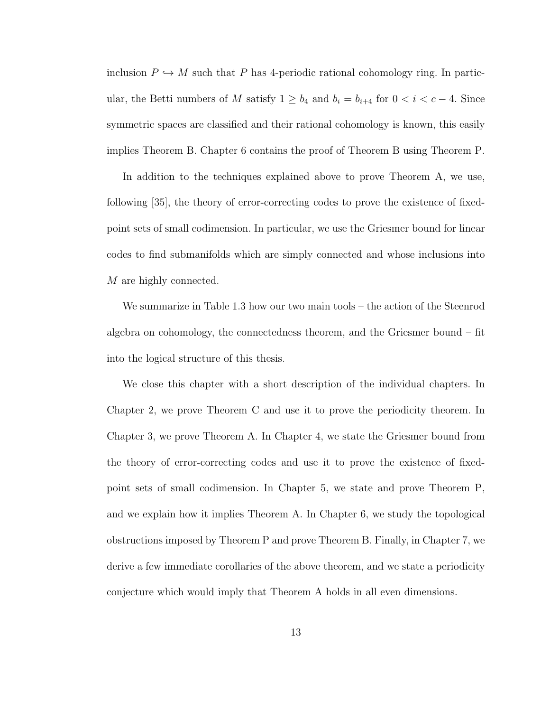inclusion  $P \hookrightarrow M$  such that P has 4-periodic rational cohomology ring. In particular, the Betti numbers of M satisfy  $1 \ge b_4$  and  $b_i = b_{i+4}$  for  $0 < i < c-4$ . Since symmetric spaces are classified and their rational cohomology is known, this easily implies Theorem B. Chapter 6 contains the proof of Theorem B using Theorem P.

In addition to the techniques explained above to prove Theorem A, we use, following [35], the theory of error-correcting codes to prove the existence of fixedpoint sets of small codimension. In particular, we use the Griesmer bound for linear codes to find submanifolds which are simply connected and whose inclusions into M are highly connected.

We summarize in Table 1.3 how our two main tools – the action of the Steenrod algebra on cohomology, the connectedness theorem, and the Griesmer bound – fit into the logical structure of this thesis.

We close this chapter with a short description of the individual chapters. In Chapter 2, we prove Theorem C and use it to prove the periodicity theorem. In Chapter 3, we prove Theorem A. In Chapter 4, we state the Griesmer bound from the theory of error-correcting codes and use it to prove the existence of fixedpoint sets of small codimension. In Chapter 5, we state and prove Theorem P, and we explain how it implies Theorem A. In Chapter 6, we study the topological obstructions imposed by Theorem P and prove Theorem B. Finally, in Chapter 7, we derive a few immediate corollaries of the above theorem, and we state a periodicity conjecture which would imply that Theorem A holds in all even dimensions.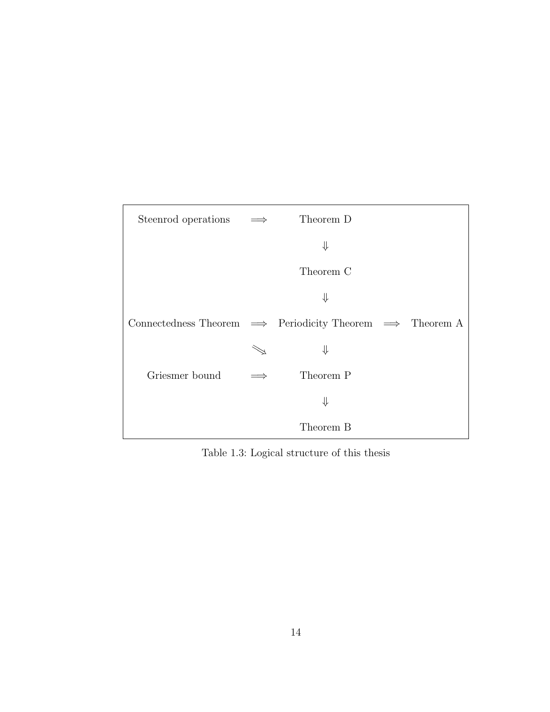| Steenrod operations                                                       | $\implies$ | Theorem D |  |
|---------------------------------------------------------------------------|------------|-----------|--|
|                                                                           |            | ⇓         |  |
|                                                                           |            | Theorem C |  |
|                                                                           |            | ⇓         |  |
| Connectedness Theorem $\implies$ Periodicity Theorem $\implies$ Theorem A |            |           |  |
|                                                                           |            | ⇓         |  |
| Griesmer bound                                                            |            | Theorem P |  |
|                                                                           |            | ⇓         |  |
|                                                                           |            | Theorem B |  |

Table 1.3: Logical structure of this thesis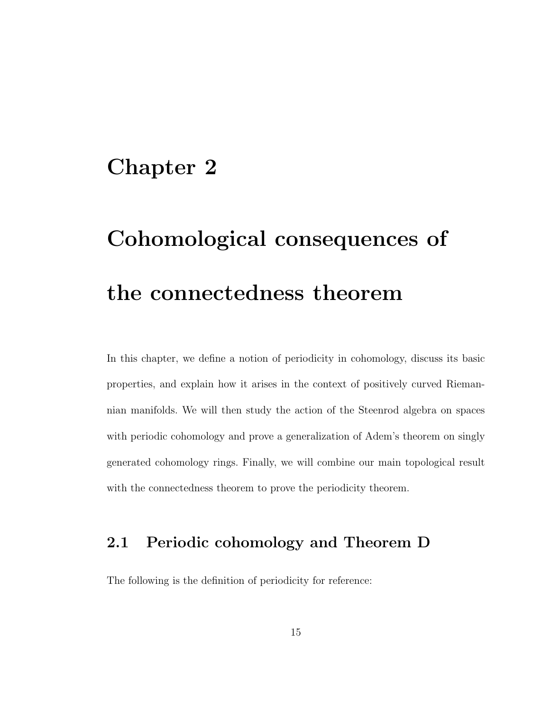### Chapter 2

# Cohomological consequences of the connectedness theorem

In this chapter, we define a notion of periodicity in cohomology, discuss its basic properties, and explain how it arises in the context of positively curved Riemannian manifolds. We will then study the action of the Steenrod algebra on spaces with periodic cohomology and prove a generalization of Adem's theorem on singly generated cohomology rings. Finally, we will combine our main topological result with the connectedness theorem to prove the periodicity theorem.

### 2.1 Periodic cohomology and Theorem D

The following is the definition of periodicity for reference: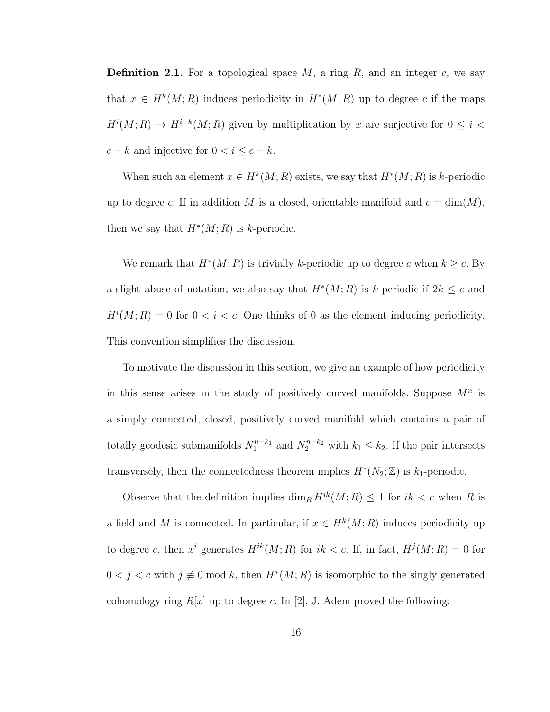**Definition 2.1.** For a topological space  $M$ , a ring  $R$ , and an integer  $c$ , we say that  $x \in H^k(M; R)$  induces periodicity in  $H^*(M; R)$  up to degree c if the maps  $H^{i}(M; R) \to H^{i+k}(M; R)$  given by multiplication by x are surjective for  $0 \leq i <$  $c - k$  and injective for  $0 < i \leq c - k$ .

When such an element  $x \in H^k(M; R)$  exists, we say that  $H^*(M; R)$  is k-periodic up to degree c. If in addition M is a closed, orientable manifold and  $c = \dim(M)$ , then we say that  $H^*(M; R)$  is k-periodic.

We remark that  $H^*(M; R)$  is trivially k-periodic up to degree c when  $k \geq c$ . By a slight abuse of notation, we also say that  $H^*(M; R)$  is k-periodic if  $2k \leq c$  and  $H^{i}(M; R) = 0$  for  $0 < i < c$ . One thinks of 0 as the element inducing periodicity. This convention simplifies the discussion.

To motivate the discussion in this section, we give an example of how periodicity in this sense arises in the study of positively curved manifolds. Suppose  $M<sup>n</sup>$  is a simply connected, closed, positively curved manifold which contains a pair of totally geodesic submanifolds  $N_1^{n-k_1}$  and  $N_2^{n-k_2}$  with  $k_1 \leq k_2$ . If the pair intersects transversely, then the connectedness theorem implies  $H^*(N_2; \mathbb{Z})$  is  $k_1$ -periodic.

Observe that the definition implies  $\dim_R H^{ik}(M; R) \leq 1$  for  $ik < c$  when R is a field and M is connected. In particular, if  $x \in H^k(M; R)$  induces periodicity up to degree c, then  $x^i$  generates  $H^{ik}(M;R)$  for  $ik < c$ . If, in fact,  $H^j(M;R) = 0$  for  $0 < j < c$  with  $j \not\equiv 0 \mod k$ , then  $H^*(M; R)$  is isomorphic to the singly generated cohomology ring  $R[x]$  up to degree c. In [2], J. Adem proved the following: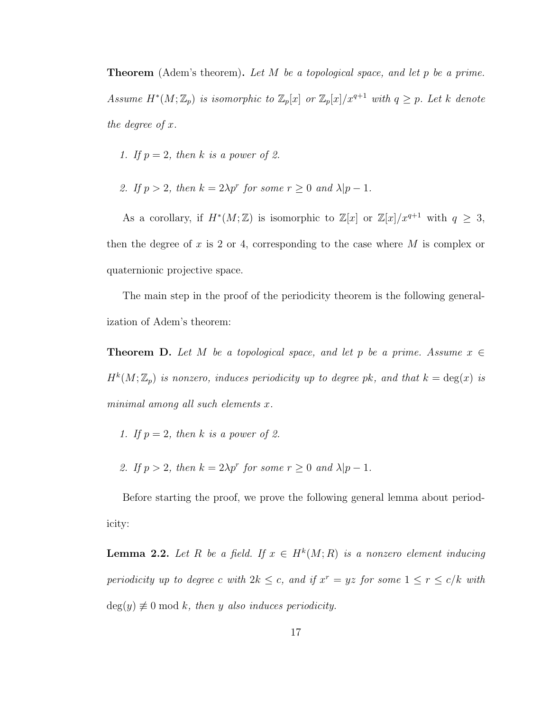**Theorem** (Adem's theorem). Let M be a topological space, and let p be a prime. Assume  $H^*(M; \mathbb{Z}_p)$  is isomorphic to  $\mathbb{Z}_p[x]$  or  $\mathbb{Z}_p[x]/x^{q+1}$  with  $q \geq p$ . Let k denote the degree of x.

- 1. If  $p = 2$ , then k is a power of 2.
- 2. If  $p > 2$ , then  $k = 2\lambda p^r$  for some  $r \ge 0$  and  $\lambda |p 1$ .

As a corollary, if  $H^*(M;\mathbb{Z})$  is isomorphic to  $\mathbb{Z}[x]$  or  $\mathbb{Z}[x]/x^{q+1}$  with  $q \geq 3$ , then the degree of x is 2 or 4, corresponding to the case where  $M$  is complex or quaternionic projective space.

The main step in the proof of the periodicity theorem is the following generalization of Adem's theorem:

**Theorem D.** Let M be a topological space, and let p be a prime. Assume  $x \in \mathbb{R}$  $H^k(M; \mathbb{Z}_p)$  is nonzero, induces periodicity up to degree pk, and that  $k = \deg(x)$  is minimal among all such elements x.

- 1. If  $p = 2$ , then k is a power of 2.
- 2. If  $p > 2$ , then  $k = 2\lambda p^r$  for some  $r \ge 0$  and  $\lambda |p 1$ .

Before starting the proof, we prove the following general lemma about periodicity:

**Lemma 2.2.** Let R be a field. If  $x \in H^k(M; R)$  is a nonzero element inducing periodicity up to degree c with  $2k \leq c$ , and if  $x^r = yz$  for some  $1 \leq r \leq c/k$  with  $deg(y) \neq 0 \mod k$ , then y also induces periodicity.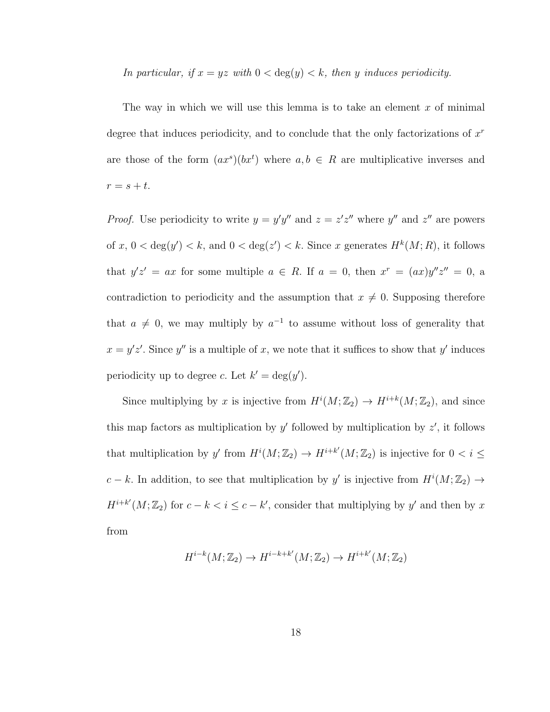In particular, if  $x = yz$  with  $0 < \deg(y) < k$ , then y induces periodicity.

The way in which we will use this lemma is to take an element  $x$  of minimal degree that induces periodicity, and to conclude that the only factorizations of  $x<sup>r</sup>$ are those of the form  $(ax^s)(bx^t)$  where  $a, b \in R$  are multiplicative inverses and  $r = s + t$ .

*Proof.* Use periodicity to write  $y = y'y''$  and  $z = z'z''$  where y'' and  $z''$  are powers of  $x, 0 < deg(y') < k$ , and  $0 < deg(z') < k$ . Since x generates  $H<sup>k</sup>(M; R)$ , it follows that  $y'z' = ax$  for some multiple  $a \in R$ . If  $a = 0$ , then  $x^r = (ax)y''z'' = 0$ , a contradiction to periodicity and the assumption that  $x \neq 0$ . Supposing therefore that  $a \neq 0$ , we may multiply by  $a^{-1}$  to assume without loss of generality that  $x = y'z'$ . Since y'' is a multiple of x, we note that it suffices to show that y' induces periodicity up to degree c. Let  $k' = \deg(y')$ .

Since multiplying by x is injective from  $H^{i}(M; \mathbb{Z}_{2}) \to H^{i+k}(M; \mathbb{Z}_{2})$ , and since this map factors as multiplication by  $y'$  followed by multiplication by  $z'$ , it follows that multiplication by y' from  $H^{i}(M; \mathbb{Z}_2) \to H^{i+k'}(M; \mathbb{Z}_2)$  is injective for  $0 < i \leq$ c – k. In addition, to see that multiplication by y' is injective from  $H^{i}(M; \mathbb{Z}_{2}) \rightarrow$  $H^{i+k'}(M;\mathbb{Z}_2)$  for  $c-k < i \leq c-k'$ , consider that multiplying by y' and then by x from

$$
H^{i-k}(M; \mathbb{Z}_2) \to H^{i-k+k'}(M; \mathbb{Z}_2) \to H^{i+k'}(M; \mathbb{Z}_2)
$$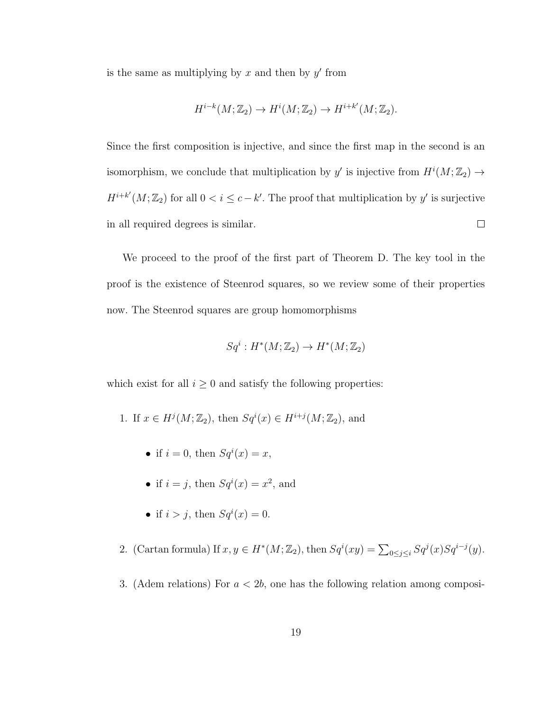is the same as multiplying by  $x$  and then by  $y'$  from

$$
H^{i-k}(M; \mathbb{Z}_2) \to H^i(M; \mathbb{Z}_2) \to H^{i+k'}(M; \mathbb{Z}_2).
$$

Since the first composition is injective, and since the first map in the second is an isomorphism, we conclude that multiplication by y' is injective from  $H^{i}(M; \mathbb{Z}_{2}) \rightarrow$  $H^{i+k'}(M;\mathbb{Z}_2)$  for all  $0 < i \leq c-k'$ . The proof that multiplication by y' is surjective in all required degrees is similar.  $\Box$ 

We proceed to the proof of the first part of Theorem D. The key tool in the proof is the existence of Steenrod squares, so we review some of their properties now. The Steenrod squares are group homomorphisms

$$
Sq^i: H^*(M; \mathbb{Z}_2) \to H^*(M; \mathbb{Z}_2)
$$

which exist for all  $i \geq 0$  and satisfy the following properties:

- 1. If  $x \in H^j(M; \mathbb{Z}_2)$ , then  $Sq^i(x) \in H^{i+j}(M; \mathbb{Z}_2)$ , and
	- if  $i = 0$ , then  $Sq^{i}(x) = x$ ,
	- if  $i = j$ , then  $Sq^{i}(x) = x^{2}$ , and
	- if  $i > j$ , then  $Sq^{i}(x) = 0$ .
- 2. (Cartan formula) If  $x, y \in H^*(M; \mathbb{Z}_2)$ , then  $Sq^i(xy) = \sum_{0 \le j \le i} Sq^j(x)Sq^{i-j}(y)$ .
- 3. (Adem relations) For  $a < 2b$ , one has the following relation among composi-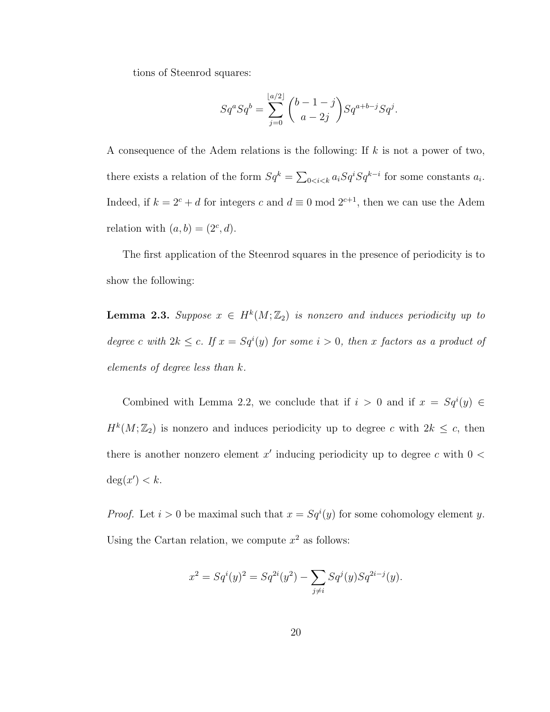tions of Steenrod squares:

$$
Sq^{a}Sq^{b} = \sum_{j=0}^{\lfloor a/2 \rfloor} {b-1-j \choose a-2j} Sq^{a+b-j}Sq^{j}.
$$

A consequence of the Adem relations is the following: If  $k$  is not a power of two, there exists a relation of the form  $Sq^k = \sum_{0 \le i \le k} a_i Sq^i Sq^{k-i}$  for some constants  $a_i$ . Indeed, if  $k = 2<sup>c</sup> + d$  for integers c and  $d \equiv 0 \mod 2^{c+1}$ , then we can use the Adem relation with  $(a, b) = (2<sup>c</sup>, d)$ .

The first application of the Steenrod squares in the presence of periodicity is to show the following:

**Lemma 2.3.** Suppose  $x \in H^k(M; \mathbb{Z}_2)$  is nonzero and induces periodicity up to degree c with  $2k \leq c$ . If  $x = Sq<sup>i</sup>(y)$  for some  $i > 0$ , then x factors as a product of elements of degree less than k.

Combined with Lemma 2.2, we conclude that if  $i > 0$  and if  $x = Sq<sup>i</sup>(y) \in$  $H^k(M; \mathbb{Z}_2)$  is nonzero and induces periodicity up to degree c with  $2k \leq c$ , then there is another nonzero element  $x'$  inducing periodicity up to degree c with  $0 <$  $\deg(x') < k$ .

*Proof.* Let  $i > 0$  be maximal such that  $x = Sq<sup>i</sup>(y)$  for some cohomology element y. Using the Cartan relation, we compute  $x^2$  as follows:

$$
x^{2} = Sq^{i}(y)^{2} = Sq^{2i}(y^{2}) - \sum_{j \neq i} Sq^{j}(y)Sq^{2i-j}(y).
$$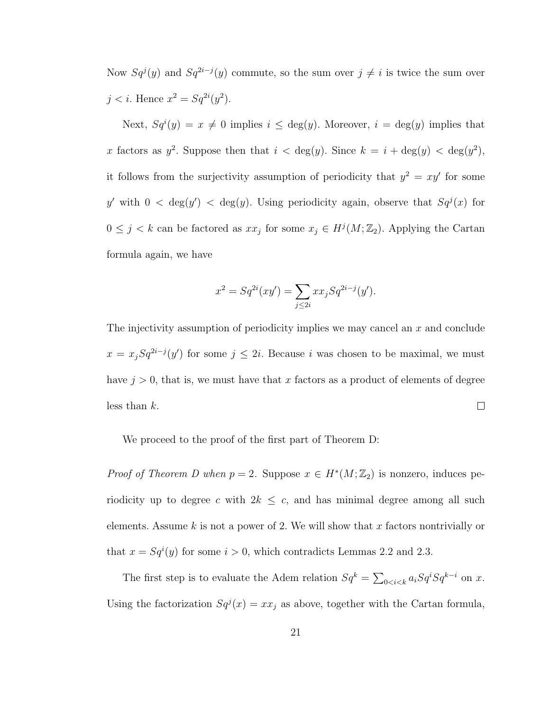Now  $Sq^{j}(y)$  and  $Sq^{2i-j}(y)$  commute, so the sum over  $j \neq i$  is twice the sum over  $j < i$ . Hence  $x^2 = Sq^{2i}(y^2)$ .

Next,  $Sq^{i}(y) = x \neq 0$  implies  $i \leq deg(y)$ . Moreover,  $i = deg(y)$  implies that x factors as  $y^2$ . Suppose then that  $i < deg(y)$ . Since  $k = i + deg(y) < deg(y^2)$ , it follows from the surjectivity assumption of periodicity that  $y^2 = xy'$  for some y' with  $0 < \deg(y) < \deg(y)$ . Using periodicity again, observe that  $Sq^{j}(x)$  for  $0 \leq j \leq k$  can be factored as  $xx_j$  for some  $x_j \in H^j(M; \mathbb{Z}_2)$ . Applying the Cartan formula again, we have

$$
x^{2} = Sq^{2i}(xy') = \sum_{j \leq 2i} xx_{j}Sq^{2i-j}(y').
$$

The injectivity assumption of periodicity implies we may cancel an x and conclude  $x = x_j Sq^{2i-j}(y')$  for some  $j \leq 2i$ . Because i was chosen to be maximal, we must have  $j > 0$ , that is, we must have that x factors as a product of elements of degree less than  $k$ .  $\Box$ 

We proceed to the proof of the first part of Theorem D:

*Proof of Theorem D when*  $p = 2$ . Suppose  $x \in H^*(M; \mathbb{Z}_2)$  is nonzero, induces periodicity up to degree c with  $2k \leq c$ , and has minimal degree among all such elements. Assume  $k$  is not a power of 2. We will show that x factors nontrivially or that  $x = Sq<sup>i</sup>(y)$  for some  $i > 0$ , which contradicts Lemmas 2.2 and 2.3.

The first step is to evaluate the Adem relation  $Sq^k = \sum_{0 \le i \le k} a_i Sq^iSq^{k-i}$  on x. Using the factorization  $Sq^{j}(x) = xx_{j}$  as above, together with the Cartan formula,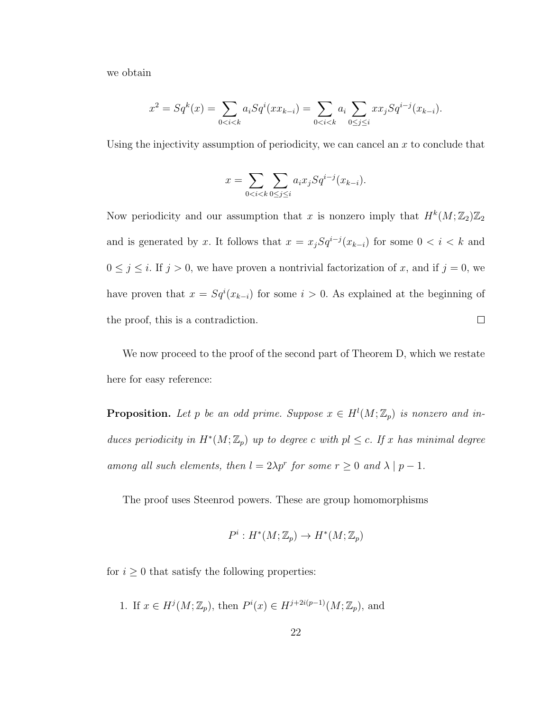we obtain

$$
x^{2} = Sq^{k}(x) = \sum_{0 < i < k} a_{i}Sq^{i}(xx_{k-i}) = \sum_{0 < i < k} a_{i} \sum_{0 \leq j \leq i} xx_{j}Sq^{i-j}(x_{k-i}).
$$

Using the injectivity assumption of periodicity, we can cancel an  $x$  to conclude that

$$
x = \sum_{0 < i < k} \sum_{0 \le j \le i} a_i x_j S q^{i-j} (x_{k-i}).
$$

Now periodicity and our assumption that x is nonzero imply that  $H^k(M; \mathbb{Z}_2) \mathbb{Z}_2$ and is generated by x. It follows that  $x = x_j Sq^{i-j}(x_{k-i})$  for some  $0 < i < k$  and  $0 \le j \le i$ . If  $j > 0$ , we have proven a nontrivial factorization of x, and if  $j = 0$ , we have proven that  $x = Sq<sup>i</sup>(x_{k-i})$  for some  $i > 0$ . As explained at the beginning of the proof, this is a contradiction.  $\Box$ 

We now proceed to the proof of the second part of Theorem D, which we restate here for easy reference:

**Proposition.** Let p be an odd prime. Suppose  $x \in H^l(M; \mathbb{Z}_p)$  is nonzero and induces periodicity in  $H^*(M; \mathbb{Z}_p)$  up to degree c with  $pl \leq c$ . If x has minimal degree among all such elements, then  $l = 2\lambda p^r$  for some  $r \geq 0$  and  $\lambda \mid p-1$ .

The proof uses Steenrod powers. These are group homomorphisms

$$
P^i: H^*(M; \mathbb{Z}_p) \to H^*(M; \mathbb{Z}_p)
$$

for  $i \geq 0$  that satisfy the following properties:

1. If  $x \in H^{j}(M; \mathbb{Z}_{p})$ , then  $P^{i}(x) \in H^{j+2i(p-1)}(M; \mathbb{Z}_{p})$ , and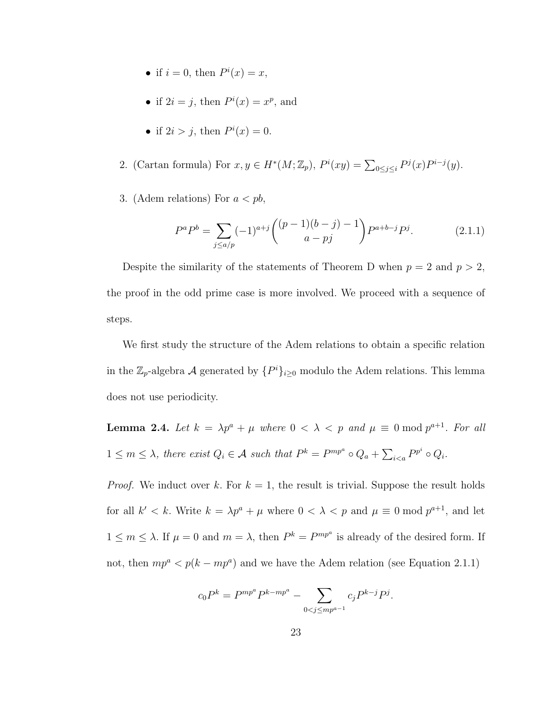- if  $i = 0$ , then  $P^i(x) = x$ ,
- if  $2i = j$ , then  $P^i(x) = x^p$ , and
- if  $2i > j$ , then  $P^i(x) = 0$ .
- 2. (Cartan formula) For  $x, y \in H^*(M; \mathbb{Z}_p)$ ,  $P^i(xy) = \sum_{0 \leq j \leq i} P^j(x) P^{i-j}(y)$ .
- 3. (Adem relations) For  $a < pb$ ,

$$
P^{a}P^{b} = \sum_{j\leq a/p} (-1)^{a+j} \binom{(p-1)(b-j)-1}{a-pj} P^{a+b-j} P^{j}.
$$
 (2.1.1)

Despite the similarity of the statements of Theorem D when  $p = 2$  and  $p > 2$ , the proof in the odd prime case is more involved. We proceed with a sequence of steps.

We first study the structure of the Adem relations to obtain a specific relation in the  $\mathbb{Z}_p$ -algebra A generated by  $\{P^i\}_{i\geq 0}$  modulo the Adem relations. This lemma does not use periodicity.

**Lemma 2.4.** Let  $k = \lambda p^a + \mu$  where  $0 < \lambda < p$  and  $\mu \equiv 0 \mod p^{a+1}$ . For all  $1 \leq m \leq \lambda$ , there exist  $Q_i \in \mathcal{A}$  such that  $P^k = P^{mp^a} \circ Q_a + \sum_{i \leq a} P^{p^i} \circ Q_i$ .

*Proof.* We induct over k. For  $k = 1$ , the result is trivial. Suppose the result holds for all  $k' < k$ . Write  $k = \lambda p^a + \mu$  where  $0 < \lambda < p$  and  $\mu \equiv 0 \mod p^{a+1}$ , and let  $1 \leq m \leq \lambda$ . If  $\mu = 0$  and  $m = \lambda$ , then  $P^k = P^{mp^a}$  is already of the desired form. If not, then  $mp^a < p(k - mp^a)$  and we have the Adem relation (see Equation 2.1.1)

$$
c_0 P^k = P^{mp^a} P^{k - mp^a} - \sum_{0 < j \le mp^{a-1}} c_j P^{k - j} P^j.
$$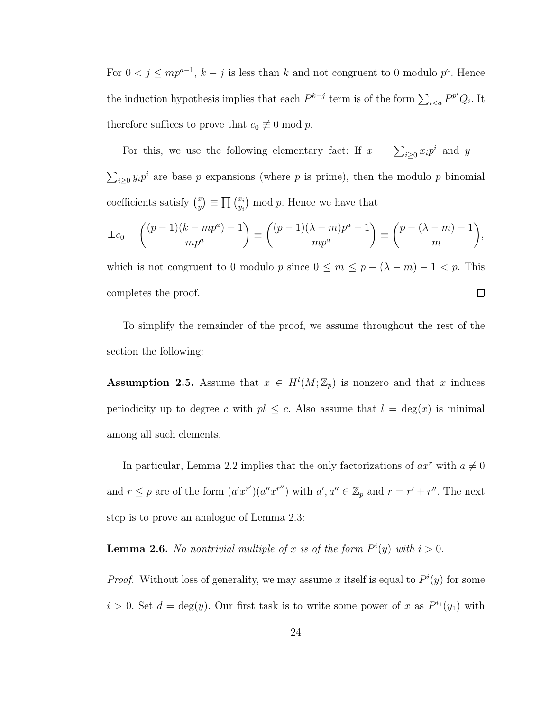For  $0 < j \le mp^{a-1}$ ,  $k - j$  is less than k and not congruent to 0 modulo  $p^a$ . Hence the induction hypothesis implies that each  $P^{k-j}$  term is of the form  $\sum_{i \le a} P^{p^i} Q_i$ . It therefore suffices to prove that  $c_0 \not\equiv 0 \mod p$ .

For this, we use the following elementary fact: If  $x = \sum_{i\geq 0} x_i p^i$  and  $y =$  $\sum_{i\geq 0} y_i p^i$  are base p expansions (where p is prime), then the modulo p binomial coefficients satisfy  $\binom{x}{y}$  $\binom{x}{y} \equiv \prod \binom{x_i}{y_i}$  $\binom{x_i}{y_i}$  mod p. Hence we have that

$$
\pm c_0 = \binom{(p-1)(k-mp^a)-1}{mp^a} \equiv \binom{(p-1)(\lambda-m)p^a-1}{mp^a} \equiv \binom{p-(\lambda-m)-1}{m},
$$

which is not congruent to 0 modulo p since  $0 \le m \le p - (\lambda - m) - 1 < p$ . This  $\Box$ completes the proof.

To simplify the remainder of the proof, we assume throughout the rest of the section the following:

**Assumption 2.5.** Assume that  $x \in H^l(M; \mathbb{Z}_p)$  is nonzero and that x induces periodicity up to degree c with  $pl \leq c$ . Also assume that  $l = \deg(x)$  is minimal among all such elements.

In particular, Lemma 2.2 implies that the only factorizations of  $ax^r$  with  $a \neq 0$ and  $r \leq p$  are of the form  $(a'x^{r'}) (a''x^{r''})$  with  $a', a'' \in \mathbb{Z}_p$  and  $r = r' + r''$ . The next step is to prove an analogue of Lemma 2.3:

**Lemma 2.6.** No nontrivial multiple of x is of the form  $P^{i}(y)$  with  $i > 0$ .

*Proof.* Without loss of generality, we may assume x itself is equal to  $P^{i}(y)$  for some  $i > 0$ . Set  $d = \deg(y)$ . Our first task is to write some power of x as  $P^{i_1}(y_1)$  with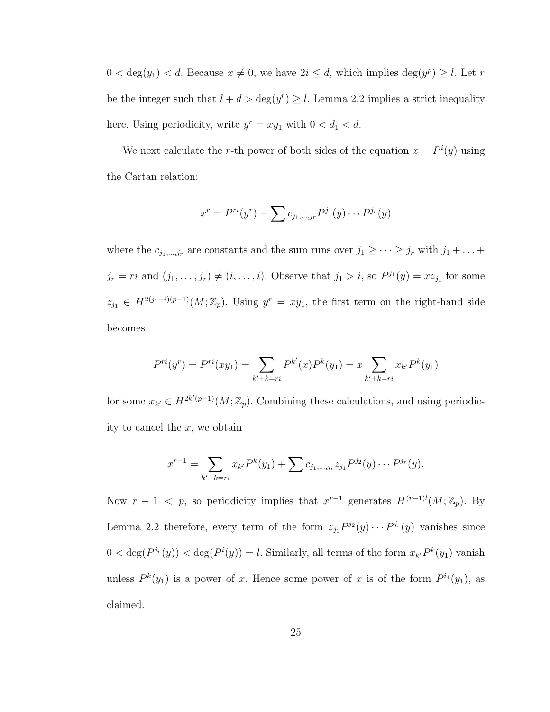$0 < \deg(y_1) < d$ . Because  $x \neq 0$ , we have  $2i \leq d$ , which implies  $\deg(y^p) \geq l$ . Let r be the integer such that  $l + d > deg(y^r) \geq l$ . Lemma 2.2 implies a strict inequality here. Using periodicity, write  $y^r = xy_1$  with  $0 < d_1 < d$ .

We next calculate the r-th power of both sides of the equation  $x = P^{i}(y)$  using the Cartan relation:

$$
x^{r} = P^{ri}(y^{r}) - \sum c_{j_{1},...,j_{r}} P^{j_{1}}(y) \cdots P^{j_{r}}(y)
$$

where the  $c_{j_1,\dots,j_r}$  are constants and the sum runs over  $j_1 \geq \cdots \geq j_r$  with  $j_1 + \dots +$  $j_r = ri$  and  $(j_1, \ldots, j_r) \neq (i, \ldots, i)$ . Observe that  $j_1 > i$ , so  $P^{j_1}(y) = x z_{j_1}$  for some  $z_{j_1} \in H^{2(j_1-i)(p-1)}(M;\mathbb{Z}_p)$ . Using  $y^r = xy_1$ , the first term on the right-hand side becomes

$$
P^{ri}(y^r) = P^{ri}(xy_1) = \sum_{k'+k=ri} P^{k'}(x)P^k(y_1) = x \sum_{k'+k=ri} x_{k'}P^k(y_1)
$$

for some  $x_{k'} \in H^{2k'(p-1)}(M; \mathbb{Z}_p)$ . Combining these calculations, and using periodicity to cancel the  $x$ , we obtain

$$
x^{r-1} = \sum_{k'+k=r} x_{k'} P^k(y_1) + \sum c_{j_1,\dots,j_r} z_{j_1} P^{j_2}(y) \cdots P^{j_r}(y).
$$

Now  $r-1 < p$ , so periodicity implies that  $x^{r-1}$  generates  $H^{(r-1)l}(M;\mathbb{Z}_p)$ . By Lemma 2.2 therefore, every term of the form  $z_{j_1}P^{j_2}(y)\cdots P^{j_r}(y)$  vanishes since  $0 < \deg(P^{j_r}(y)) < \deg(P^{i}(y)) = l$ . Similarly, all terms of the form  $x_{k'}P^k(y_1)$  vanish unless  $P^k(y_1)$  is a power of x. Hence some power of x is of the form  $P^{i_1}(y_1)$ , as claimed.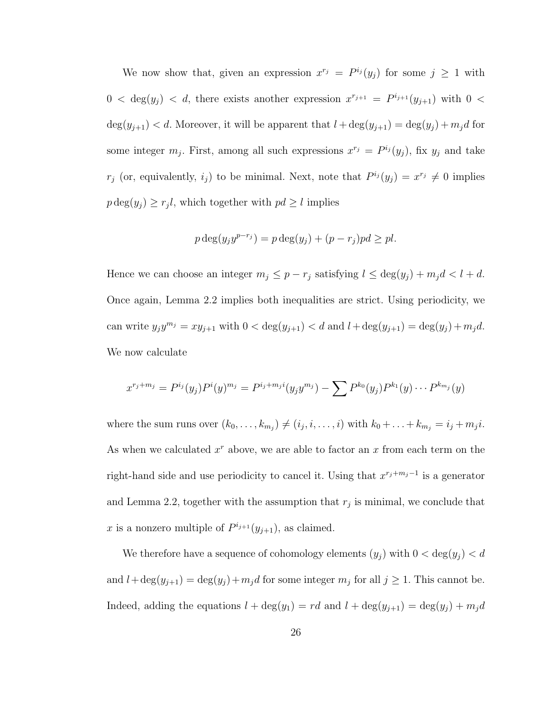We now show that, given an expression  $x^{r_j} = P^{i_j}(y_j)$  for some  $j \geq 1$  with  $0 < \deg(y_j) < d$ , there exists another expression  $x^{r_{j+1}} = P^{i_{j+1}}(y_{j+1})$  with  $0 <$  $deg(y_{j+1}) < d$ . Moreover, it will be apparent that  $l + deg(y_{j+1}) = deg(y_j) + m_j d$  for some integer  $m_j$ . First, among all such expressions  $x^{r_j} = P^{i_j}(y_j)$ , fix  $y_j$  and take  $r_j$  (or, equivalently,  $i_j$ ) to be minimal. Next, note that  $P^{i_j}(y_j) = x^{r_j} \neq 0$  implies  $p \deg(y_j) \geq r_j l$ , which together with  $pd \geq l$  implies

$$
p \deg(y_j y^{p-r_j}) = p \deg(y_j) + (p-r_j)pd \ge pl.
$$

Hence we can choose an integer  $m_j \leq p - r_j$  satisfying  $l \leq \deg(y_j) + m_j d < l + d$ . Once again, Lemma 2.2 implies both inequalities are strict. Using periodicity, we can write  $y_j y^{m_j} = xy_{j+1}$  with  $0 < \deg(y_{j+1}) < d$  and  $l + \deg(y_{j+1}) = \deg(y_j) + m_j d$ . We now calculate

$$
x^{r_j+m_j} = P^{i_j}(y_j)P^{i}(y)^{m_j} = P^{i_j+m_ji}(y_jy^{m_j}) - \sum P^{k_0}(y_j)P^{k_1}(y)\cdots P^{k_{m_j}}(y)
$$

where the sum runs over  $(k_0, \ldots, k_{m_j}) \neq (i_j, i, \ldots, i)$  with  $k_0 + \ldots + k_{m_j} = i_j + m_j i$ . As when we calculated  $x^r$  above, we are able to factor an  $x$  from each term on the right-hand side and use periodicity to cancel it. Using that  $x^{r_j+m_j-1}$  is a generator and Lemma 2.2, together with the assumption that  $r_j$  is minimal, we conclude that x is a nonzero multiple of  $P^{i_{j+1}}(y_{j+1})$ , as claimed.

We therefore have a sequence of cohomology elements  $(y_j)$  with  $0 < \deg(y_j) < d$ and  $l + \deg(y_{j+1}) = \deg(y_j) + m_j d$  for some integer  $m_j$  for all  $j \ge 1$ . This cannot be. Indeed, adding the equations  $l + \deg(y_1) = rd$  and  $l + \deg(y_{j+1}) = \deg(y_j) + m_jd$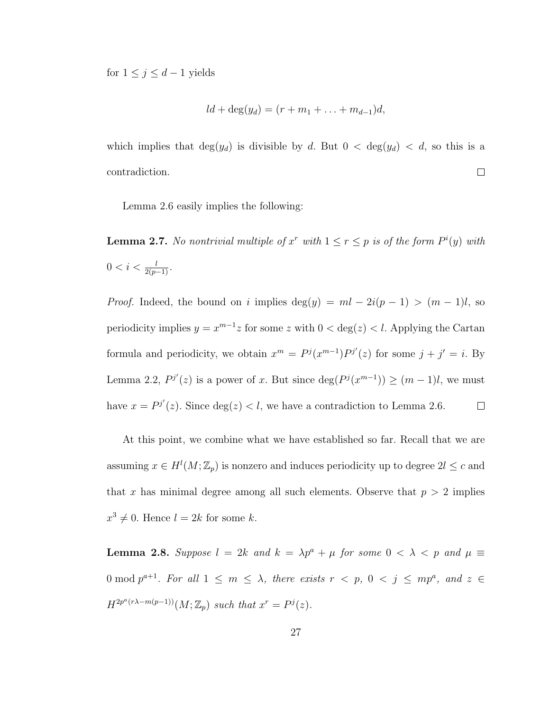for  $1 \leq j \leq d-1$  yields

$$
ld + \deg(y_d) = (r + m_1 + \ldots + m_{d-1})d,
$$

which implies that  $deg(y_d)$  is divisible by d. But  $0 < deg(y_d) < d$ , so this is a contradiction.  $\Box$ 

Lemma 2.6 easily implies the following:

**Lemma 2.7.** No nontrivial multiple of  $x^r$  with  $1 \le r \le p$  is of the form  $P^i(y)$  with  $0 < i < \frac{l}{2(p-1)}$ .

*Proof.* Indeed, the bound on i implies deg(y) =  $ml - 2i(p - 1) > (m - 1)l$ , so periodicity implies  $y = x^{m-1}z$  for some z with  $0 < \deg(z) < l$ . Applying the Cartan formula and periodicity, we obtain  $x^m = P^j(x^{m-1})P^{j'}(z)$  for some  $j + j' = i$ . By Lemma 2.2,  $P^{j'}(z)$  is a power of x. But since  $\deg(P^{j}(x^{m-1})) \geq (m-1)l$ , we must have  $x = P^{j'}(z)$ . Since  $deg(z) < l$ , we have a contradiction to Lemma 2.6.  $\Box$ 

At this point, we combine what we have established so far. Recall that we are assuming  $x \in H^l(M; \mathbb{Z}_p)$  is nonzero and induces periodicity up to degree  $2l \leq c$  and that x has minimal degree among all such elements. Observe that  $p > 2$  implies  $x^3 \neq 0$ . Hence  $l = 2k$  for some k.

**Lemma 2.8.** Suppose  $l = 2k$  and  $k = \lambda p^a + \mu$  for some  $0 < \lambda < p$  and  $\mu \equiv$ 0 mod  $p^{a+1}$ . For all  $1 \leq m \leq \lambda$ , there exists  $r < p$ ,  $0 < j \leq mp^a$ , and  $z \in$  $H^{2p^a(r\lambda-m(p-1))}(M;\mathbb{Z}_p)$  such that  $x^r = P^j(z)$ .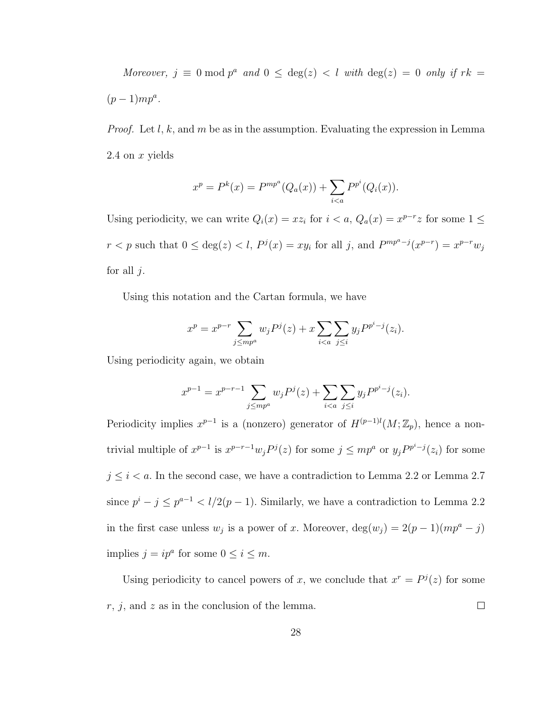Moreover,  $j \equiv 0 \mod p^a$  and  $0 \leq \deg(z) < l$  with  $\deg(z) = 0$  only if  $rk =$  $(p-1)mp^a$ .

*Proof.* Let l, k, and m be as in the assumption. Evaluating the expression in Lemma 2.4 on  $x$  yields

$$
x^{p} = P^{k}(x) = P^{mp^{a}}(Q_{a}(x)) + \sum_{i < a} P^{p^{i}}(Q_{i}(x)).
$$

Using periodicity, we can write  $Q_i(x) = xz_i$  for  $i < a$ ,  $Q_a(x) = x^{p-r}z$  for some  $1 \leq$  $r < p$  such that  $0 \le \deg(z) < l$ ,  $P^j(x) = xy_i$  for all j, and  $P^{mp^a-j}(x^{p-r}) = x^{p-r}w_j$ for all  $j$ .

Using this notation and the Cartan formula, we have

$$
x^{p} = x^{p-r} \sum_{j \le mp^{a}} w_{j} P^{j}(z) + x \sum_{i < a} \sum_{j \le i} y_{j} P^{p^{i}-j}(z_{i}).
$$

Using periodicity again, we obtain

$$
x^{p-1} = x^{p-r-1} \sum_{j \le mp^a} w_j P^j(z) + \sum_{i < a} \sum_{j \le i} y_j P^{p^i - j}(z_i).
$$

Periodicity implies  $x^{p-1}$  is a (nonzero) generator of  $H^{(p-1)l}(M;\mathbb{Z}_p)$ , hence a nontrivial multiple of  $x^{p-1}$  is  $x^{p-r-1}w_jP^j(z)$  for some  $j \leq mp^a$  or  $y_jP^{p^i-j}(z_i)$  for some  $j \leq i < a$ . In the second case, we have a contradiction to Lemma 2.2 or Lemma 2.7 since  $p^{i} - j \leq p^{a-1} < l/2(p-1)$ . Similarly, we have a contradiction to Lemma 2.2 in the first case unless  $w_j$  is a power of x. Moreover,  $\deg(w_j) = 2(p-1)(mp^a - j)$ implies  $j = ip^a$  for some  $0 \le i \le m$ .

Using periodicity to cancel powers of x, we conclude that  $x^r = P^{j}(z)$  for some  $r, j, \text{ and } z \text{ as in the conclusion of the lemma.}$  $\Box$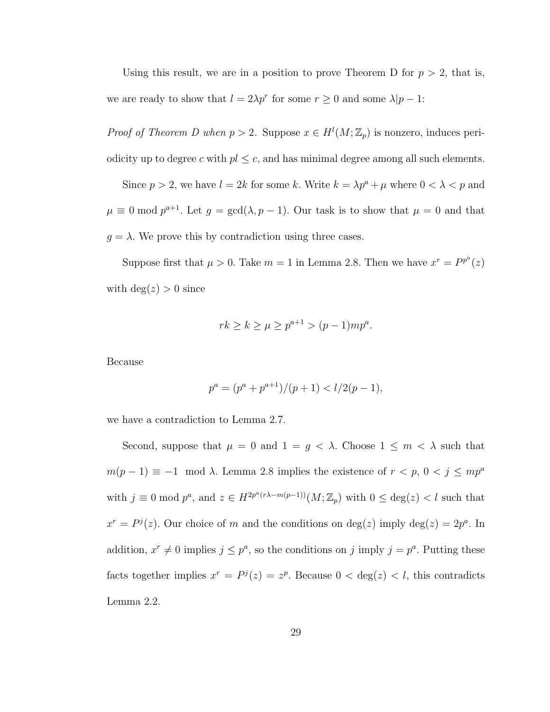Using this result, we are in a position to prove Theorem D for  $p > 2$ , that is, we are ready to show that  $l = 2\lambda p^r$  for some  $r \geq 0$  and some  $\lambda | p - 1$ :

*Proof of Theorem D when*  $p > 2$ . Suppose  $x \in H^1(M; \mathbb{Z}_p)$  is nonzero, induces periodicity up to degree c with  $pl \leq c$ , and has minimal degree among all such elements.

Since  $p > 2$ , we have  $l = 2k$  for some k. Write  $k = \lambda p^a + \mu$  where  $0 < \lambda < p$  and  $\mu \equiv 0 \mod p^{a+1}$ . Let  $g = \gcd(\lambda, p-1)$ . Our task is to show that  $\mu = 0$  and that  $g = \lambda$ . We prove this by contradiction using three cases.

Suppose first that  $\mu > 0$ . Take  $m = 1$  in Lemma 2.8. Then we have  $x^r = P^{p^a}(z)$ with  $deg(z) > 0$  since

$$
rk \ge k \ge \mu \ge p^{a+1} > (p-1)mp^a.
$$

Because

$$
p^a = (p^a + p^{a+1})/(p+1) < l/2(p-1),
$$

we have a contradiction to Lemma 2.7.

Second, suppose that  $\mu = 0$  and  $1 = g < \lambda$ . Choose  $1 \leq m < \lambda$  such that  $m(p-1) \equiv -1 \mod \lambda$ . Lemma 2.8 implies the existence of  $r < p$ ,  $0 < j \le mp^a$ with  $j \equiv 0 \mod p^a$ , and  $z \in H^{2p^a(r\lambda - m(p-1))}(M; \mathbb{Z}_p)$  with  $0 \leq \deg(z) < l$  such that  $x^r = P^j(z)$ . Our choice of m and the conditions on  $\deg(z)$  imply  $\deg(z) = 2p^a$ . In addition,  $x^r \neq 0$  implies  $j \leq p^a$ , so the conditions on j imply  $j = p^a$ . Putting these facts together implies  $x^r = P^j(z) = z^p$ . Because  $0 < \deg(z) < l$ , this contradicts Lemma 2.2.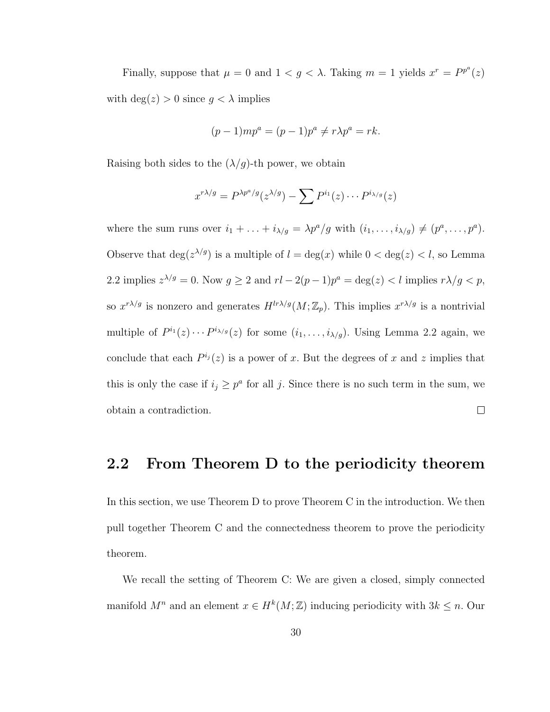Finally, suppose that  $\mu = 0$  and  $1 < g < \lambda$ . Taking  $m = 1$  yields  $x^r = P^{p^a}(z)$ with  $\deg(z) > 0$  since  $g < \lambda$  implies

$$
(p-1)mp^{a} = (p-1)p^{a} \neq r\lambda p^{a} = rk.
$$

Raising both sides to the  $(\lambda/g)$ -th power, we obtain

$$
x^{r\lambda/g} = P^{\lambda p^a/g}(z^{\lambda/g}) - \sum P^{i_1}(z) \cdots P^{i_{\lambda/g}}(z)
$$

where the sum runs over  $i_1 + \ldots + i_{\lambda/g} = \lambda p^a/g$  with  $(i_1, \ldots, i_{\lambda/g}) \neq (p^a, \ldots, p^a)$ . Observe that  $\deg(z^{\lambda/g})$  is a multiple of  $l = \deg(x)$  while  $0 < \deg(z) < l$ , so Lemma 2.2 implies  $z^{\lambda/g} = 0$ . Now  $g \ge 2$  and  $rl - 2(p-1)p^a = \deg(z) < l$  implies  $r\lambda/g < p$ , so  $x^{r\lambda/g}$  is nonzero and generates  $H^{lr\lambda/g}(M;\mathbb{Z}_p)$ . This implies  $x^{r\lambda/g}$  is a nontrivial multiple of  $P^{i_1}(z) \cdots P^{i_{\lambda/g}}(z)$  for some  $(i_1, \ldots, i_{\lambda/g})$ . Using Lemma 2.2 again, we conclude that each  $P^{i_j}(z)$  is a power of x. But the degrees of x and z implies that this is only the case if  $i_j \geq p^a$  for all j. Since there is no such term in the sum, we obtain a contradiction.  $\Box$ 

#### 2.2 From Theorem D to the periodicity theorem

In this section, we use Theorem D to prove Theorem C in the introduction. We then pull together Theorem C and the connectedness theorem to prove the periodicity theorem.

We recall the setting of Theorem C: We are given a closed, simply connected manifold  $M^n$  and an element  $x \in H^k(M;\mathbb{Z})$  inducing periodicity with  $3k \leq n$ . Our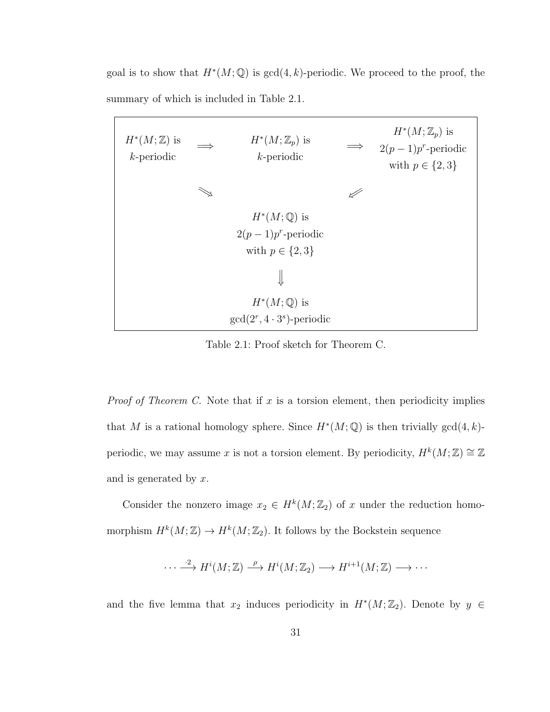goal is to show that  $H^*(M; \mathbb{Q})$  is  $gcd(4, k)$ -periodic. We proceed to the proof, the summary of which is included in Table 2.1.

| $H^*(M;\mathbb{Z})$ is<br>$k$ -periodic | $\implies$ | $H^*(M;\mathbb{Z}_p)$ is<br>$k$ -periodic | $\Longrightarrow$ | $H^*(M;\mathbb{Z}_p)$ is<br>$2(p-1)p^r$ -periodic<br>with $p \in \{2,3\}$ |
|-----------------------------------------|------------|-------------------------------------------|-------------------|---------------------------------------------------------------------------|
|                                         |            |                                           |                   |                                                                           |
|                                         |            | $H^*(M;{\mathbb Q})$ is                   |                   |                                                                           |
|                                         |            | $2(p-1)p^r$ -periodic                     |                   |                                                                           |
|                                         |            | with $p \in \{2,3\}$                      |                   |                                                                           |
|                                         |            |                                           |                   |                                                                           |
|                                         |            | $H^*(M;{\mathbb Q})$ is                   |                   |                                                                           |
|                                         |            | $gcd(2^r, 4 \cdot 3^s)$ -periodic         |                   |                                                                           |

Table 2.1: Proof sketch for Theorem C.

*Proof of Theorem C.* Note that if  $x$  is a torsion element, then periodicity implies that M is a rational homology sphere. Since  $H^*(M; \mathbb{Q})$  is then trivially  $gcd(4, k)$ periodic, we may assume x is not a torsion element. By periodicity,  $H^k(M;\mathbb{Z}) \cong \mathbb{Z}$ and is generated by  $x$ .

Consider the nonzero image  $x_2 \in H^k(M; \mathbb{Z}_2)$  of x under the reduction homomorphism  $H^k(M; \mathbb{Z}) \to H^k(M; \mathbb{Z}_2)$ . It follows by the Bockstein sequence

$$
\cdots \stackrel{\cdot 2}{\longrightarrow} H^i(M; \mathbb{Z}) \stackrel{\rho}{\longrightarrow} H^i(M; \mathbb{Z}_2) \longrightarrow H^{i+1}(M; \mathbb{Z}) \longrightarrow \cdots
$$

and the five lemma that  $x_2$  induces periodicity in  $H^*(M; \mathbb{Z}_2)$ . Denote by  $y \in$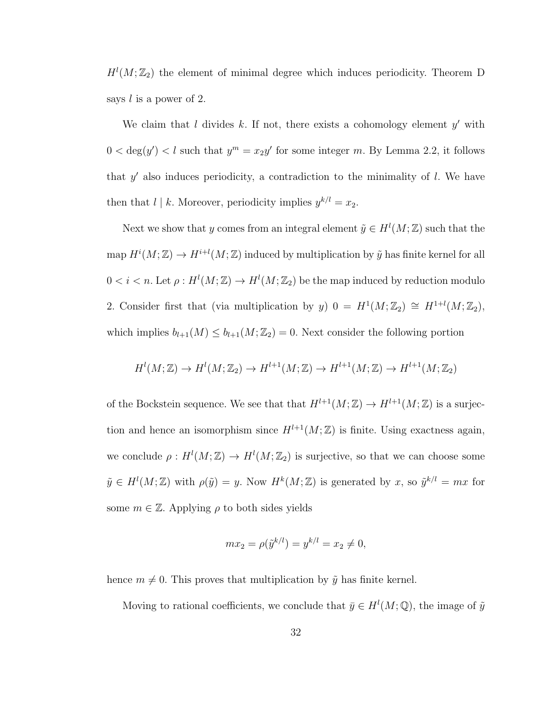$H^l(M; \mathbb{Z}_2)$  the element of minimal degree which induces periodicity. Theorem D says  $l$  is a power of 2.

We claim that  $l$  divides  $k$ . If not, there exists a cohomology element  $y'$  with  $0 < \deg(y') < l$  such that  $y^m = x_2y'$  for some integer m. By Lemma 2.2, it follows that  $y'$  also induces periodicity, a contradiction to the minimality of  $l$ . We have then that  $l \mid k$ . Moreover, periodicity implies  $y^{k/l} = x_2$ .

Next we show that y comes from an integral element  $\tilde{y} \in H^l(M; \mathbb{Z})$  such that the map  $H^i(M; \mathbb{Z}) \to H^{i+l}(M; \mathbb{Z})$  induced by multiplication by  $\tilde{y}$  has finite kernel for all  $0 < i < n$ . Let  $\rho: H^l(M; \mathbb{Z}) \to H^l(M; \mathbb{Z}_2)$  be the map induced by reduction modulo 2. Consider first that (via multiplication by y)  $0 = H^1(M; \mathbb{Z}_2) \cong H^{1+l}(M; \mathbb{Z}_2)$ , which implies  $b_{l+1}(M) \leq b_{l+1}(M; \mathbb{Z}_2) = 0$ . Next consider the following portion

$$
H^l(M; \mathbb{Z}) \to H^l(M; \mathbb{Z}_2) \to H^{l+1}(M; \mathbb{Z}) \to H^{l+1}(M; \mathbb{Z}) \to H^{l+1}(M; \mathbb{Z}_2)
$$

of the Bockstein sequence. We see that that  $H^{l+1}(M; \mathbb{Z}) \to H^{l+1}(M; \mathbb{Z})$  is a surjection and hence an isomorphism since  $H^{l+1}(M;\mathbb{Z})$  is finite. Using exactness again, we conclude  $\rho: H^l(M; \mathbb{Z}) \to H^l(M; \mathbb{Z}_2)$  is surjective, so that we can choose some  $\tilde{y} \in H^l(M;\mathbb{Z})$  with  $\rho(\tilde{y}) = y$ . Now  $H^k(M;\mathbb{Z})$  is generated by x, so  $\tilde{y}^{k/l} = mx$  for some  $m \in \mathbb{Z}$ . Applying  $\rho$  to both sides yields

$$
mx_2 = \rho(\tilde{y}^{k/l}) = y^{k/l} = x_2 \neq 0,
$$

hence  $m \neq 0$ . This proves that multiplication by  $\tilde{y}$  has finite kernel.

Moving to rational coefficients, we conclude that  $\bar{y} \in H^l(M; \mathbb{Q})$ , the image of  $\tilde{y}$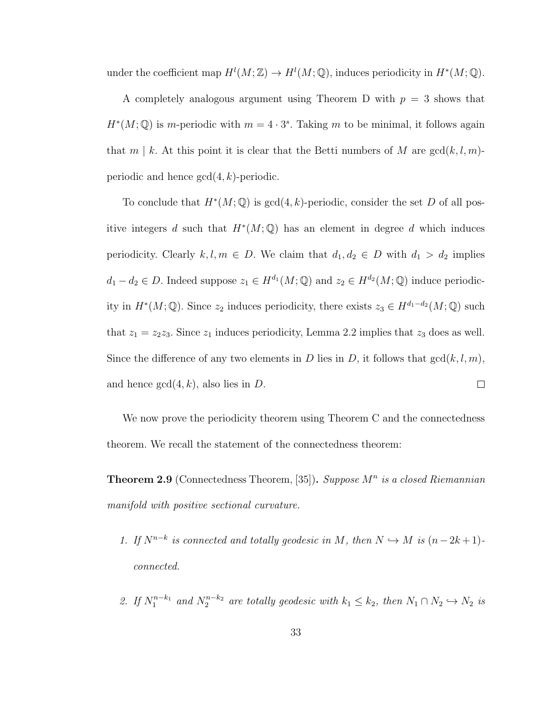under the coefficient map  $H^l(M; \mathbb{Z}) \to H^l(M; \mathbb{Q})$ , induces periodicity in  $H^*(M; \mathbb{Q})$ .

A completely analogous argument using Theorem D with  $p = 3$  shows that  $H^*(M; \mathbb{Q})$  is m-periodic with  $m = 4 \cdot 3^s$ . Taking m to be minimal, it follows again that  $m \mid k$ . At this point it is clear that the Betti numbers of M are  $gcd(k, l, m)$ periodic and hence  $gcd(4, k)$ -periodic.

To conclude that  $H^*(M; \mathbb{Q})$  is  $gcd(4, k)$ -periodic, consider the set D of all positive integers d such that  $H^*(M; \mathbb{Q})$  has an element in degree d which induces periodicity. Clearly  $k, l, m \in D$ . We claim that  $d_1, d_2 \in D$  with  $d_1 > d_2$  implies  $d_1 - d_2 \in D$ . Indeed suppose  $z_1 \in H^{d_1}(M; \mathbb{Q})$  and  $z_2 \in H^{d_2}(M; \mathbb{Q})$  induce periodicity in  $H^*(M; \mathbb{Q})$ . Since  $z_2$  induces periodicity, there exists  $z_3 \in H^{d_1-d_2}(M; \mathbb{Q})$  such that  $z_1 = z_2z_3$ . Since  $z_1$  induces periodicity, Lemma 2.2 implies that  $z_3$  does as well. Since the difference of any two elements in D lies in D, it follows that  $gcd(k, l, m)$ , and hence  $gcd(4, k)$ , also lies in D.  $\Box$ 

We now prove the periodicity theorem using Theorem C and the connectedness theorem. We recall the statement of the connectedness theorem:

**Theorem 2.9** (Connectedness Theorem, [35]). Suppose  $M^n$  is a closed Riemannian manifold with positive sectional curvature.

- 1. If  $N^{n-k}$  is connected and totally geodesic in M, then  $N \hookrightarrow M$  is  $(n-2k+1)$ connected.
- 2. If  $N_1^{n-k_1}$  and  $N_2^{n-k_2}$  are totally geodesic with  $k_1 \leq k_2$ , then  $N_1 \cap N_2 \hookrightarrow N_2$  is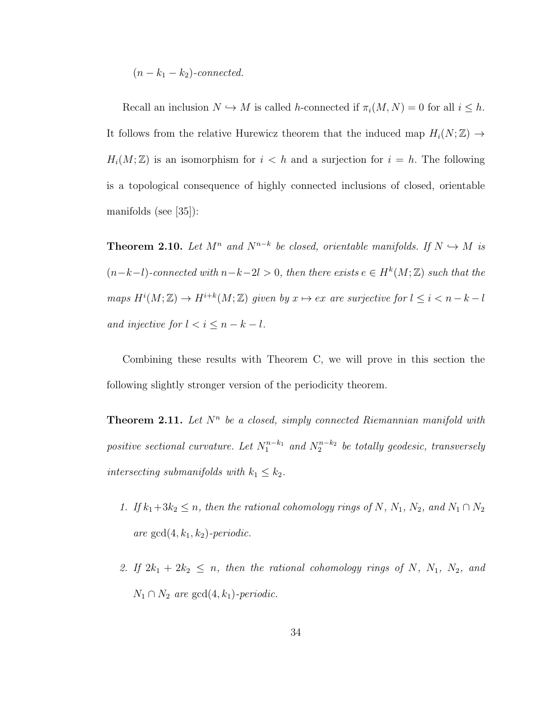$(n - k_1 - k_2)$ -connected.

Recall an inclusion  $N \hookrightarrow M$  is called h-connected if  $\pi_i(M, N) = 0$  for all  $i \leq h$ . It follows from the relative Hurewicz theorem that the induced map  $H_i(N; \mathbb{Z}) \rightarrow$  $H_i(M;\mathbb{Z})$  is an isomorphism for  $i < h$  and a surjection for  $i = h$ . The following is a topological consequence of highly connected inclusions of closed, orientable manifolds (see [35]):

**Theorem 2.10.** Let  $M^n$  and  $N^{n-k}$  be closed, orientable manifolds. If  $N \hookrightarrow M$  is  $(n-k-l)$ -connected with  $n-k-2l > 0$ , then there exists  $e \in H^k(M;\mathbb{Z})$  such that the maps  $H^i(M; \mathbb{Z}) \to H^{i+k}(M; \mathbb{Z})$  given by  $x \mapsto ex$  are surjective for  $l \leq i < n-k-l$ and injective for  $l < i \leq n - k - l$ .

Combining these results with Theorem C, we will prove in this section the following slightly stronger version of the periodicity theorem.

**Theorem 2.11.** Let  $N^n$  be a closed, simply connected Riemannian manifold with positive sectional curvature. Let  $N_1^{n-k_1}$  and  $N_2^{n-k_2}$  be totally geodesic, transversely intersecting submanifolds with  $k_1 \leq k_2$ .

- 1. If  $k_1+3k_2 \leq n$ , then the rational cohomology rings of N,  $N_1$ ,  $N_2$ , and  $N_1 \cap N_2$ are  $gcd(4, k_1, k_2)$ -periodic.
- 2. If  $2k_1 + 2k_2 \leq n$ , then the rational cohomology rings of N, N<sub>1</sub>, N<sub>2</sub>, and  $N_1 \cap N_2$  are  $gcd(4, k_1)$ -periodic.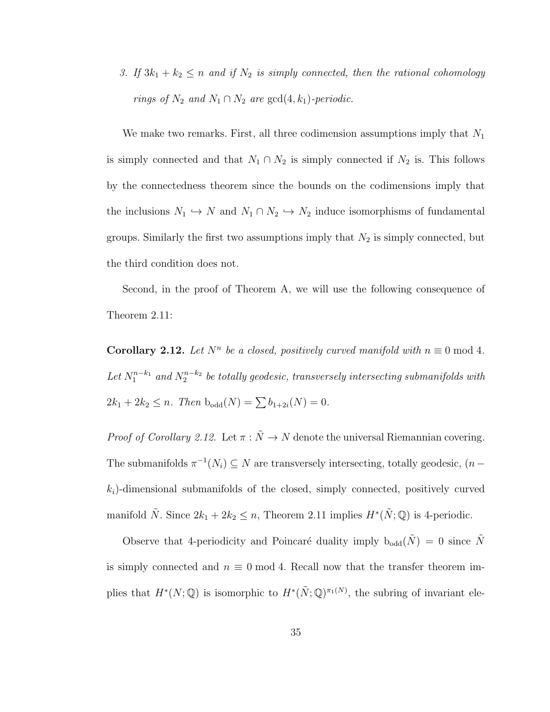3. If  $3k_1 + k_2 \leq n$  and if  $N_2$  is simply connected, then the rational cohomology rings of  $N_2$  and  $N_1 \cap N_2$  are  $gcd(4, k_1)$ -periodic.

We make two remarks. First, all three codimension assumptions imply that  $N_1$ is simply connected and that  $N_1 \cap N_2$  is simply connected if  $N_2$  is. This follows by the connectedness theorem since the bounds on the codimensions imply that the inclusions  $N_1 \hookrightarrow N$  and  $N_1 \cap N_2 \hookrightarrow N_2$  induce isomorphisms of fundamental groups. Similarly the first two assumptions imply that  $N_2$  is simply connected, but the third condition does not.

Second, in the proof of Theorem A, we will use the following consequence of Theorem 2.11:

**Corollary 2.12.** Let  $N^n$  be a closed, positively curved manifold with  $n \equiv 0 \mod 4$ . Let  $N_1^{n-k_1}$  and  $N_2^{n-k_2}$  be totally geodesic, transversely intersecting submanifolds with  $2k_1 + 2k_2 \leq n$ . Then  $b_{odd}(N) = \sum b_{1+2i}(N) = 0$ .

*Proof of Corollary 2.12.* Let  $\pi : \tilde{N} \to N$  denote the universal Riemannian covering. The submanifolds  $\pi^{-1}(N_i) \subseteq N$  are transversely intersecting, totally geodesic,  $(n-\pi)$  $k<sub>i</sub>$ )-dimensional submanifolds of the closed, simply connected, positively curved manifold  $\tilde{N}$ . Since  $2k_1 + 2k_2 \leq n$ , Theorem 2.11 implies  $H^*(\tilde{N}; \mathbb{Q})$  is 4-periodic.

Observe that 4-periodicity and Poincaré duality imply  $b_{odd}(\tilde{N}) = 0$  since  $\tilde{N}$ is simply connected and  $n \equiv 0 \mod 4$ . Recall now that the transfer theorem implies that  $H^*(N; \mathbb{Q})$  is isomorphic to  $H^*(\tilde{N}; \mathbb{Q})^{\pi_1(N)}$ , the subring of invariant ele-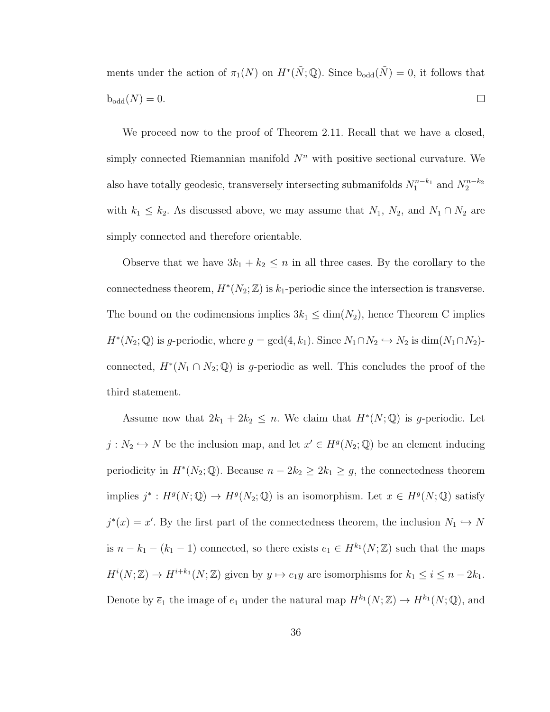ments under the action of  $\pi_1(N)$  on  $H^*(\tilde{N};\mathbb{Q})$ . Since  $b_{odd}(\tilde{N})=0$ , it follows that  $b_{\text{odd}}(N) = 0.$  $\Box$ 

We proceed now to the proof of Theorem 2.11. Recall that we have a closed, simply connected Riemannian manifold  $N^n$  with positive sectional curvature. We also have totally geodesic, transversely intersecting submanifolds  $N_1^{n-k_1}$  and  $N_2^{n-k_2}$ with  $k_1 \leq k_2$ . As discussed above, we may assume that  $N_1$ ,  $N_2$ , and  $N_1 \cap N_2$  are simply connected and therefore orientable.

Observe that we have  $3k_1 + k_2 \leq n$  in all three cases. By the corollary to the connectedness theorem,  $H^*(N_2; \mathbb{Z})$  is  $k_1$ -periodic since the intersection is transverse. The bound on the codimensions implies  $3k_1 \leq \dim(N_2)$ , hence Theorem C implies  $H^*(N_2; \mathbb{Q})$  is g-periodic, where  $g = \gcd(4, k_1)$ . Since  $N_1 \cap N_2 \hookrightarrow N_2$  is  $\dim(N_1 \cap N_2)$ connected,  $H^*(N_1 \cap N_2; \mathbb{Q})$  is g-periodic as well. This concludes the proof of the third statement.

Assume now that  $2k_1 + 2k_2 \leq n$ . We claim that  $H^*(N; \mathbb{Q})$  is g-periodic. Let  $j: N_2 \hookrightarrow N$  be the inclusion map, and let  $x' \in H^g(N_2; \mathbb{Q})$  be an element inducing periodicity in  $H^*(N_2; \mathbb{Q})$ . Because  $n - 2k_2 \geq 2k_1 \geq g$ , the connectedness theorem implies  $j^*: H^g(N; \mathbb{Q}) \to H^g(N_2; \mathbb{Q})$  is an isomorphism. Let  $x \in H^g(N; \mathbb{Q})$  satisfy  $j^*(x) = x'$ . By the first part of the connectedness theorem, the inclusion  $N_1 \hookrightarrow N$ is  $n - k_1 - (k_1 - 1)$  connected, so there exists  $e_1 \in H^{k_1}(N; \mathbb{Z})$  such that the maps  $H^{i}(N;\mathbb{Z}) \to H^{i+k_1}(N;\mathbb{Z})$  given by  $y \mapsto e_1y$  are isomorphisms for  $k_1 \leq i \leq n-2k_1$ . Denote by  $\overline{e}_1$  the image of  $e_1$  under the natural map  $H^{k_1}(N;\mathbb{Z}) \to H^{k_1}(N;\mathbb{Q})$ , and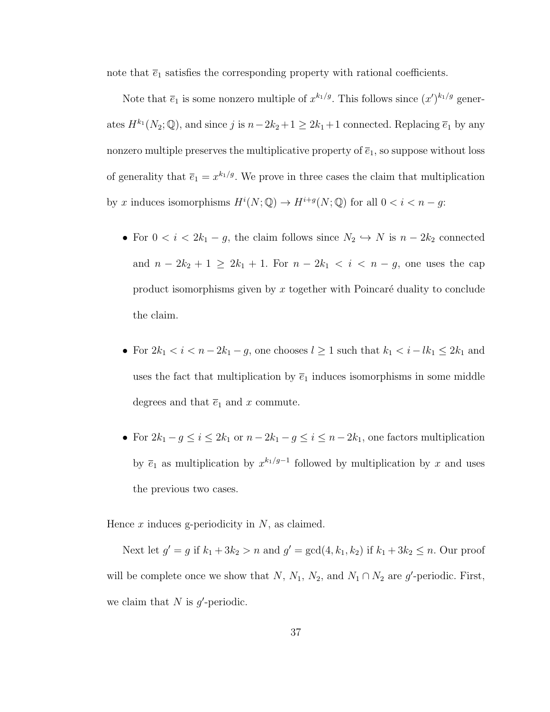note that  $\overline{e}_1$  satisfies the corresponding property with rational coefficients.

Note that  $\bar{e}_1$  is some nonzero multiple of  $x^{k_1/g}$ . This follows since  $(x')^{k_1/g}$  generates  $H^{k_1}(N_2; \mathbb{Q})$ , and since j is  $n-2k_2+1 \geq 2k_1+1$  connected. Replacing  $\overline{e}_1$  by any nonzero multiple preserves the multiplicative property of  $\overline{e}_1$ , so suppose without loss of generality that  $\bar{e}_1 = x^{k_1/g}$ . We prove in three cases the claim that multiplication by x induces isomorphisms  $H^i(N; \mathbb{Q}) \to H^{i+g}(N; \mathbb{Q})$  for all  $0 < i < n-g$ :

- For  $0 < i < 2k_1 g$ , the claim follows since  $N_2 \hookrightarrow N$  is  $n 2k_2$  connected and  $n - 2k_2 + 1 \ge 2k_1 + 1$ . For  $n - 2k_1 < i < n - g$ , one uses the cap product isomorphisms given by  $x$  together with Poincaré duality to conclude the claim.
- For  $2k_1 < i < n-2k_1-g$ , one chooses  $l \geq 1$  such that  $k_1 < i lk_1 \leq 2k_1$  and uses the fact that multiplication by  $\bar{e}_1$  induces isomorphisms in some middle degrees and that  $\overline{e}_1$  and x commute.
- For  $2k_1 g \le i \le 2k_1$  or  $n 2k_1 g \le i \le n 2k_1$ , one factors multiplication by  $\overline{e}_1$  as multiplication by  $x^{k_1/g-1}$  followed by multiplication by x and uses the previous two cases.

Hence  $x$  induces g-periodicity in  $N$ , as claimed.

Next let  $g' = g$  if  $k_1 + 3k_2 > n$  and  $g' = \gcd(4, k_1, k_2)$  if  $k_1 + 3k_2 \leq n$ . Our proof will be complete once we show that N,  $N_1$ ,  $N_2$ , and  $N_1 \cap N_2$  are g'-periodic. First, we claim that  $N$  is  $g'$ -periodic.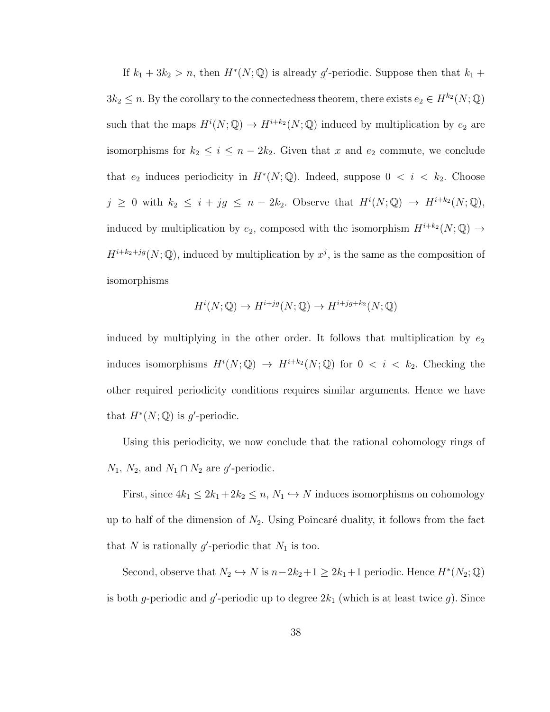If  $k_1 + 3k_2 > n$ , then  $H^*(N; \mathbb{Q})$  is already g'-periodic. Suppose then that  $k_1 +$  $3k_2 \leq n$ . By the corollary to the connectedness theorem, there exists  $e_2 \in H^{k_2}(N; \mathbb{Q})$ such that the maps  $H^i(N; \mathbb{Q}) \to H^{i+k_2}(N; \mathbb{Q})$  induced by multiplication by  $e_2$  are isomorphisms for  $k_2 \leq i \leq n-2k_2$ . Given that x and  $e_2$  commute, we conclude that  $e_2$  induces periodicity in  $H^*(N; \mathbb{Q})$ . Indeed, suppose  $0 \lt i \lt k_2$ . Choose  $j \geq 0$  with  $k_2 \leq i + jg \leq n - 2k_2$ . Observe that  $H^i(N; \mathbb{Q}) \to H^{i+k_2}(N; \mathbb{Q}),$ induced by multiplication by  $e_2$ , composed with the isomorphism  $H^{i+k_2}(N; \mathbb{Q}) \to$  $H^{i+k_2+jg}(N; \mathbb{Q})$ , induced by multiplication by  $x^j$ , is the same as the composition of isomorphisms

$$
H^i(N; \mathbb{Q}) \to H^{i+jg}(N; \mathbb{Q}) \to H^{i+jg+k_2}(N; \mathbb{Q})
$$

induced by multiplying in the other order. It follows that multiplication by  $e_2$ induces isomorphisms  $H^{i}(N; \mathbb{Q}) \to H^{i+k_2}(N; \mathbb{Q})$  for  $0 < i < k_2$ . Checking the other required periodicity conditions requires similar arguments. Hence we have that  $H^*(N; \mathbb{Q})$  is g'-periodic.

Using this periodicity, we now conclude that the rational cohomology rings of  $N_1$ ,  $N_2$ , and  $N_1 \cap N_2$  are g'-periodic.

First, since  $4k_1 \leq 2k_1 + 2k_2 \leq n$ ,  $N_1 \hookrightarrow N$  induces isomorphisms on cohomology up to half of the dimension of  $N_2$ . Using Poincaré duality, it follows from the fact that N is rationally g'-periodic that  $N_1$  is too.

Second, observe that  $N_2 \hookrightarrow N$  is  $n-2k_2+1 \geq 2k_1+1$  periodic. Hence  $H^*(N_2; \mathbb{Q})$ is both g-periodic and g'-periodic up to degree  $2k_1$  (which is at least twice g). Since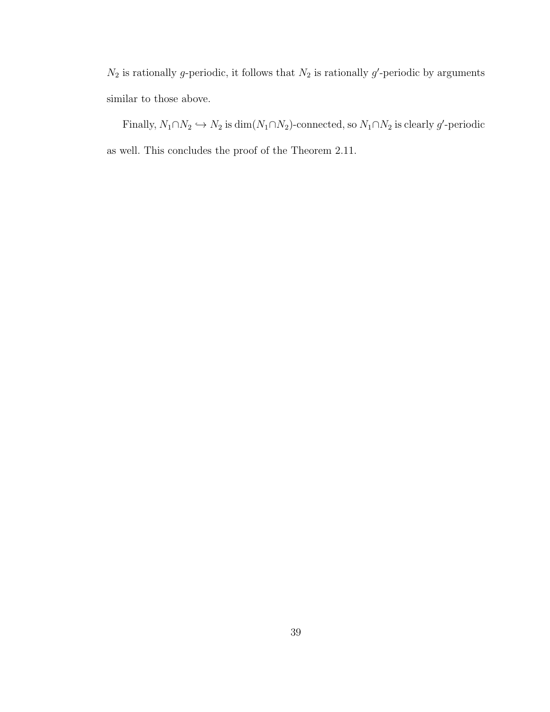$N_2$  is rationally g-periodic, it follows that  $N_2$  is rationally g'-periodic by arguments similar to those above.

Finally,  $N_1 \cap N_2 \hookrightarrow N_2$  is  $\dim(N_1 \cap N_2)$ -connected, so  $N_1 \cap N_2$  is clearly g'-periodic as well. This concludes the proof of the Theorem 2.11.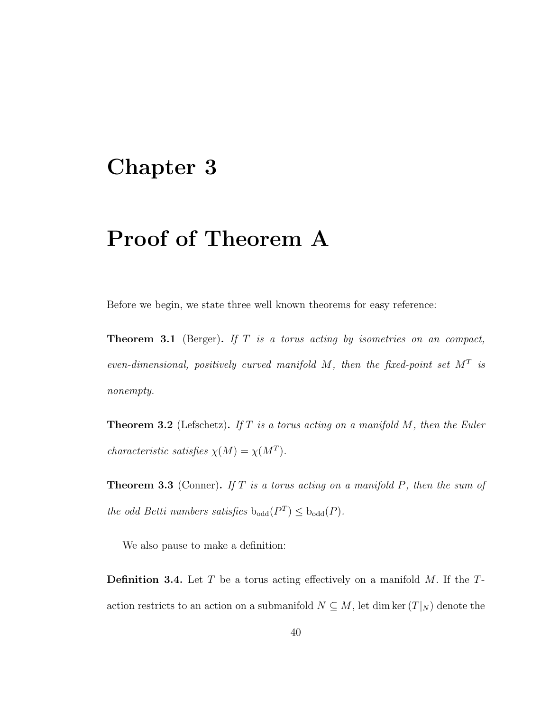#### Chapter 3

## Proof of Theorem A

Before we begin, we state three well known theorems for easy reference:

**Theorem 3.1** (Berger). If  $T$  is a torus acting by isometries on an compact, even-dimensional, positively curved manifold  $M$ , then the fixed-point set  $M<sup>T</sup>$  is nonempty.

**Theorem 3.2** (Lefschetz). If T is a torus acting on a manifold  $M$ , then the Euler characteristic satisfies  $\chi(M) = \chi(M^T)$ .

**Theorem 3.3** (Conner). If T is a torus acting on a manifold P, then the sum of the odd Betti numbers satisfies  $b_{odd}(P^T) \leq b_{odd}(P)$ .

We also pause to make a definition:

**Definition 3.4.** Let T be a torus acting effectively on a manifold  $M$ . If the Taction restricts to an action on a submanifold  $N \subseteq M$ , let dim ker  $(T|_N)$  denote the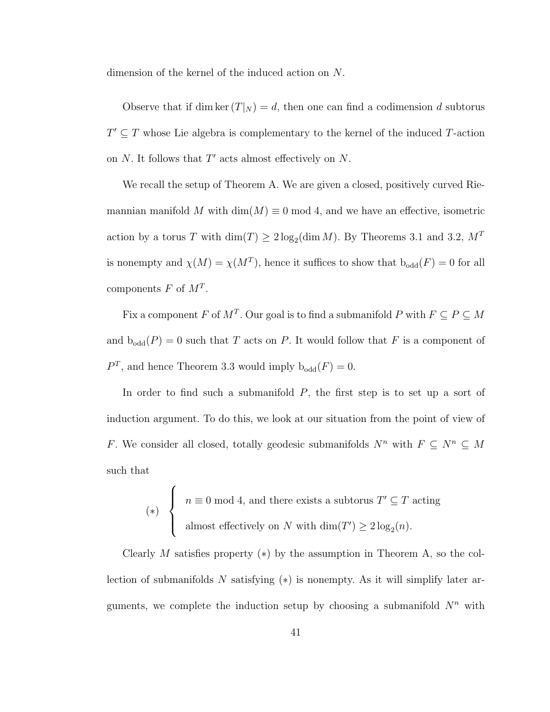dimension of the kernel of the induced action on N.

Observe that if dim ker  $(T|_N) = d$ , then one can find a codimension d subtorus  $T' \subseteq T$  whose Lie algebra is complementary to the kernel of the induced T-action on  $N$ . It follows that  $T'$  acts almost effectively on  $N$ .

We recall the setup of Theorem A. We are given a closed, positively curved Riemannian manifold M with dim(M)  $\equiv 0 \mod 4$ , and we have an effective, isometric action by a torus T with  $\dim(T) \geq 2 \log_2(\dim M)$ . By Theorems 3.1 and 3.2,  $M<sup>T</sup>$ is nonempty and  $\chi(M) = \chi(M^T)$ , hence it suffices to show that  $b_{odd}(F) = 0$  for all components  $F$  of  $M^T$ .

Fix a component F of  $M^T$ . Our goal is to find a submanifold P with  $F \subseteq P \subseteq M$ and  $b_{odd}(P) = 0$  such that T acts on P. It would follow that F is a component of  $P<sup>T</sup>$ , and hence Theorem 3.3 would imply  $b_{odd}(F) = 0$ .

In order to find such a submanifold  $P$ , the first step is to set up a sort of induction argument. To do this, we look at our situation from the point of view of F. We consider all closed, totally geodesic submanifolds  $N^n$  with  $F \subseteq N^n \subseteq M$ such that

$$
(*) \begin{cases} n \equiv 0 \bmod 4, \text{ and there exists a subtorus } T' \subseteq T \text{ acting} \\ \text{almost effectively on } N \text{ with } \dim(T') \ge 2 \log_2(n). \end{cases}
$$

Clearly M satisfies property  $(*)$  by the assumption in Theorem A, so the collection of submanifolds N satisfying  $(*)$  is nonempty. As it will simplify later arguments, we complete the induction setup by choosing a submanifold  $N^n$  with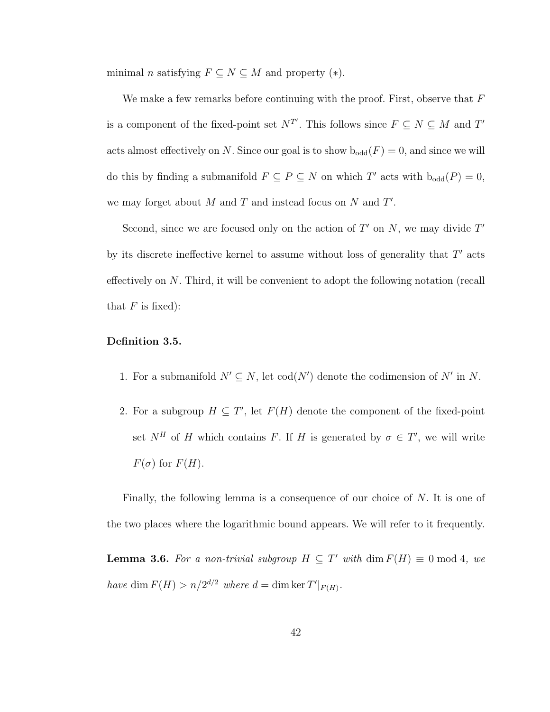minimal *n* satisfying  $F \subseteq N \subseteq M$  and property (\*).

We make a few remarks before continuing with the proof. First, observe that  $F$ is a component of the fixed-point set  $N^{T'}$ . This follows since  $F \subseteq N \subseteq M$  and  $T'$ acts almost effectively on N. Since our goal is to show  $b_{odd}(F) = 0$ , and since we will do this by finding a submanifold  $F \subseteq P \subseteq N$  on which T' acts with  $b_{odd}(P) = 0$ , we may forget about  $M$  and  $T$  and instead focus on  $N$  and  $T'$ .

Second, since we are focused only on the action of  $T'$  on N, we may divide  $T'$ by its discrete ineffective kernel to assume without loss of generality that  $T'$  acts effectively on N. Third, it will be convenient to adopt the following notation (recall that  $F$  is fixed):

#### Definition 3.5.

- 1. For a submanifold  $N' \subseteq N$ , let  $\text{cod}(N')$  denote the codimension of N' in N.
- 2. For a subgroup  $H \subseteq T'$ , let  $F(H)$  denote the component of the fixed-point set  $N^H$  of H which contains F. If H is generated by  $\sigma \in T'$ , we will write  $F(\sigma)$  for  $F(H)$ .

Finally, the following lemma is a consequence of our choice of N. It is one of the two places where the logarithmic bound appears. We will refer to it frequently.

**Lemma 3.6.** For a non-trivial subgroup  $H \subseteq T'$  with  $\dim F(H) \equiv 0 \mod 4$ , we have dim  $F(H) > n/2^{d/2}$  where  $d = \dim \ker T'|_{F(H)}$ .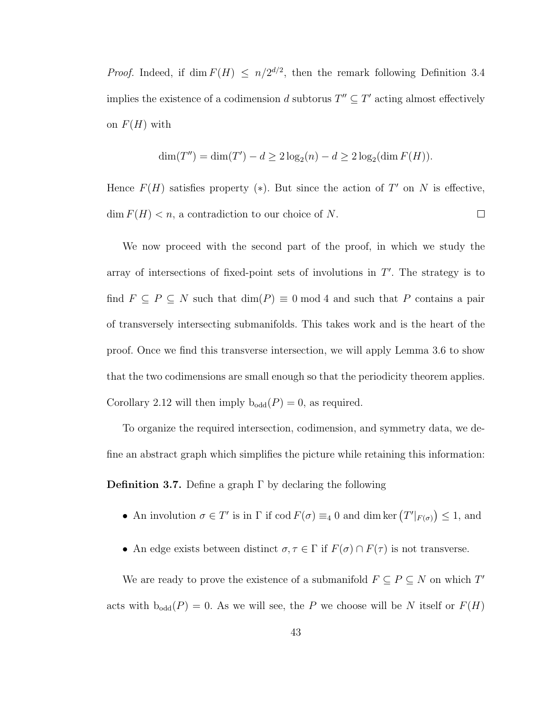*Proof.* Indeed, if dim  $F(H) \leq n/2^{d/2}$ , then the remark following Definition 3.4 implies the existence of a codimension d subtorus  $T'' \subseteq T'$  acting almost effectively on  $F(H)$  with

$$
\dim(T'') = \dim(T') - d \ge 2\log_2(n) - d \ge 2\log_2(\dim F(H)).
$$

Hence  $F(H)$  satisfies property (\*). But since the action of T' on N is effective,  $\dim F(H) < n$ , a contradiction to our choice of N.  $\Box$ 

We now proceed with the second part of the proof, in which we study the array of intersections of fixed-point sets of involutions in  $T'$ . The strategy is to find  $F \subseteq P \subseteq N$  such that  $\dim(P) \equiv 0 \mod 4$  and such that P contains a pair of transversely intersecting submanifolds. This takes work and is the heart of the proof. Once we find this transverse intersection, we will apply Lemma 3.6 to show that the two codimensions are small enough so that the periodicity theorem applies. Corollary 2.12 will then imply  $b_{odd}(P) = 0$ , as required.

To organize the required intersection, codimension, and symmetry data, we define an abstract graph which simplifies the picture while retaining this information: **Definition 3.7.** Define a graph  $\Gamma$  by declaring the following

- An involution  $\sigma \in T'$  is in  $\Gamma$  if  $\text{cod } F(\sigma) \equiv_4 0$  and dim ker  $(T'|_{F(\sigma)}) \leq 1$ , and
- An edge exists between distinct  $\sigma, \tau \in \Gamma$  if  $F(\sigma) \cap F(\tau)$  is not transverse.

We are ready to prove the existence of a submanifold  $F \subseteq P \subseteq N$  on which  $T'$ acts with  $b_{odd}(P) = 0$ . As we will see, the P we choose will be N itself or  $F(H)$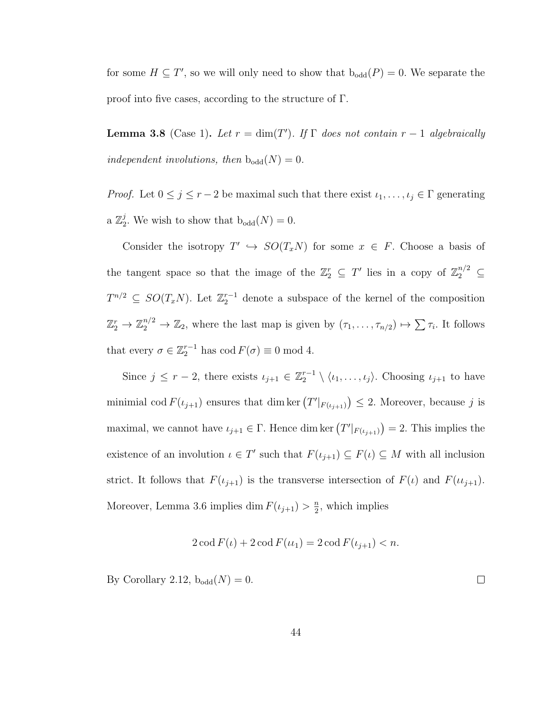for some  $H \subseteq T'$ , so we will only need to show that  $b_{odd}(P) = 0$ . We separate the proof into five cases, according to the structure of Γ.

**Lemma 3.8** (Case 1). Let  $r = \dim(T')$ . If  $\Gamma$  does not contain  $r - 1$  algebraically independent involutions, then  $b_{odd}(N) = 0$ .

*Proof.* Let  $0 \le j \le r-2$  be maximal such that there exist  $\iota_1, \ldots, \iota_j \in \Gamma$  generating a  $\mathbb{Z}_2^j$ <sup>2</sup>/<sub>2</sub>. We wish to show that  $b_{odd}(N) = 0$ .

Consider the isotropy  $T' \hookrightarrow SO(T_xN)$  for some  $x \in F$ . Choose a basis of the tangent space so that the image of the  $\mathbb{Z}_2^r \subseteq T'$  lies in a copy of  $\mathbb{Z}_2^{n/2} \subseteq$  $T^{n/2} \subseteq SO(T_xN)$ . Let  $\mathbb{Z}_2^{r-1}$  denote a subspace of the kernel of the composition  $\mathbb{Z}_2^r \to \mathbb{Z}_2^{n/2} \to \mathbb{Z}_2$ , where the last map is given by  $(\tau_1, \ldots, \tau_{n/2}) \mapsto \sum \tau_i$ . It follows that every  $\sigma \in \mathbb{Z}_2^{r-1}$  has  $\text{cod } F(\sigma) \equiv 0 \text{ mod } 4$ .

Since  $j \leq r-2$ , there exists  $\iota_{j+1} \in \mathbb{Z}_2^{r-1} \setminus \langle \iota_1, \ldots, \iota_j \rangle$ . Choosing  $\iota_{j+1}$  to have minimial cod  $F(t_{j+1})$  ensures that dim ker  $(T'|_{F(t_{j+1})}) \leq 2$ . Moreover, because j is maximal, we cannot have  $\iota_{j+1} \in \Gamma$ . Hence dim ker  $(T'|_{F(\iota_{j+1})}) = 2$ . This implies the existence of an involution  $\iota \in T'$  such that  $F(\iota_{j+1}) \subseteq F(\iota) \subseteq M$  with all inclusion strict. It follows that  $F(\iota_{j+1})$  is the transverse intersection of  $F(\iota)$  and  $F(\iota_{i+1})$ . Moreover, Lemma 3.6 implies dim  $F(\iota_{j+1}) > \frac{n}{2}$  $\frac{n}{2}$ , which implies

$$
2\operatorname{cod} F(\iota) + 2\operatorname{cod} F(\iota_1) = 2\operatorname{cod} F(\iota_{j+1}) < n.
$$

By Corollary 2.12,  $b_{odd}(N) = 0$ .

 $\Box$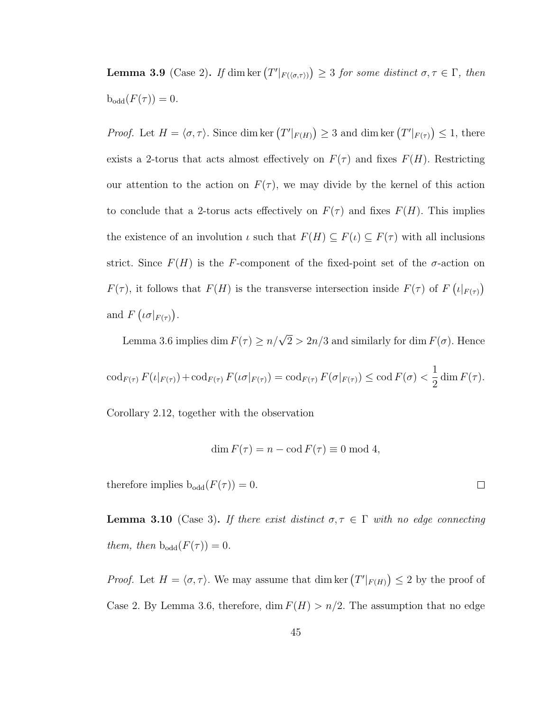**Lemma 3.9** (Case 2). If dim ker  $(T'|_{F(\langle \sigma,\tau \rangle)}) \geq 3$  for some distinct  $\sigma,\tau \in \Gamma$ , then  $b_{odd}(F(\tau)) = 0.$ 

*Proof.* Let  $H = \langle \sigma, \tau \rangle$ . Since dim ker  $(T'|_{F(H)}) \geq 3$  and dim ker  $(T'|_{F(\tau)}) \leq 1$ , there exists a 2-torus that acts almost effectively on  $F(\tau)$  and fixes  $F(H)$ . Restricting our attention to the action on  $F(\tau)$ , we may divide by the kernel of this action to conclude that a 2-torus acts effectively on  $F(\tau)$  and fixes  $F(H)$ . This implies the existence of an involution  $\iota$  such that  $F(H) \subseteq F(\iota) \subseteq F(\tau)$  with all inclusions strict. Since  $F(H)$  is the F-component of the fixed-point set of the  $\sigma$ -action on  $F(\tau)$ , it follows that  $F(H)$  is the transverse intersection inside  $F(\tau)$  of  $F(\iota|_{F(\tau)})$ and  $F\left(\iota\sigma|_{F(\tau)}\right)$ .

Lemma 3.6 implies dim  $F(\tau) \ge n/\sqrt{2} > 2n/3$  and similarly for dim  $F(\sigma)$ . Hence

$$
\operatorname{cod}_{F(\tau)} F(\iota|_{F(\tau)}) + \operatorname{cod}_{F(\tau)} F(\iota \sigma|_{F(\tau)}) = \operatorname{cod}_{F(\tau)} F(\sigma|_{F(\tau)}) \le \operatorname{cod} F(\sigma) < \frac{1}{2} \dim F(\tau).
$$

Corollary 2.12, together with the observation

$$
\dim F(\tau) = n - \operatorname{cod} F(\tau) \equiv 0 \bmod 4,
$$

therefore implies  $b_{odd}(F(\tau)) = 0$ .

**Lemma 3.10** (Case 3). If there exist distinct  $\sigma, \tau \in \Gamma$  with no edge connecting them, then  $b_{odd}(F(\tau)) = 0$ .

*Proof.* Let  $H = \langle \sigma, \tau \rangle$ . We may assume that dim ker  $(T'|_{F(H)}) \leq 2$  by the proof of Case 2. By Lemma 3.6, therefore, dim  $F(H) > n/2$ . The assumption that no edge

 $\Box$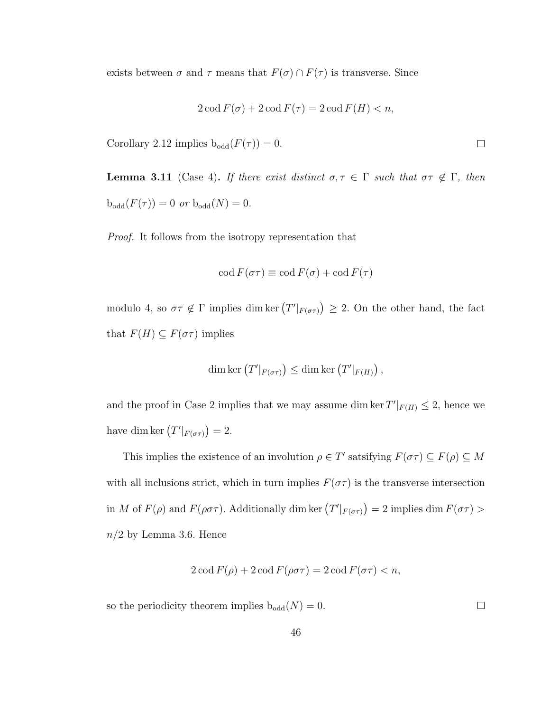exists between  $\sigma$  and  $\tau$  means that  $F(\sigma) \cap F(\tau)$  is transverse. Since

$$
2\operatorname{cod} F(\sigma) + 2\operatorname{cod} F(\tau) = 2\operatorname{cod} F(H) < n,
$$

Corollary 2.12 implies  $b_{odd}(F(\tau)) = 0$ .

**Lemma 3.11** (Case 4). If there exist distinct  $\sigma, \tau \in \Gamma$  such that  $\sigma \tau \notin \Gamma$ , then  $b_{\text{odd}}(F(\tau)) = 0$  or  $b_{\text{odd}}(N) = 0$ .

Proof. It follows from the isotropy representation that

$$
\operatorname{cod} F(\sigma \tau) \equiv \operatorname{cod} F(\sigma) + \operatorname{cod} F(\tau)
$$

modulo 4, so  $\sigma\tau \notin \Gamma$  implies dim ker  $(T'|_{F(\sigma\tau)}) \geq 2$ . On the other hand, the fact that  $F(H) \subseteq F(\sigma \tau)$  implies

$$
\dim \ker (T'|_{F(\sigma\tau)}) \le \dim \ker (T'|_{F(H)}) ,
$$

and the proof in Case 2 implies that we may assume dim ker  $T'|_{F(H)} \leq 2$ , hence we have dim ker  $(T'|_{F(\sigma\tau)})=2$ .

This implies the existence of an involution  $\rho \in T'$  satsifying  $F(\sigma \tau) \subseteq F(\rho) \subseteq M$ with all inclusions strict, which in turn implies  $F(\sigma \tau)$  is the transverse intersection in M of  $F(\rho)$  and  $F(\rho \sigma \tau)$ . Additionally dim ker  $(T'|_{F(\sigma \tau)}) = 2$  implies dim  $F(\sigma \tau) >$  $n/2$  by Lemma 3.6. Hence

$$
2\operatorname{cod} F(\rho) + 2\operatorname{cod} F(\rho\sigma\tau) = 2\operatorname{cod} F(\sigma\tau) < n,
$$

so the periodicity theorem implies  $b_{odd}(N) = 0$ .

 $\Box$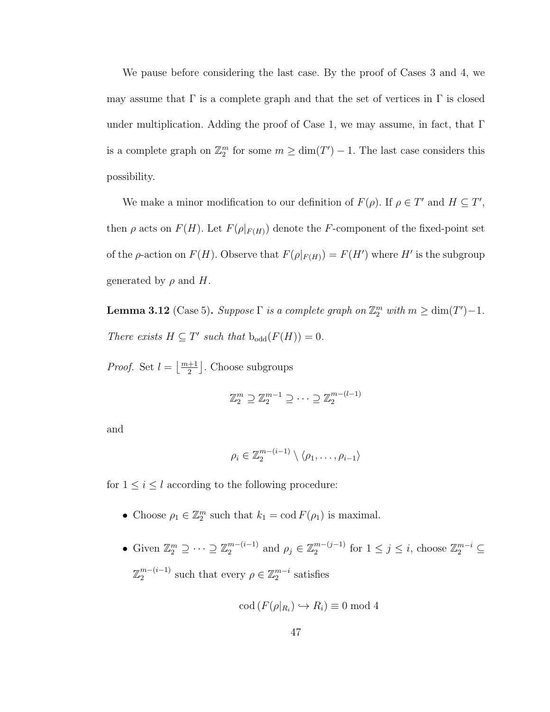We pause before considering the last case. By the proof of Cases 3 and 4, we may assume that  $\Gamma$  is a complete graph and that the set of vertices in  $\Gamma$  is closed under multiplication. Adding the proof of Case 1, we may assume, in fact, that  $\Gamma$ is a complete graph on  $\mathbb{Z}_2^m$  for some  $m \geq \dim(T') - 1$ . The last case considers this possibility.

We make a minor modification to our definition of  $F(\rho)$ . If  $\rho \in T'$  and  $H \subseteq T'$ , then  $\rho$  acts on  $F(H)$ . Let  $F(\rho|_{F(H)})$  denote the F-component of the fixed-point set of the  $\rho$ -action on  $F(H)$ . Observe that  $F(\rho|_{F(H)}) = F(H')$  where H' is the subgroup generated by  $\rho$  and H.

**Lemma 3.12** (Case 5). Suppose  $\Gamma$  is a complete graph on  $\mathbb{Z}_2^m$  with  $m \geq \dim(T') - 1$ . There exists  $H \subseteq T'$  such that  $b_{odd}(F(H)) = 0$ .

*Proof.* Set  $l = \lfloor \frac{m+1}{2} \rfloor$ . Choose subgroups

$$
\mathbb{Z}_2^m \supseteq \mathbb{Z}_2^{m-1} \supseteq \cdots \supseteq \mathbb{Z}_2^{m-(l-1)}
$$

and

$$
\rho_i \in \mathbb{Z}_2^{m-(i-1)} \setminus \langle \rho_1, \ldots, \rho_{i-1} \rangle
$$

for  $1\leq i\leq l$  according to the following procedure:

- Choose  $\rho_1 \in \mathbb{Z}_2^m$  such that  $k_1 = \text{cod } F(\rho_1)$  is maximal.
- Given  $\mathbb{Z}_2^m \supseteq \cdots \supseteq \mathbb{Z}_2^{m-(i-1)}$  $_{2}^{m-(i-1)}$  and  $\rho_{j} \in \mathbb{Z}_{2}^{m-(j-1)}$  $\frac{m-(j-1)}{2}$  for  $1 \leq j \leq i$ , choose  $\mathbb{Z}_2^{m-i} \subseteq$  $\mathbb{Z}_2^{m-(i-1)}$  $2^{m-(i-1)}$  such that every  $\rho \in \mathbb{Z}_2^{m-i}$  satisfies

$$
\operatorname{cod}(F(\rho|_{R_i}) \hookrightarrow R_i) \equiv 0 \text{ mod } 4
$$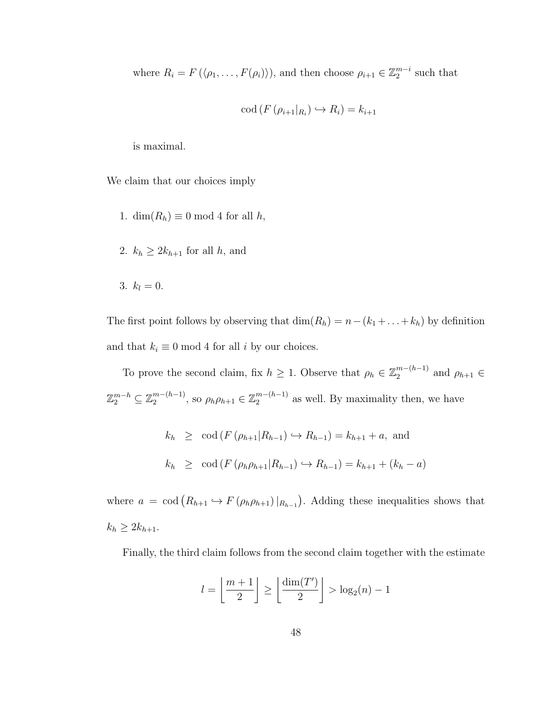where  $R_i = F(\langle \rho_1, \ldots, F(\rho_i) \rangle)$ , and then choose  $\rho_{i+1} \in \mathbb{Z}_2^{m-i}$  such that

$$
\operatorname{cod}\left(F\left(\rho_{i+1}|_{R_i}\right)\hookrightarrow R_i\right)=k_{i+1}
$$

is maximal.

We claim that our choices imply

- 1. dim $(R_h) \equiv 0 \mod 4$  for all h,
- 2.  $k_h \geq 2k_{h+1}$  for all h, and

$$
3. \, k_l=0.
$$

The first point follows by observing that  $\dim(R_h) = n - (k_1 + \ldots + k_h)$  by definition and that  $k_i \equiv 0 \mod 4$  for all *i* by our choices.

To prove the second claim, fix  $h \geq 1$ . Observe that  $\rho_h \in \mathbb{Z}_2^{m-(h-1)}$  $n^{m-(n-1)}$  and  $\rho_{h+1} \in$  $\mathbb{Z}_2^{m-h} \subseteq \mathbb{Z}_2^{m-(h-1)}$  $_{2}^{m-(h-1)}$ , so  $\rho_{h}\rho_{h+1} \in \mathbb{Z}_{2}^{m-(h-1)}$  $_2^{m-(h-1)}$  as well. By maximality then, we have

$$
k_h \geq \text{cod}(F(\rho_{h+1}|R_{h-1}) \hookrightarrow R_{h-1}) = k_{h+1} + a, \text{ and}
$$
  
 $k_h \geq \text{cod}(F(\rho_h \rho_{h+1}|R_{h-1}) \hookrightarrow R_{h-1}) = k_{h+1} + (k_h - a)$ 

where  $a = \text{cod}(R_{h+1} \hookrightarrow F(\rho_h \rho_{h+1})|_{R_{h-1}})$ . Adding these inequalities shows that  $k_h \geq 2k_{h+1}.$ 

Finally, the third claim follows from the second claim together with the estimate

$$
l = \left\lfloor \frac{m+1}{2} \right\rfloor \ge \left\lfloor \frac{\dim(T')}{2} \right\rfloor > \log_2(n) - 1
$$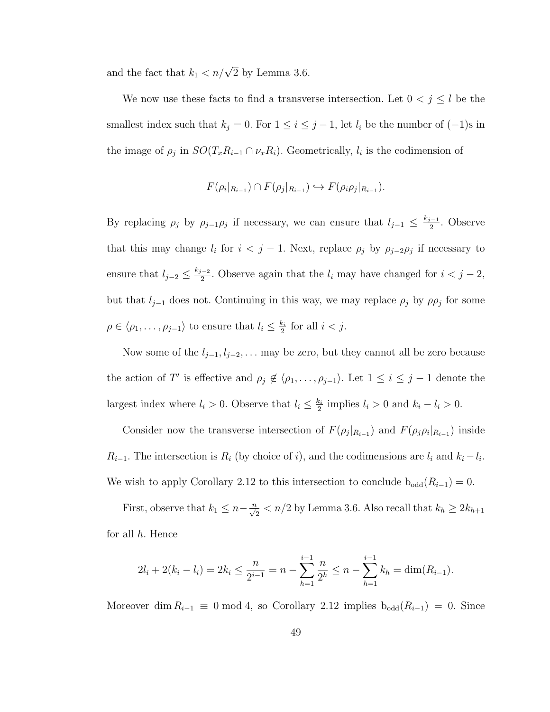and the fact that  $k_1 < n/\sqrt{2}$  by Lemma 3.6.

We now use these facts to find a transverse intersection. Let  $0 < j \leq l$  be the smallest index such that  $k_j = 0$ . For  $1 \leq i \leq j-1$ , let  $l_i$  be the number of  $(-1)$ s in the image of  $\rho_j$  in  $SO(T_x R_{i-1} \cap \nu_x R_i)$ . Geometrically,  $l_i$  is the codimension of

$$
F(\rho_i|_{R_{i-1}}) \cap F(\rho_j|_{R_{i-1}}) \hookrightarrow F(\rho_i\rho_j|_{R_{i-1}}).
$$

By replacing  $\rho_j$  by  $\rho_{j-1}\rho_j$  if necessary, we can ensure that  $l_{j-1} \leq \frac{k_{j-1}}{2}$  $\frac{1}{2}$ . Observe that this may change  $l_i$  for  $i < j - 1$ . Next, replace  $\rho_j$  by  $\rho_{j-2}\rho_j$  if necessary to ensure that  $l_{j-2} \leq \frac{k_{j-2}}{2}$  $\frac{i-2}{2}$ . Observe again that the  $l_i$  may have changed for  $i < j-2$ , but that  $l_{j-1}$  does not. Continuing in this way, we may replace  $\rho_j$  by  $\rho_{j}$  for some  $\rho \in \langle \rho_1, \ldots, \rho_{j-1} \rangle$  to ensure that  $l_i \leq \frac{k_i}{2}$  $\frac{k_i}{2}$  for all  $i < j$ .

Now some of the  $l_{j-1}, l_{j-2}, \ldots$  may be zero, but they cannot all be zero because the action of T' is effective and  $\rho_j \notin \langle \rho_1, \ldots, \rho_{j-1} \rangle$ . Let  $1 \leq i \leq j-1$  denote the largest index where  $l_i > 0$ . Observe that  $l_i \leq \frac{k_i}{2}$  $\frac{k_i}{2}$  implies  $l_i > 0$  and  $k_i - l_i > 0$ .

Consider now the transverse intersection of  $F(\rho_j|_{R_{i-1}})$  and  $F(\rho_j|\rho_i|_{R_{i-1}})$  inside  $R_{i-1}$ . The intersection is  $R_i$  (by choice of i), and the codimensions are  $l_i$  and  $k_i - l_i$ . We wish to apply Corollary 2.12 to this intersection to conclude  $b_{odd}(R_{i-1}) = 0$ .

First, observe that  $k_1 \leq n - \frac{n}{\sqrt{2}} < n/2$  by Lemma 3.6. Also recall that  $k_h \geq 2k_{h+1}$ for all h. Hence

$$
2l_i + 2(k_i - l_i) = 2k_i \le \frac{n}{2^{i-1}} = n - \sum_{h=1}^{i-1} \frac{n}{2^h} \le n - \sum_{h=1}^{i-1} k_h = \dim(R_{i-1}).
$$

Moreover dim  $R_{i-1} \equiv 0 \mod 4$ , so Corollary 2.12 implies  $b_{odd}(R_{i-1}) = 0$ . Since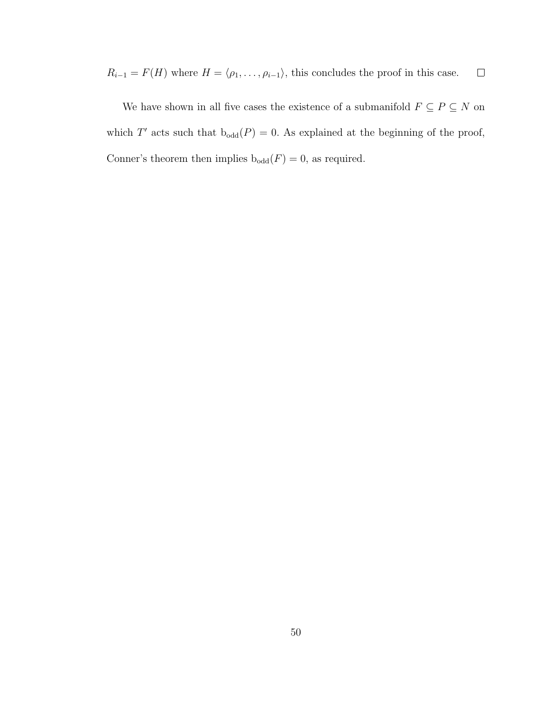$R_{i-1} = F(H)$  where  $H = \langle \rho_1, \ldots, \rho_{i-1} \rangle$ , this concludes the proof in this case.  $\Box$ 

We have shown in all five cases the existence of a submanifold  $F \subseteq P \subseteq N$  on which T' acts such that  $b_{odd}(P) = 0$ . As explained at the beginning of the proof, Conner's theorem then implies  $\mathrm{b}_{\mathrm{odd}}(F)=0,$  as required.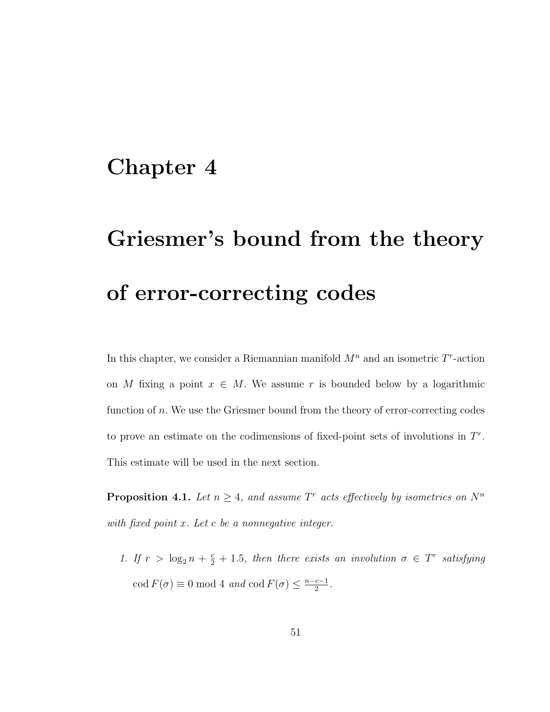#### Chapter 4

# Griesmer's bound from the theory of error-correcting codes

In this chapter, we consider a Riemannian manifold  $M<sup>n</sup>$  and an isometric  $T<sup>r</sup>$ -action on M fixing a point  $x \in M$ . We assume r is bounded below by a logarithmic function of n. We use the Griesmer bound from the theory of error-correcting codes to prove an estimate on the codimensions of fixed-point sets of involutions in  $T<sup>r</sup>$ . This estimate will be used in the next section.

**Proposition 4.1.** Let  $n \geq 4$ , and assume T<sup>r</sup> acts effectively by isometries on  $N^n$ with fixed point x. Let c be a nonnegative integer.

1. If  $r > \log_2 n + \frac{c}{2} + 1.5$ , then there exists an involution  $\sigma \in T^r$  satisfying  $\operatorname{cod} F(\sigma) \equiv 0 \bmod{4}$  and  $\operatorname{cod} F(\sigma) \leq \frac{n-c-1}{2}$  $\frac{c-1}{2}$ .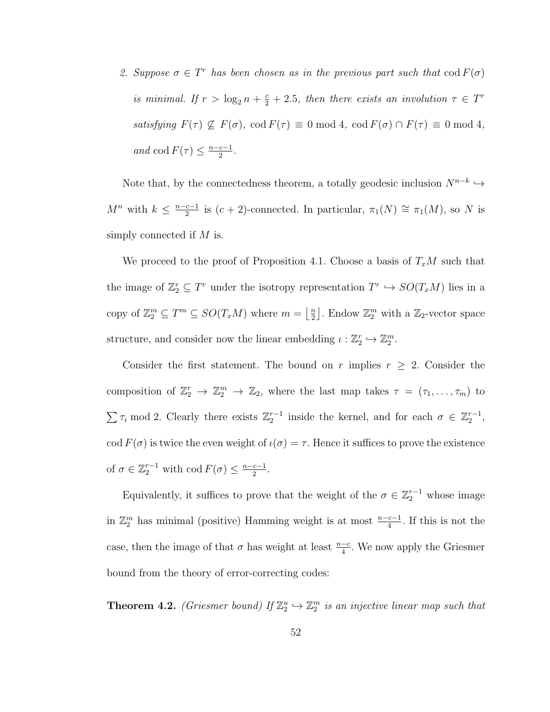2. Suppose  $\sigma \in T^r$  has been chosen as in the previous part such that  $\text{cod } F(\sigma)$ is minimal. If  $r > \log_2 n + \frac{c}{2} + 2.5$ , then there exists an involution  $\tau \in T^r$ satisfying  $F(\tau) \nsubseteq F(\sigma)$ ,  $\text{cod } F(\tau) \equiv 0 \text{ mod } 4$ ,  $\text{cod } F(\sigma) \cap F(\tau) \equiv 0 \text{ mod } 4$ , and cod  $F(\tau) \leq \frac{n-c-1}{2}$  $\frac{c-1}{2}$ .

Note that, by the connectedness theorem, a totally geodesic inclusion  $N^{n-k} \hookrightarrow$  $M^n$  with  $k \leq \frac{n-c-1}{2}$  $\frac{c-1}{2}$  is  $(c+2)$ -connected. In particular,  $\pi_1(N) \cong \pi_1(M)$ , so N is simply connected if  $M$  is.

We proceed to the proof of Proposition 4.1. Choose a basis of  $T_xM$  such that the image of  $\mathbb{Z}_2^r \subseteq T^r$  under the isotropy representation  $T^r \hookrightarrow SO(T_xM)$  lies in a copy of  $\mathbb{Z}_2^m \subseteq T^m \subseteq SO(T_xM)$  where  $m = \left\lfloor \frac{n}{2} \right\rfloor$  $\frac{n}{2}$ . Endow  $\mathbb{Z}_2^m$  with a  $\mathbb{Z}_2$ -vector space structure, and consider now the linear embedding  $\iota : \mathbb{Z}_2^r \hookrightarrow \mathbb{Z}_2^m$ .

Consider the first statement. The bound on r implies  $r \geq 2$ . Consider the composition of  $\mathbb{Z}_2^r \to \mathbb{Z}_2^m \to \mathbb{Z}_2$ , where the last map takes  $\tau = (\tau_1, \ldots, \tau_m)$  to  $\sum \tau_i \mod 2$ . Clearly there exists  $\mathbb{Z}_2^{r-1}$  inside the kernel, and for each  $\sigma \in \mathbb{Z}_2^{r-1}$ , cod  $F(\sigma)$  is twice the even weight of  $\iota(\sigma) = \tau$ . Hence it suffices to prove the existence of  $\sigma \in \mathbb{Z}_2^{r-1}$  with  $\text{cod } F(\sigma) \leq \frac{n-c-1}{2}$  $\frac{c-1}{2}$ .

Equivalently, it suffices to prove that the weight of the  $\sigma \in \mathbb{Z}_2^{r-1}$  whose image in  $\mathbb{Z}_2^m$  has minimal (positive) Hamming weight is at most  $\frac{n-c-1}{4}$ . If this is not the case, then the image of that  $\sigma$  has weight at least  $\frac{n-c}{4}$ . We now apply the Griesmer bound from the theory of error-correcting codes:

**Theorem 4.2.** (Griesmer bound) If  $\mathbb{Z}_2^u \hookrightarrow \mathbb{Z}_2^m$  is an injective linear map such that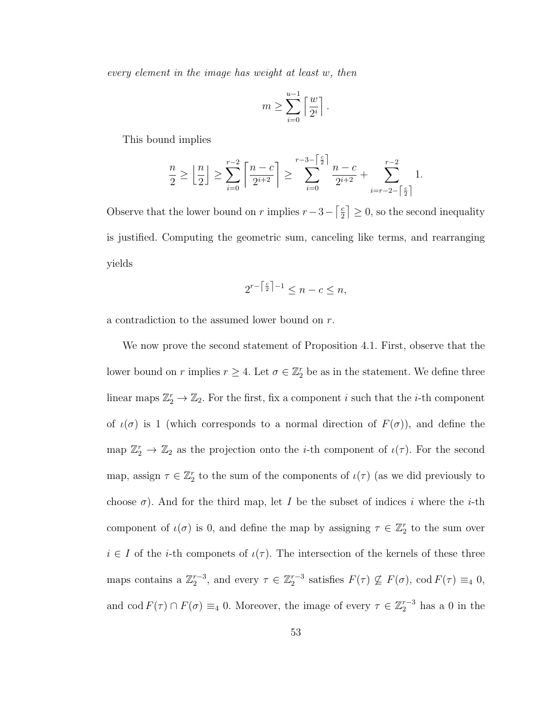every element in the image has weight at least w, then

$$
m \geq \sum_{i=0}^{u-1} \left\lceil \frac{w}{2^i} \right\rceil.
$$

This bound implies

$$
\frac{n}{2} \ge \left\lfloor \frac{n}{2} \right\rfloor \ge \sum_{i=0}^{r-2} \left\lceil \frac{n-c}{2^{i+2}} \right\rceil \ge \sum_{i=0}^{r-3-\left\lceil \frac{c}{2} \right\rceil} \frac{n-c}{2^{i+2}} + \sum_{i=r-2-\left\lceil \frac{c}{2} \right\rceil}^{r-2} 1.
$$

Observe that the lower bound on r implies  $r-3-\lceil \frac{e}{2} \rceil$  $\left\lfloor \frac{c}{2} \right\rfloor \geq 0$ , so the second inequality is justified. Computing the geometric sum, canceling like terms, and rearranging yields

$$
2^{r-\lceil \frac{c}{2} \rceil -1} \le n - c \le n,
$$

a contradiction to the assumed lower bound on r.

We now prove the second statement of Proposition 4.1. First, observe that the lower bound on r implies  $r \geq 4$ . Let  $\sigma \in \mathbb{Z}_2^r$  be as in the statement. We define three linear maps  $\mathbb{Z}_2^r \to \mathbb{Z}_2$ . For the first, fix a component i such that the *i*-th component of  $\iota(\sigma)$  is 1 (which corresponds to a normal direction of  $F(\sigma)$ ), and define the map  $\mathbb{Z}_2^r \to \mathbb{Z}_2$  as the projection onto the *i*-th component of  $\iota(\tau)$ . For the second map, assign  $\tau \in \mathbb{Z}_2^r$  to the sum of the components of  $\iota(\tau)$  (as we did previously to choose  $\sigma$ ). And for the third map, let I be the subset of indices i where the i-th component of  $\iota(\sigma)$  is 0, and define the map by assigning  $\tau \in \mathbb{Z}_2^r$  to the sum over  $i \in I$  of the *i*-th componets of  $\iota(\tau)$ . The intersection of the kernels of these three maps contains a  $\mathbb{Z}_2^{r-3}$ , and every  $\tau \in \mathbb{Z}_2^{r-3}$  satisfies  $F(\tau) \nsubseteq F(\sigma)$ ,  $\text{cod } F(\tau) \equiv_4 0$ , and cod  $F(\tau) \cap F(\sigma) \equiv_4 0$ . Moreover, the image of every  $\tau \in \mathbb{Z}_2^{r-3}$  has a 0 in the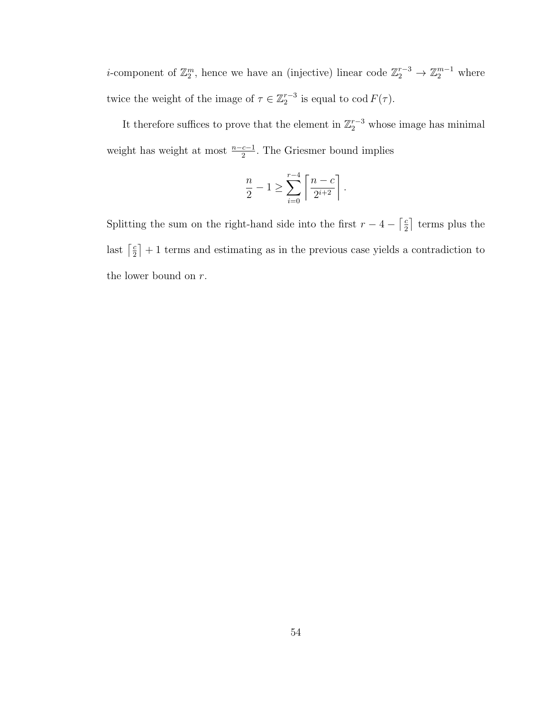*i*-component of  $\mathbb{Z}_2^m$ , hence we have an (injective) linear code  $\mathbb{Z}_2^{r-3} \to \mathbb{Z}_2^{m-1}$  where twice the weight of the image of  $\tau \in \mathbb{Z}_2^{r-3}$  is equal to  $\text{cod } F(\tau)$ .

It therefore suffices to prove that the element in  $\mathbb{Z}_2^{r-3}$  whose image has minimal weight has weight at most  $\frac{n-c-1}{2}$ . The Griesmer bound implies

$$
\frac{n}{2} - 1 \ge \sum_{i=0}^{r-4} \left\lceil \frac{n-c}{2^{i+2}} \right\rceil.
$$

Splitting the sum on the right-hand side into the first  $r - 4 - \frac{c}{2}$  $\frac{c}{2}$  terms plus the last  $\lceil \frac{c}{2} \rceil$  $\left[\frac{c}{2}\right] + 1$  terms and estimating as in the previous case yields a contradiction to the lower bound on  $r$ .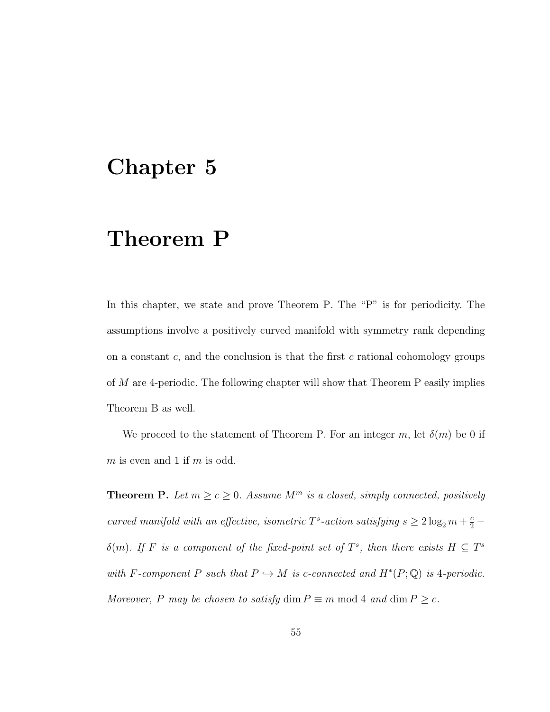#### Chapter 5

### Theorem P

In this chapter, we state and prove Theorem P. The "P" is for periodicity. The assumptions involve a positively curved manifold with symmetry rank depending on a constant  $c$ , and the conclusion is that the first  $c$  rational cohomology groups of M are 4-periodic. The following chapter will show that Theorem P easily implies Theorem B as well.

We proceed to the statement of Theorem P. For an integer m, let  $\delta(m)$  be 0 if  $m$  is even and 1 if  $m$  is odd.

**Theorem P.** Let  $m \ge c \ge 0$ . Assume  $M^m$  is a closed, simply connected, positively curved manifold with an effective, isometric  $T^s$ -action satisfying  $s \geq 2 \log_2 m + \frac{c}{2}$  $\delta(m)$ . If F is a component of the fixed-point set of  $T^s$ , then there exists  $H \subseteq T^s$ with F-component P such that  $P \hookrightarrow M$  is c-connected and  $H^*(P; \mathbb{Q})$  is 4-periodic. Moreover, P may be chosen to satisfy  $\dim P \equiv m \mod 4$  and  $\dim P \geq c$ .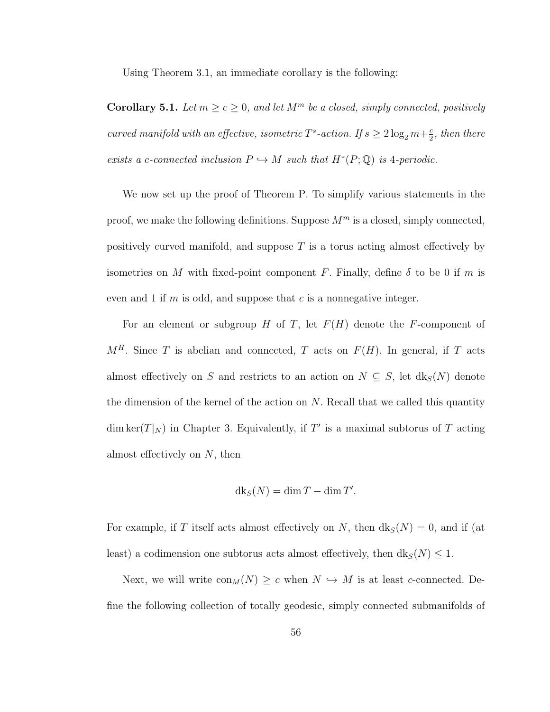Using Theorem 3.1, an immediate corollary is the following:

**Corollary 5.1.** Let  $m \ge c \ge 0$ , and let  $M^m$  be a closed, simply connected, positively curved manifold with an effective, isometric  $T^s$ -action. If  $s \geq 2 \log_2 m + \frac{c}{2}$  $\frac{c}{2}$ , then there exists a c-connected inclusion  $P \hookrightarrow M$  such that  $H^*(P; \mathbb{Q})$  is 4-periodic.

We now set up the proof of Theorem P. To simplify various statements in the proof, we make the following definitions. Suppose  $M^m$  is a closed, simply connected, positively curved manifold, and suppose  $T$  is a torus acting almost effectively by isometries on M with fixed-point component F. Finally, define  $\delta$  to be 0 if m is even and 1 if  $m$  is odd, and suppose that  $c$  is a nonnegative integer.

For an element or subgroup H of T, let  $F(H)$  denote the F-component of  $M<sup>H</sup>$ . Since T is abelian and connected, T acts on  $F(H)$ . In general, if T acts almost effectively on S and restricts to an action on  $N \subseteq S$ , let  $dk_S(N)$  denote the dimension of the kernel of the action on  $N$ . Recall that we called this quantity dim ker $(T|_N)$  in Chapter 3. Equivalently, if T' is a maximal subtorus of T acting almost effectively on  $N$ , then

$$
dk_S(N) = \dim T - \dim T'.
$$

For example, if T itself acts almost effectively on N, then  $dk_S(N) = 0$ , and if (at least) a codimension one subtorus acts almost effectively, then  $dk_S(N) \leq 1$ .

Next, we will write  $\text{con}_M(N) \geq c$  when  $N \hookrightarrow M$  is at least c-connected. Define the following collection of totally geodesic, simply connected submanifolds of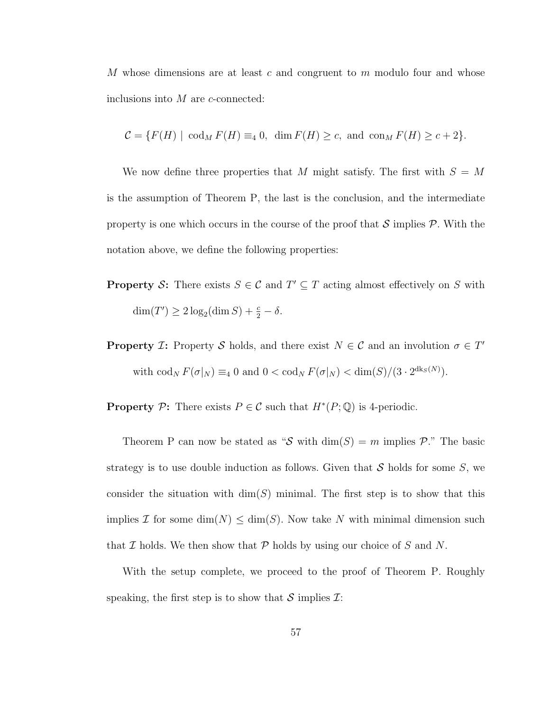M whose dimensions are at least c and congruent to  $m$  modulo four and whose inclusions into  $M$  are  $c$ -connected:

$$
\mathcal{C} = \{F(H) \mid \operatorname{cod}_{M} F(H) \equiv_4 0, \dim F(H) \ge c, \text{ and } \operatorname{con}_{M} F(H) \ge c + 2\}.
$$

We now define three properties that M might satisfy. The first with  $S = M$ is the assumption of Theorem P, the last is the conclusion, and the intermediate property is one which occurs in the course of the proof that  $\mathcal S$  implies  $\mathcal P$ . With the notation above, we define the following properties:

- **Property S:** There exists  $S \in \mathcal{C}$  and  $T' \subseteq T$  acting almost effectively on S with  $\dim(T') \geq 2 \log_2(\dim S) + \frac{c}{2} - \delta.$
- **Property** *I*: Property *S* holds, and there exist  $N \in \mathcal{C}$  and an involution  $\sigma \in T'$ with  $\operatorname{cod}_N F(\sigma|_N) \equiv_4 0$  and  $0 < \operatorname{cod}_N F(\sigma|_N) < \dim(S)/(3 \cdot 2^{\operatorname{dk}_S(N)})$ .

**Property** P: There exists  $P \in \mathcal{C}$  such that  $H^*(P; \mathbb{Q})$  is 4-periodic.

Theorem P can now be stated as "S with  $\dim(S) = m$  implies P." The basic strategy is to use double induction as follows. Given that  $S$  holds for some  $S$ , we consider the situation with  $\dim(S)$  minimal. The first step is to show that this implies I for some  $\dim(N) \leq \dim(S)$ . Now take N with minimal dimension such that  $\mathcal I$  holds. We then show that  $\mathcal P$  holds by using our choice of  $S$  and  $N$ .

With the setup complete, we proceed to the proof of Theorem P. Roughly speaking, the first step is to show that  $\mathcal S$  implies  $\mathcal I$ :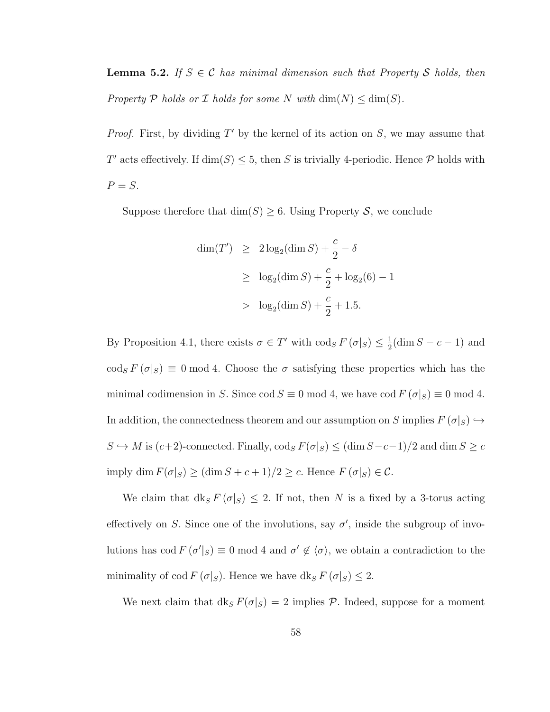**Lemma 5.2.** If  $S \in \mathcal{C}$  has minimal dimension such that Property S holds, then Property P holds or I holds for some N with  $\dim(N) \leq \dim(S)$ .

*Proof.* First, by dividing  $T'$  by the kernel of its action on  $S$ , we may assume that T' acts effectively. If  $\dim(S) \leq 5$ , then S is trivially 4-periodic. Hence P holds with  $P = S$ .

Suppose therefore that  $\dim(S) \geq 6$ . Using Property S, we conclude

$$
\dim(T') \ge 2\log_2(\dim S) + \frac{c}{2} - \delta
$$
  
\n
$$
\ge \log_2(\dim S) + \frac{c}{2} + \log_2(6) - 1
$$
  
\n
$$
> \log_2(\dim S) + \frac{c}{2} + 1.5.
$$

By Proposition 4.1, there exists  $\sigma \in T'$  with  $\text{cod}_S F(\sigma|_S) \leq \frac{1}{2}$  $\frac{1}{2}$ (dim  $S - c - 1$ ) and  $\text{cod}_{S} F(\sigma |_{S}) \equiv 0 \text{ mod } 4.$  Choose the  $\sigma$  satisfying these properties which has the minimal codimension in S. Since cod  $S \equiv 0 \mod 4$ , we have cod  $F(\sigma|_S) \equiv 0 \mod 4$ . In addition, the connectedness theorem and our assumption on S implies  $F(\sigma|S) \hookrightarrow$  $S \hookrightarrow M$  is  $(c+2)$ -connected. Finally,  $\text{cod}_{S} F(\sigma|_{S}) \leq (\dim S - c - 1)/2$  and  $\dim S \geq c$ imply dim  $F(\sigma|_S) \ge (\dim S + c + 1)/2 \ge c$ . Hence  $F(\sigma|_S) \in \mathcal{C}$ .

We claim that  $dk_S F(\sigma|_S) \leq 2$ . If not, then N is a fixed by a 3-torus acting effectively on S. Since one of the involutions, say  $\sigma'$ , inside the subgroup of involutions has cod  $F(\sigma' |_{S}) \equiv 0 \mod 4$  and  $\sigma' \notin \langle \sigma \rangle$ , we obtain a contradiction to the minimality of cod  $F(\sigma|_S)$ . Hence we have  $dk_S F(\sigma|_S) \leq 2$ .

We next claim that  $dk_s F(\sigma|_S) = 2$  implies P. Indeed, suppose for a moment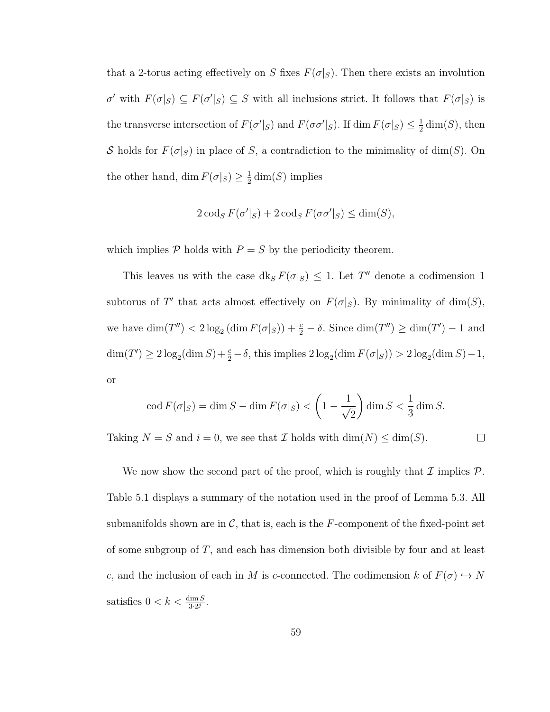that a 2-torus acting effectively on S fixes  $F(\sigma|_S)$ . Then there exists an involution  $\sigma'$  with  $F(\sigma|_S) \subseteq F(\sigma'|_S) \subseteq S$  with all inclusions strict. It follows that  $F(\sigma|_S)$  is the transverse intersection of  $F(\sigma' \mid_S)$  and  $F(\sigma \sigma' \mid_S)$ . If dim  $F(\sigma \mid_S) \leq \frac{1}{2}$  $\frac{1}{2}$  dim(S), then S holds for  $F(\sigma|_S)$  in place of S, a contradiction to the minimality of dim(S). On the other hand, dim  $F(\sigma|_S) \geq \frac{1}{2}$  $\frac{1}{2}$  dim(S) implies

$$
2\operatorname{cod}_{S} F(\sigma'|_{S}) + 2\operatorname{cod}_{S} F(\sigma\sigma'|_{S}) \le \dim(S),
$$

which implies  $P$  holds with  $P = S$  by the periodicity theorem.

This leaves us with the case  $dk_S F(\sigma|_S) \leq 1$ . Let T'' denote a codimension 1 subtorus of T' that acts almost effectively on  $F(\sigma|_S)$ . By minimality of dim(S), we have  $\dim(T'') < 2 \log_2 (\dim F(\sigma|_S)) + \frac{c}{2} - \delta$ . Since  $\dim(T'') \ge \dim(T') - 1$  and  $\dim(T') \geq 2 \log_2(\dim S) + \frac{c}{2} - \delta$ , this implies  $2 \log_2(\dim F(\sigma|_S)) > 2 \log_2(\dim S) - 1$ , or

$$
\operatorname{cod} F(\sigma|_S) = \dim S - \dim F(\sigma|_S) < \left(1 - \frac{1}{\sqrt{2}}\right) \dim S < \frac{1}{3} \dim S.
$$

Taking  $N = S$  and  $i = 0$ , we see that  $\mathcal I$  holds with  $\dim(N) \leq \dim(S)$ .

 $\Box$ 

We now show the second part of the proof, which is roughly that  $\mathcal I$  implies  $\mathcal P$ . Table 5.1 displays a summary of the notation used in the proof of Lemma 5.3. All submanifolds shown are in  $\mathcal{C}$ , that is, each is the F-component of the fixed-point set of some subgroup of  $T$ , and each has dimension both divisible by four and at least c, and the inclusion of each in M is c-connected. The codimension k of  $F(\sigma) \hookrightarrow N$ satisfies  $0 < k < \frac{\dim S}{3 \cdot 2^j}$ .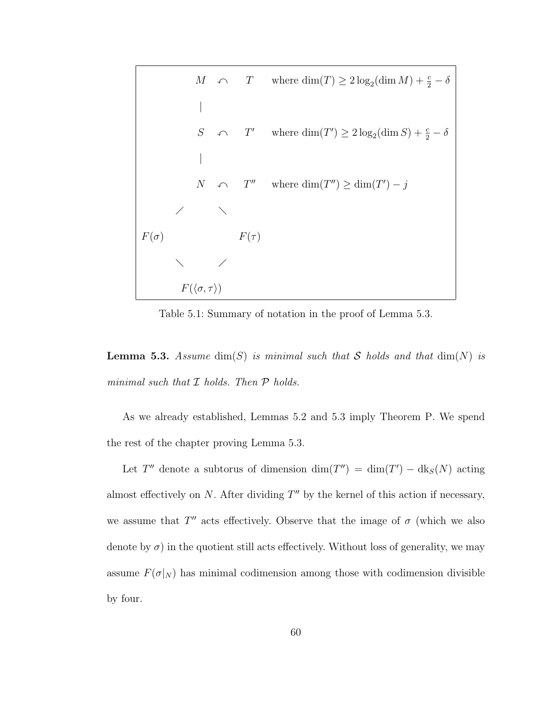

Table 5.1: Summary of notation in the proof of Lemma 5.3.

**Lemma 5.3.** Assume  $\dim(S)$  is minimal such that S holds and that  $\dim(N)$  is minimal such that  $I$  holds. Then  $P$  holds.

As we already established, Lemmas 5.2 and 5.3 imply Theorem P. We spend the rest of the chapter proving Lemma 5.3.

Let T'' denote a subtorus of dimension  $\dim(T'') = \dim(T') - \text{d}k_S(N)$  acting almost effectively on  $N$ . After dividing  $T''$  by the kernel of this action if necessary, we assume that  $T''$  acts effectively. Observe that the image of  $\sigma$  (which we also denote by  $\sigma$ ) in the quotient still acts effectively. Without loss of generality, we may assume  $F(\sigma|_N)$  has minimal codimension among those with codimension divisible by four.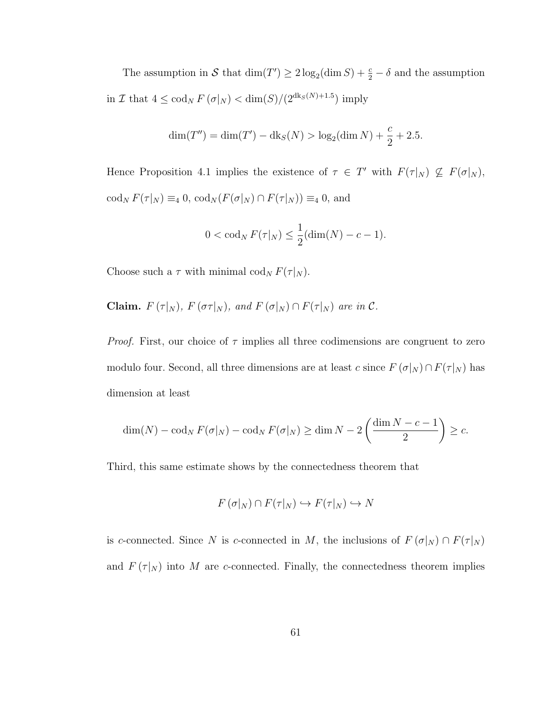The assumption in S that  $\dim(T') \geq 2 \log_2(\dim S) + \frac{c}{2} - \delta$  and the assumption in I that  $4 \leq \text{cod}_N F(\sigma|_N) < \dim(S)/(2^{\text{dk}_S(N)+1.5})$  imply

$$
\dim(T'') = \dim(T') - \mathrm{dk}_S(N) > \log_2(\dim N) + \frac{c}{2} + 2.5.
$$

Hence Proposition 4.1 implies the existence of  $\tau \in T'$  with  $F(\tau|_N) \nsubseteq F(\sigma|_N)$ ,  $\operatorname{cod}_N F(\tau|_N) \equiv_4 0, \, \operatorname{cod}_N (F(\sigma|_N) \cap F(\tau|_N)) \equiv_4 0, \text{ and}$ 

$$
0 < \operatorname{cod}_N F(\tau|_N) \le \frac{1}{2}(\dim(N) - c - 1).
$$

Choose such a  $\tau$  with minimal cod<sub>N</sub>  $F(\tau|_N)$ .

Claim.  $F(\tau|_N)$ ,  $F(\sigma\tau|_N)$ , and  $F(\sigma|_N) \cap F(\tau|_N)$  are in  $\mathcal{C}$ .

*Proof.* First, our choice of  $\tau$  implies all three codimensions are congruent to zero modulo four. Second, all three dimensions are at least c since  $F(\sigma|_N) \cap F(\tau|_N)$  has dimension at least

$$
\dim(N) - \operatorname{cod}_N F(\sigma|_N) - \operatorname{cod}_N F(\sigma|_N) \ge \dim N - 2\left(\frac{\dim N - c - 1}{2}\right) \ge c.
$$

Third, this same estimate shows by the connectedness theorem that

$$
F(\sigma|_N) \cap F(\tau|_N) \hookrightarrow F(\tau|_N) \hookrightarrow N
$$

is c-connected. Since N is c-connected in M, the inclusions of  $F(\sigma|_N) \cap F(\tau|_N)$ and  $F(\tau|_N)$  into M are c-connected. Finally, the connectedness theorem implies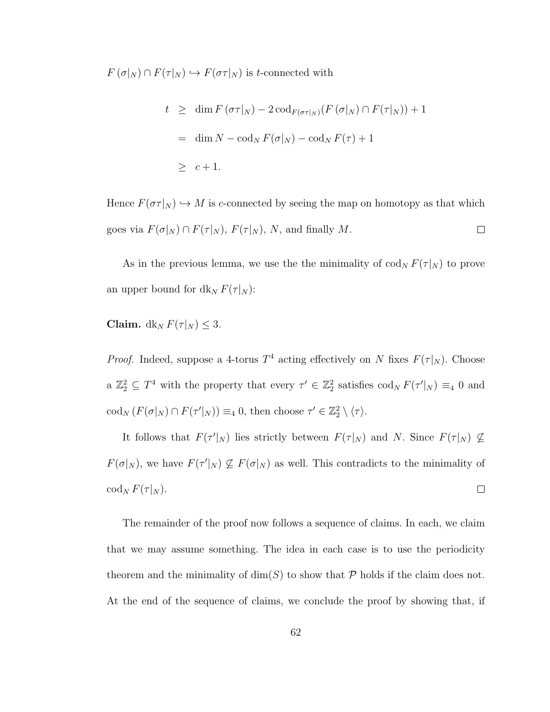$F(\sigma|_N) \cap F(\tau|_N) \hookrightarrow F(\sigma \tau|_N)$  is t-connected with

$$
t \geq \dim F(\sigma \tau|_N) - 2 \operatorname{cod}_{F(\sigma \tau|_N)} (F(\sigma|_N) \cap F(\tau|_N)) + 1
$$
  
= 
$$
\dim N - \operatorname{cod}_N F(\sigma|_N) - \operatorname{cod}_N F(\tau) + 1
$$
  

$$
\geq c + 1.
$$

Hence  $F(\sigma \tau | N) \hookrightarrow M$  is c-connected by seeing the map on homotopy as that which goes via  $F(\sigma|_N) \cap F(\tau|_N)$ ,  $F(\tau|_N)$ , N, and finally M.  $\Box$ 

As in the previous lemma, we use the the minimality of  $\text{cod}_N F(\tau|_N)$  to prove an upper bound for  $dk_N F(\tau|_N)$ :

Claim.  $dk_N F(\tau|_N) \leq 3$ .

*Proof.* Indeed, suppose a 4-torus  $T^4$  acting effectively on N fixes  $F(\tau|_N)$ . Choose a  $\mathbb{Z}_2^2 \subseteq T^4$  with the property that every  $\tau' \in \mathbb{Z}_2^2$  satisfies  $\text{cod}_N F(\tau'|_N) \equiv_4 0$  and  $\operatorname{cod}_N(F(\sigma|_N) \cap F(\tau'|_N)) \equiv_4 0$ , then choose  $\tau' \in \mathbb{Z}_2^2 \setminus \langle \tau \rangle$ .

It follows that  $F(\tau'|_N)$  lies strictly between  $F(\tau|_N)$  and N. Since  $F(\tau|_N) \nsubseteq$  $F(\sigma|_N)$ , we have  $F(\tau'|_N) \nsubseteq F(\sigma|_N)$  as well. This contradicts to the minimality of  $\operatorname{cod}_N F(\tau|_N)$ .  $\Box$ 

The remainder of the proof now follows a sequence of claims. In each, we claim that we may assume something. The idea in each case is to use the periodicity theorem and the minimality of  $\dim(S)$  to show that P holds if the claim does not. At the end of the sequence of claims, we conclude the proof by showing that, if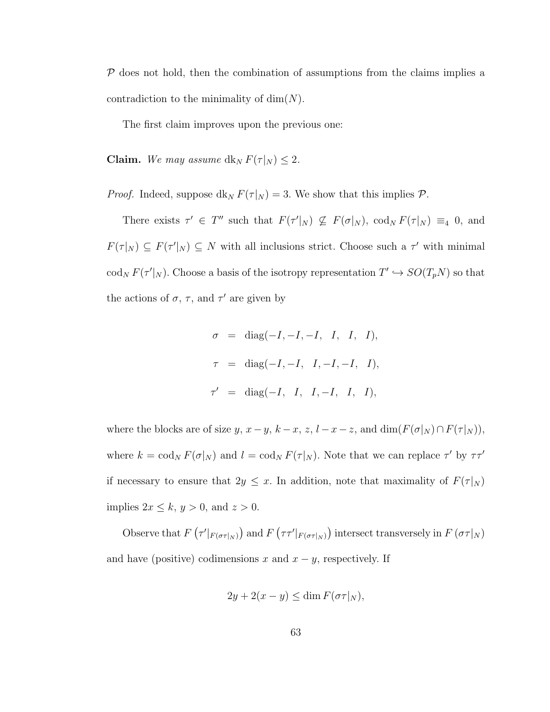$P$  does not hold, then the combination of assumptions from the claims implies a contradiction to the minimality of  $\dim(N)$ .

The first claim improves upon the previous one:

**Claim.** We may assume  $dk_N F(\tau|_N) \leq 2$ .

*Proof.* Indeed, suppose  $dk_N F(\tau |_N) = 3$ . We show that this implies  $\mathcal{P}$ .

There exists  $\tau' \in T''$  such that  $F(\tau'|_N) \nsubseteq F(\sigma|_N)$ ,  $\text{cod}_N F(\tau|_N) \equiv_4 0$ , and  $F(\tau|_N) \subseteq F(\tau'|_N) \subseteq N$  with all inclusions strict. Choose such a  $\tau'$  with minimal  $\operatorname{cod}_N F(\tau'|_N)$ . Choose a basis of the isotropy representation  $T' \hookrightarrow SO(T_pN)$  so that the actions of  $\sigma$ ,  $\tau$ , and  $\tau'$  are given by

$$
\sigma = \text{diag}(-I, -I, -I, I, I, I),
$$
  
\n
$$
\tau = \text{diag}(-I, -I, I, -I, -I, I),
$$
  
\n
$$
\tau' = \text{diag}(-I, I, I, -I, I, I),
$$

where the blocks are of size y,  $x - y$ ,  $k - x$ ,  $z$ ,  $l - x - z$ , and  $\dim(F(\sigma|_N) \cap F(\tau|_N))$ , where  $k = \text{cod}_N F(\sigma|_N)$  and  $l = \text{cod}_N F(\tau|_N)$ . Note that we can replace  $\tau'$  by  $\tau \tau'$ if necessary to ensure that  $2y \leq x$ . In addition, note that maximality of  $F(\tau|_N)$ implies  $2x \leq k$ ,  $y > 0$ , and  $z > 0$ .

Observe that  $F(\tau'|_{F(\sigma\tau|_N)})$  and  $F(\tau\tau'|_{F(\sigma\tau|_N)})$  intersect transversely in  $F(\sigma\tau|_N)$ and have (positive) codimensions x and  $x - y$ , respectively. If

$$
2y + 2(x - y) \le \dim F(\sigma \tau |_{N}),
$$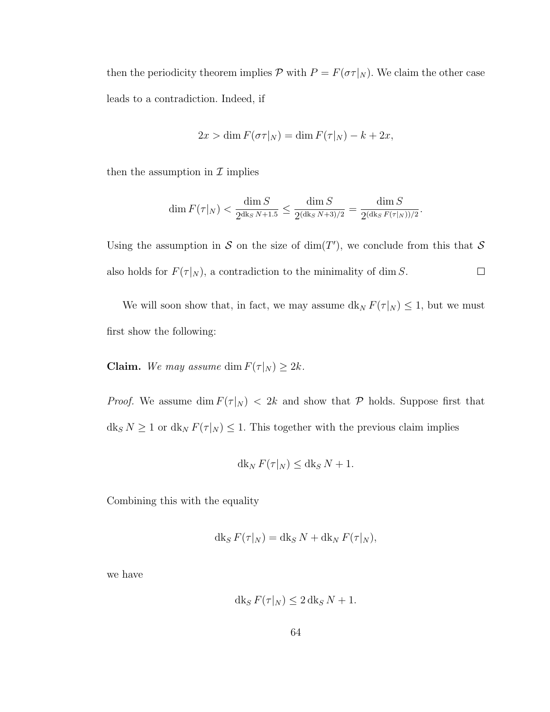then the periodicity theorem implies  $P$  with  $P = F(\sigma \tau | N)$ . We claim the other case leads to a contradiction. Indeed, if

$$
2x > \dim F(\sigma \tau |_{N}) = \dim F(\tau |_{N}) - k + 2x,
$$

then the assumption in  $\mathcal I$  implies

$$
\dim F(\tau|_N) < \frac{\dim S}{2^{\dim S}} \le \frac{\dim S}{2^{(\dim S)N+3)/2}} = \frac{\dim S}{2^{(\dim S)N+3)/2}}
$$

.

Using the assumption in S on the size of  $\dim(T')$ , we conclude from this that S also holds for  $F(\tau|_N),$  a contradiction to the minimality of  $\dim S.$  $\Box$ 

We will soon show that, in fact, we may assume  $dk_N F(\tau |_N) \leq 1$ , but we must first show the following:

**Claim.** We may assume dim  $F(\tau|_N) \geq 2k$ .

*Proof.* We assume dim  $F(\tau|_N) < 2k$  and show that  $P$  holds. Suppose first that  $dk_S N \ge 1$  or  $dk_N F(\tau |_{N}) \le 1$ . This together with the previous claim implies

$$
dk_N F(\tau|_N) \leq dk_S N + 1.
$$

Combining this with the equality

$$
dk_S F(\tau|_N) = dk_S N + dk_N F(\tau|_N),
$$

we have

$$
dk_S F(\tau|_N) \le 2\,dk_S N + 1.
$$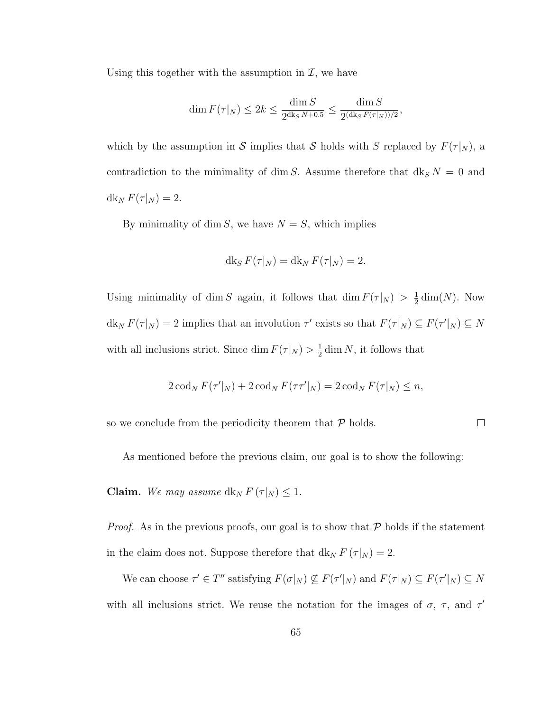Using this together with the assumption in  $\mathcal{I}$ , we have

$$
\dim F(\tau|_N) \le 2k \le \frac{\dim S}{2^{\operatorname{dkg} N+0.5}} \le \frac{\dim S}{2^{(\operatorname{dkg} F(\tau|_N))/2}},
$$

which by the assumption in S implies that S holds with S replaced by  $F(\tau|_N)$ , a contradiction to the minimality of dim S. Assume therefore that  $dk_S N = 0$  and  $\mathrm{d}\mathrm{k}_N F(\tau|_N) = 2.$ 

By minimality of dim S, we have  $N = S$ , which implies

$$
\mathrm{d} \mathrm{k}_S F(\tau|_N) = \mathrm{d} \mathrm{k}_N F(\tau|_N) = 2.
$$

Using minimality of dim S again, it follows that dim  $F(\tau|_N) > \frac{1}{2}$  $\frac{1}{2}$  dim(N). Now  $\mathrm{d} \mathrm{k}_N F(\tau |_{N}) = 2$  implies that an involution  $\tau'$  exists so that  $F(\tau |_{N}) \subseteq F(\tau' |_{N}) \subseteq N$ with all inclusions strict. Since dim  $F(\tau|_N) > \frac{1}{2}$  $\frac{1}{2}$  dim N, it follows that

$$
2\operatorname{cod}_N F(\tau'|_N) + 2\operatorname{cod}_N F(\tau\tau'|_N) = 2\operatorname{cod}_N F(\tau|_N) \leq n,
$$

so we conclude from the periodicity theorem that  $P$  holds.

$$
\qquad \qquad \Box
$$

As mentioned before the previous claim, our goal is to show the following:

**Claim.** We may assume  $dk_N F(\tau|_N) \leq 1$ .

*Proof.* As in the previous proofs, our goal is to show that  $P$  holds if the statement in the claim does not. Suppose therefore that  $dk_N F(\tau|_N) = 2$ .

We can choose  $\tau' \in T''$  satisfying  $F(\sigma|_N) \nsubseteq F(\tau'|_N)$  and  $F(\tau|_N) \subseteq F(\tau'|_N) \subseteq N$ with all inclusions strict. We reuse the notation for the images of  $\sigma$ ,  $\tau$ , and  $\tau'$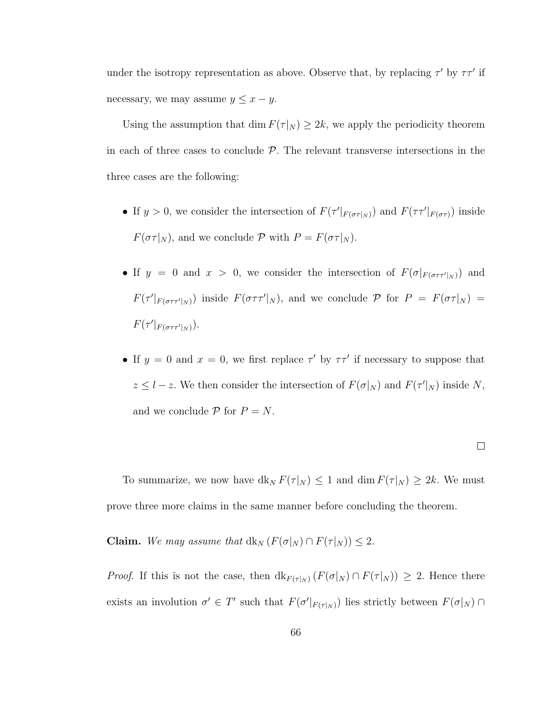under the isotropy representation as above. Observe that, by replacing  $\tau'$  by  $\tau\tau'$  if necessary, we may assume  $y \leq x - y$ .

Using the assumption that dim  $F(\tau|_N) \geq 2k$ , we apply the periodicity theorem in each of three cases to conclude  $P$ . The relevant transverse intersections in the three cases are the following:

- If  $y > 0$ , we consider the intersection of  $F(\tau' |_{F(\sigma\tau|_N)})$  and  $F(\tau\tau' |_{F(\sigma\tau)})$  inside  $F(\sigma \tau | N)$ , and we conclude  $P$  with  $P = F(\sigma \tau | N)$ .
- If  $y = 0$  and  $x > 0$ , we consider the intersection of  $F(\sigma|_{F(\sigma\tau f'|_N)})$  and  $F(\tau'|_{F(\sigma\tau\tau'|_N)})$  inside  $F(\sigma\tau\tau'|_N)$ , and we conclude  $\mathcal P$  for  $P = F(\sigma\tau|_N) =$  $F(\tau'|_{F(\sigma\tau\tau'|_N)}).$
- If  $y = 0$  and  $x = 0$ , we first replace  $\tau'$  by  $\tau \tau'$  if necessary to suppose that  $z \leq l - z$ . We then consider the intersection of  $F(\sigma|_N)$  and  $F(\tau'|_N)$  inside N, and we conclude  $P$  for  $P = N$ .

$$
\qquad \qquad \Box
$$

To summarize, we now have  $dk_N F(\tau |_N) \leq 1$  and  $\dim F(\tau |_N) \geq 2k$ . We must prove three more claims in the same manner before concluding the theorem.

Claim. We may assume that  $dk_N$   $(F(\sigma|_N) \cap F(\tau|_N)) \leq 2$ .

*Proof.* If this is not the case, then  $dk_{F(\tau|_N)}(F(\sigma|_N) \cap F(\tau|_N)) \geq 2$ . Hence there exists an involution  $\sigma' \in T'$  such that  $F(\sigma' |_{F(\tau|_N)})$  lies strictly between  $F(\sigma|_N) \cap$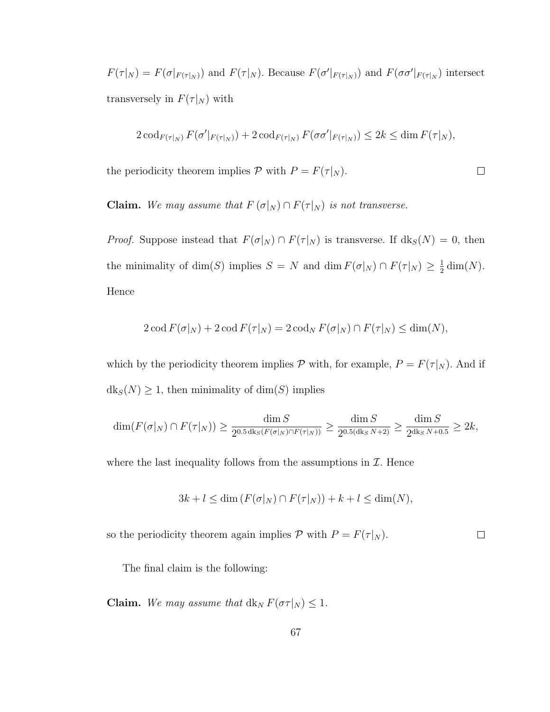$F(\tau|_N) = F(\sigma|_{F(\tau|_N)})$  and  $F(\tau|_N)$ . Because  $F(\sigma'|_{F(\tau|_N)})$  and  $F(\sigma\sigma'|_{F(\tau|_N}))$  intersect transversely in  $F(\tau|_N)$  with

$$
2\operatorname{cod}_{F(\tau|_N)} F(\sigma'|_{F(\tau|_N)}) + 2\operatorname{cod}_{F(\tau|_N)} F(\sigma\sigma'|_{F(\tau|_N)}) \le 2k \le \dim F(\tau|_N),
$$

 $\Box$ 

the periodicity theorem implies  $P$  with  $P = F(\tau|_N)$ .

**Claim.** We may assume that  $F(\sigma|_N) \cap F(\tau|_N)$  is not transverse.

*Proof.* Suppose instead that  $F(\sigma|_N) \cap F(\tau|_N)$  is transverse. If  $dk_S(N) = 0$ , then the minimality of dim(S) implies  $S = N$  and dim  $F(\sigma|_N) \cap F(\tau|_N) \geq \frac{1}{2}$  $\frac{1}{2}\dim(N).$ Hence

$$
2\operatorname{cod} F(\sigma|_N) + 2\operatorname{cod} F(\tau|_N) = 2\operatorname{cod}_N F(\sigma|_N) \cap F(\tau|_N) \le \dim(N),
$$

which by the periodicity theorem implies  $P$  with, for example,  $P = F(\tau|_N)$ . And if  $dk_S(N) \geq 1$ , then minimality of  $dim(S)$  implies

$$
\dim(F(\sigma|_N) \cap F(\tau|_N)) \ge \frac{\dim S}{2^{0.5 \deg(F(\sigma|_N) \cap F(\tau|_N))}} \ge \frac{\dim S}{2^{0.5 (\deg N + 2)}} \ge \frac{\dim S}{2^{\deg N + 0.5}} \ge 2k,
$$

where the last inequality follows from the assumptions in  $\mathcal I$ . Hence

$$
3k + l \le \dim (F(\sigma|_N) \cap F(\tau|_N)) + k + l \le \dim(N),
$$

so the periodicity theorem again implies  $P$  with  $P = F(\tau|_N)$ .  $\Box$ 

The final claim is the following:

**Claim.** We may assume that  $dk_N F(\sigma \tau | N) \leq 1$ .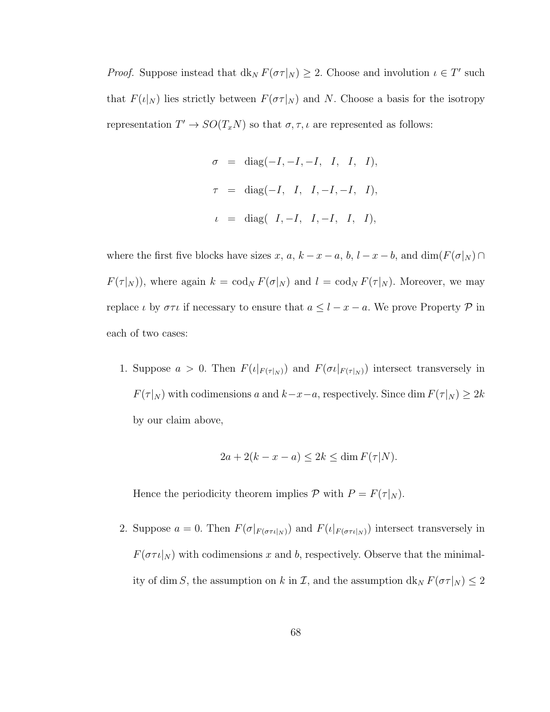*Proof.* Suppose instead that  $dk_N F(\sigma \tau | N) \geq 2$ . Choose and involution  $\iota \in T'$  such that  $F(\iota|_N)$  lies strictly between  $F(\sigma \tau|_N)$  and N. Choose a basis for the isotropy representation  $T' \to SO(T_x N)$  so that  $\sigma, \tau, \iota$  are represented as follows:

$$
\sigma = \text{diag}(-I, -I, -I, I, I, I),
$$
  
\n
$$
\tau = \text{diag}(-I, I, I, -I, -I, I),
$$
  
\n
$$
\iota = \text{diag}([I, -I, I, -I, I, I),
$$

where the first five blocks have sizes x, a,  $k - x - a$ , b,  $l - x - b$ , and  $\dim(F(\sigma|_N) \cap$  $F(\tau |_{N} )$ , where again  $k = \text{cod}_{N} F(\sigma |_{N} )$  and  $l = \text{cod}_{N} F(\tau |_{N} )$ . Moreover, we may replace  $\iota$  by  $\sigma\tau\iota$  if necessary to ensure that  $a \leq l - x - a$ . We prove Property  $\mathcal P$  in each of two cases:

1. Suppose  $a > 0$ . Then  $F(\iota|_{F(\tau|_N)})$  and  $F(\sigma \iota|_{F(\tau|_N)})$  intersect transversely in  $F(\tau|_N)$  with codimensions a and  $k-x-a$ , respectively. Since dim  $F(\tau|_N) \geq 2k$ by our claim above,

$$
2a + 2(k - x - a) \le 2k \le \dim F(\tau|N).
$$

Hence the periodicity theorem implies  $P$  with  $P = F(\tau|_N)$ .

2. Suppose  $a = 0$ . Then  $F(\sigma|_{F(\sigma\tau\iota|_N)})$  and  $F(\iota|_{F(\sigma\tau\iota|_N)})$  intersect transversely in  $F(\sigma \tau \iota|_N)$  with codimensions x and b, respectively. Observe that the minimality of dim S, the assumption on k in  $\mathcal I$ , and the assumption  $dk_N F(\sigma \tau |_N) \leq 2$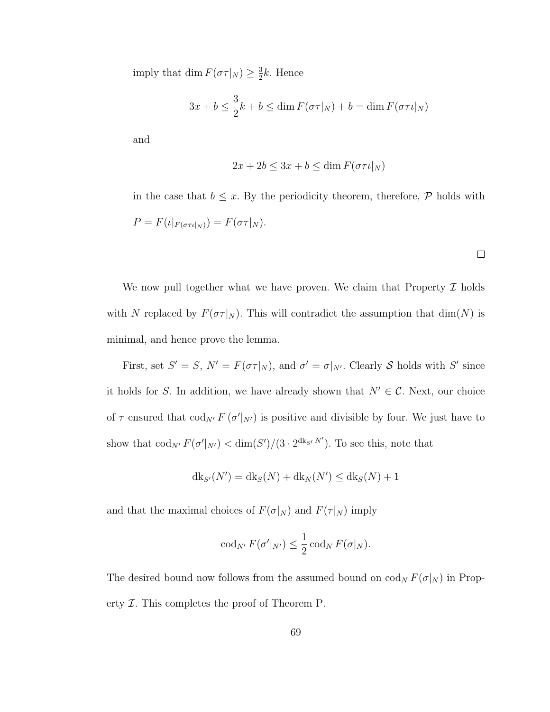imply that dim  $F(\sigma \tau |_{N}) \geq \frac{3}{2}$  $\frac{3}{2}k$ . Hence

$$
3x + b \le \frac{3}{2}k + b \le \dim F(\sigma \tau |_{N}) + b = \dim F(\sigma \tau \iota |_{N})
$$

and

$$
2x + 2b \le 3x + b \le \dim F(\sigma \tau \iota|_N)
$$

in the case that  $b \leq x$ . By the periodicity theorem, therefore,  $P$  holds with  $P = F(\iota|_{F(\sigma \tau \iota|_N)}) = F(\sigma \tau|_N).$ 

 $\Box$ 

We now pull together what we have proven. We claim that Property  $\mathcal I$  holds with N replaced by  $F(\sigma \tau|_N)$ . This will contradict the assumption that  $\dim(N)$  is minimal, and hence prove the lemma.

First, set  $S' = S$ ,  $N' = F(\sigma \tau | N)$ , and  $\sigma' = \sigma | N'$ . Clearly S holds with S' since it holds for S. In addition, we have already shown that  $N' \in \mathcal{C}$ . Next, our choice of  $\tau$  ensured that  $\text{cod}_{N'} F(\sigma' |_{N'})$  is positive and divisible by four. We just have to show that  $\operatorname{cod}_{N'} F(\sigma' |_{N'}) < \dim(S') / (3 \cdot 2^{\operatorname{dk}_{S'} N'})$ . To see this, note that

$$
dk_{S'}(N') = dk_S(N) + dk_N(N') \leq dk_S(N) + 1
$$

and that the maximal choices of  $F(\sigma|_N)$  and  $F(\tau|_N)$  imply

$$
\operatorname{cod}_{N'} F(\sigma'|_{N'}) \leq \frac{1}{2} \operatorname{cod}_N F(\sigma|_N).
$$

The desired bound now follows from the assumed bound on  $\text{cod}_N F(\sigma|_N)$  in Property  $I$ . This completes the proof of Theorem P.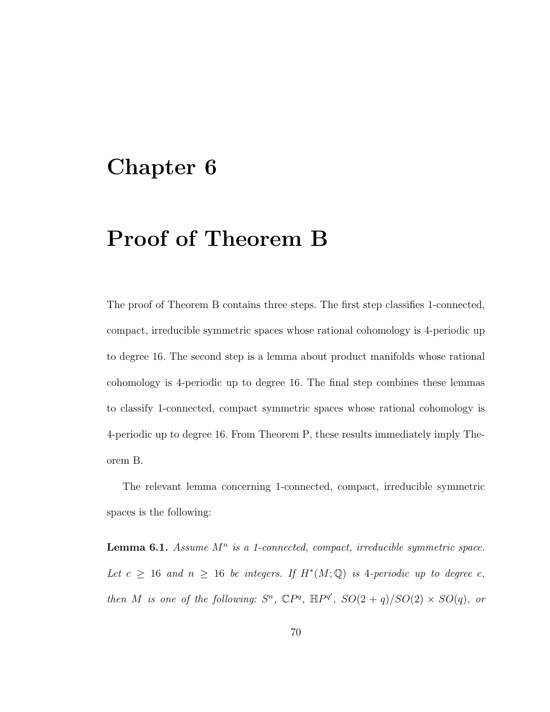#### Chapter 6

### Proof of Theorem B

The proof of Theorem B contains three steps. The first step classifies 1-connected, compact, irreducible symmetric spaces whose rational cohomology is 4-periodic up to degree 16. The second step is a lemma about product manifolds whose rational cohomology is 4-periodic up to degree 16. The final step combines these lemmas to classify 1-connected, compact symmetric spaces whose rational cohomology is 4-periodic up to degree 16. From Theorem P, these results immediately imply Theorem B.

The relevant lemma concerning 1-connected, compact, irreducible symmetric spaces is the following:

**Lemma 6.1.** Assume  $M^n$  is a 1-connected, compact, irreducible symmetric space. Let  $c \geq 16$  and  $n \geq 16$  be integers. If  $H^*(M; \mathbb{Q})$  is 4-periodic up to degree c, then M is one of the following:  $S^n$ ,  $\mathbb{C}P^q$ ,  $\mathbb{H}P^{q'}$ ,  $SO(2+q)/SO(2)\times SO(q)$ , or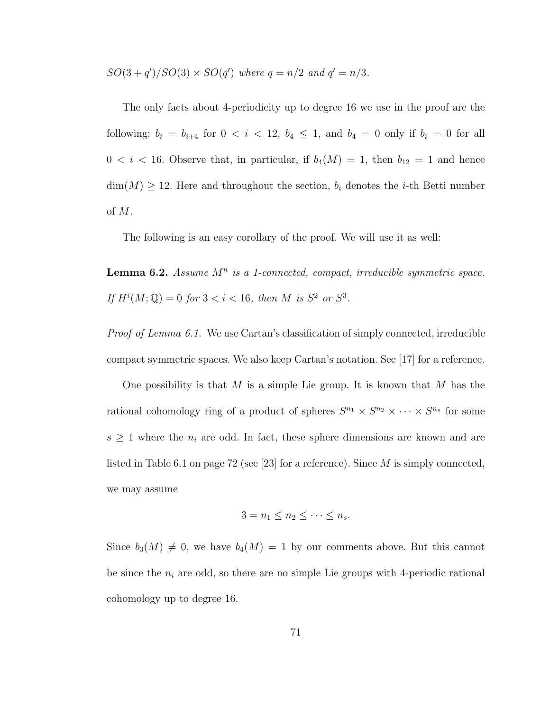$SO(3+q')/SO(3) \times SO(q')$  where  $q=n/2$  and  $q'=n/3$ .

The only facts about 4-periodicity up to degree 16 we use in the proof are the following:  $b_i = b_{i+4}$  for  $0 < i < 12$ ,  $b_4 \le 1$ , and  $b_4 = 0$  only if  $b_i = 0$  for all  $0 < i < 16$ . Observe that, in particular, if  $b_4(M) = 1$ , then  $b_{12} = 1$  and hence  $\dim(M) \geq 12$ . Here and throughout the section,  $b_i$  denotes the *i*-th Betti number of M.

The following is an easy corollary of the proof. We will use it as well:

**Lemma 6.2.** Assume  $M^n$  is a 1-connected, compact, irreducible symmetric space. If  $H^{i}(M; \mathbb{Q}) = 0$  for  $3 < i < 16$ , then M is  $S^2$  or  $S^3$ .

*Proof of Lemma 6.1.* We use Cartan's classification of simply connected, irreducible compact symmetric spaces. We also keep Cartan's notation. See [17] for a reference.

One possibility is that  $M$  is a simple Lie group. It is known that  $M$  has the rational cohomology ring of a product of spheres  $S^{n_1} \times S^{n_2} \times \cdots \times S^{n_s}$  for some  $s \geq 1$  where the  $n_i$  are odd. In fact, these sphere dimensions are known and are listed in Table 6.1 on page 72 (see [23] for a reference). Since  $M$  is simply connected, we may assume

$$
3 = n_1 \le n_2 \le \cdots \le n_s.
$$

Since  $b_3(M) \neq 0$ , we have  $b_4(M) = 1$  by our comments above. But this cannot be since the  $n_i$  are odd, so there are no simple Lie groups with 4-periodic rational cohomology up to degree 16.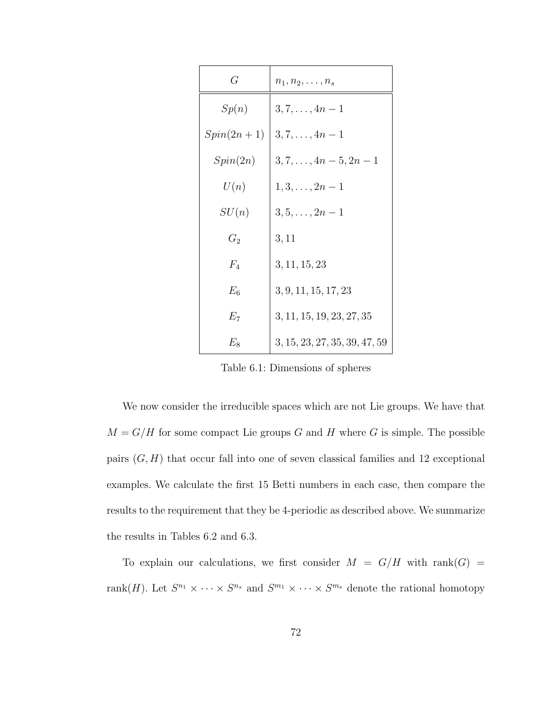| G            | $n_1, n_2, \ldots, n_s$       |
|--------------|-------------------------------|
| Sp(n)        | $3, 7, \ldots, 4n - 1$        |
| $Spin(2n+1)$ | $3, 7, \ldots, 4n - 1$        |
| Spin(2n)     | $3, 7, \ldots, 4n-5, 2n-1$    |
| U(n)         | $1, 3, \ldots, 2n-1$          |
| SU(n)        | $3, 5, \ldots, 2n-1$          |
| $G_2$        | 3, 11                         |
| $F_{4}$      | 3, 11, 15, 23                 |
| $E_{6}$      | 3, 9, 11, 15, 17, 23          |
| $E_7$        | 3, 11, 15, 19, 23, 27, 35     |
| $E_8$        | 3, 15, 23, 27, 35, 39, 47, 59 |

Table 6.1: Dimensions of spheres

We now consider the irreducible spaces which are not Lie groups. We have that  $M = G/H$  for some compact Lie groups G and H where G is simple. The possible pairs  $(G, H)$  that occur fall into one of seven classical families and 12 exceptional examples. We calculate the first 15 Betti numbers in each case, then compare the results to the requirement that they be 4-periodic as described above. We summarize the results in Tables 6.2 and 6.3.

To explain our calculations, we first consider  $M = G/H$  with  $\text{rank}(G)$  = rank $(H)$ . Let  $S^{n_1} \times \cdots \times S^{n_s}$  and  $S^{m_1} \times \cdots \times S^{m_s}$  denote the rational homotopy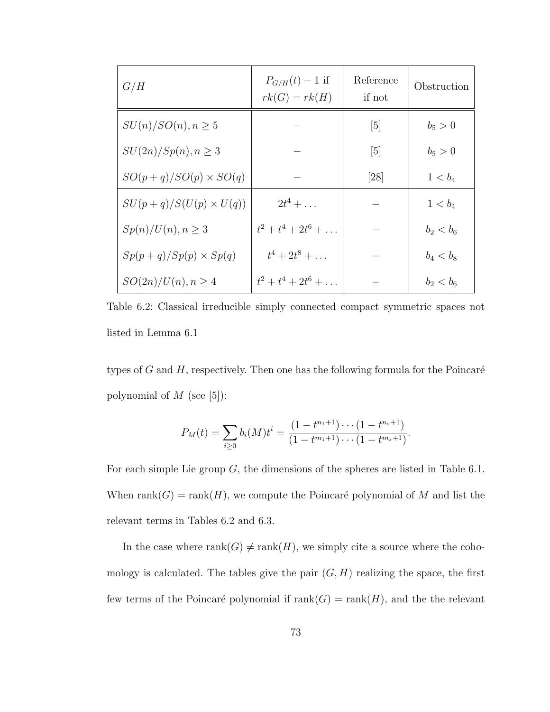| G/H                          | $P_{G/H}(t) - 1$ if<br>$rk(G)=rk(H)$ | Reference<br>if not | Obstruction |
|------------------------------|--------------------------------------|---------------------|-------------|
| $SU(n)/SO(n), n \geq 5$      |                                      | $\lceil 5 \rceil$   | $b_5 > 0$   |
| $SU(2n)/Sp(n), n \geq 3$     |                                      | [5]                 | $b_5 > 0$   |
| $SO(p+q)/SO(p) \times SO(q)$ |                                      | [28]                | $1 < b_4$   |
| $SU(p+q)/S(U(p)\times U(q))$ | $2t^4 + \ldots$                      |                     | $1 < b_4$   |
| $Sp(n)/U(n), n \geq 3$       | $t^2+t^4+2t^6+\ldots$                |                     | $b_2 < b_6$ |
| $Sp(p+q)/Sp(p) \times Sp(q)$ | $t^4 + 2t^8 + \ldots$                |                     | $b_4 < b_8$ |
| $SO(2n)/U(n), n \geq 4$      | $t^2 + t^4 + 2t^6 + \ldots$          |                     | $b_2 < b_6$ |

Table 6.2: Classical irreducible simply connected compact symmetric spaces not listed in Lemma 6.1

types of  $G$  and  $H$ , respectively. Then one has the following formula for the Poincaré polynomial of  $M$  (see [5]):

$$
P_M(t) = \sum_{i \geq 0} b_i(M)t^i = \frac{(1 - t^{n_1 + 1}) \cdots (1 - t^{n_s + 1})}{(1 - t^{m_1 + 1}) \cdots (1 - t^{m_s + 1})}.
$$

For each simple Lie group  $G$ , the dimensions of the spheres are listed in Table 6.1. When rank $(G) = \text{rank}(H)$ , we compute the Poincaré polynomial of M and list the relevant terms in Tables 6.2 and 6.3.

In the case where  $rank(G) \neq rank(H)$ , we simply cite a source where the cohomology is calculated. The tables give the pair  $(G, H)$  realizing the space, the first few terms of the Poincaré polynomial if  $rank(G) = rank(H)$ , and the the relevant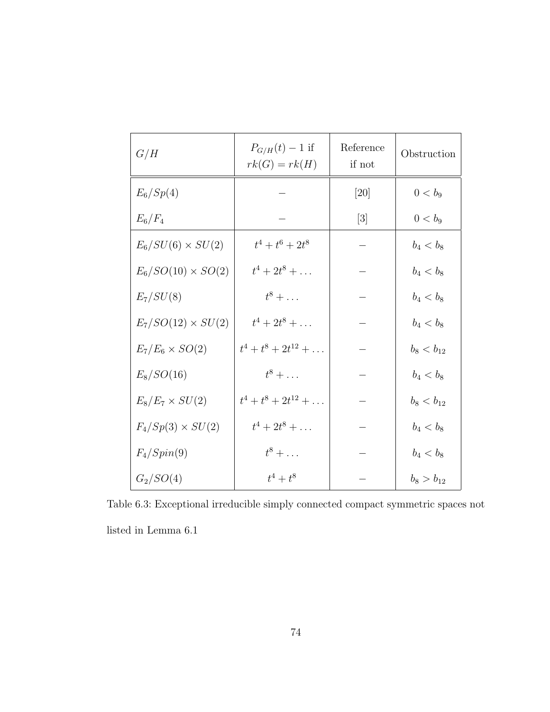| G/H                      | $P_{G/H}(t) - 1$ if<br>$rk(G)=rk(H)$ | Reference<br>if not | Obstruction    |
|--------------------------|--------------------------------------|---------------------|----------------|
| $E_6/Sp(4)$              |                                      | [20]                | $0 < b_9$      |
| $E_6/F_4$                |                                      | $[3]$               | $0 < b_9$      |
| $E_6/SU(6)\times SU(2)$  | $t^4 + t^6 + 2t^8$                   |                     | $b_4 < b_8$    |
| $E_6/SO(10)\times SO(2)$ | $t^4 + 2t^8 + \ldots$                |                     | $b_4 < b_8$    |
| $E_7/SU(8)$              | $t^8 + \ldots$                       |                     | $b_4 < b_8$    |
| $E_7/SO(12)\times SU(2)$ | $t^4 + 2t^8 + \ldots$                |                     | $b_4 < b_8$    |
| $E_7/E_6 \times SO(2)$   | $t^4 + t^8 + 2t^{12} + \ldots$       |                     | $b_8 < b_{12}$ |
| $E_8/SO(16)$             | $t^8 + \ldots$                       |                     | $b_4 < b_8$    |
| $E_8/E_7 \times SU(2)$   | $t^4 + t^8 + 2t^{12} + \ldots$       |                     | $b_8 < b_{12}$ |
| $F_4/Sp(3) \times SU(2)$ | $t^4 + 2t^8 + \ldots$                |                     | $b_4 < b_8$    |
| $F_4/Spin(9)$            | $t^8 + \ldots$                       |                     | $b_4 < b_8$    |
| $G_2/SO(4)$              | $t^4 + t^8$                          |                     | $b_8 > b_{12}$ |

Table 6.3: Exceptional irreducible simply connected compact symmetric spaces not listed in Lemma 6.1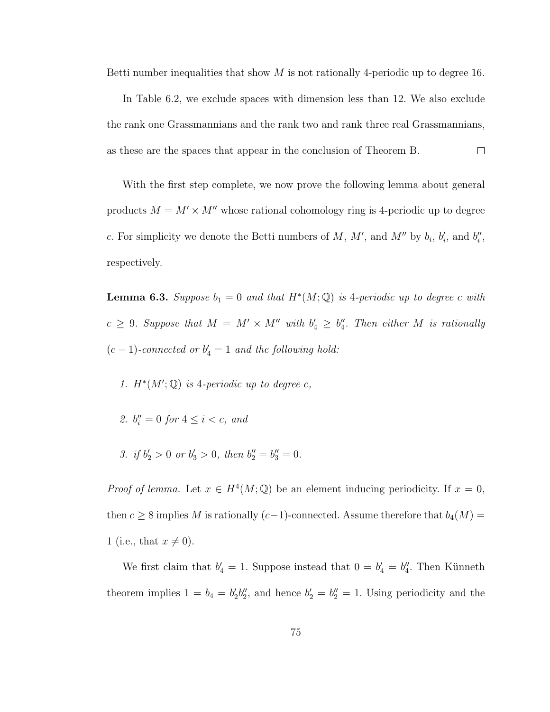Betti number inequalities that show  $M$  is not rationally 4-periodic up to degree 16.

In Table 6.2, we exclude spaces with dimension less than 12. We also exclude the rank one Grassmannians and the rank two and rank three real Grassmannians, as these are the spaces that appear in the conclusion of Theorem B.  $\Box$ 

With the first step complete, we now prove the following lemma about general products  $M = M' \times M''$  whose rational cohomology ring is 4-periodic up to degree c. For simplicity we denote the Betti numbers of M, M', and M'' by  $b_i$ ,  $b'_i$ , and  $b''_i$ , respectively.

**Lemma 6.3.** Suppose  $b_1 = 0$  and that  $H^*(M; \mathbb{Q})$  is 4-periodic up to degree c with  $c \geq 9$ . Suppose that  $M = M' \times M''$  with  $b'_4 \geq b''_4$ . Then either M is rationally  $(c-1)$ -connected or  $b'_4 = 1$  and the following hold:

- 1.  $H^*(M';\mathbb{Q})$  is 4-periodic up to degree c,
- 2.  $b_i'' = 0$  for  $4 \le i < c$ , and
- 3. if  $b'_2 > 0$  or  $b'_3 > 0$ , then  $b''_2 = b''_3 = 0$ .

*Proof of lemma.* Let  $x \in H^4(M; \mathbb{Q})$  be an element inducing periodicity. If  $x = 0$ , then  $c \geq 8$  implies M is rationally  $(c-1)$ -connected. Assume therefore that  $b_4(M)$  = 1 (i.e., that  $x \neq 0$ ).

We first claim that  $b'_4 = 1$ . Suppose instead that  $0 = b'_4 = b''_4$ . Then Künneth theorem implies  $1 = b_4 = b'_2 b''_2$ , and hence  $b'_2 = b''_2 = 1$ . Using periodicity and the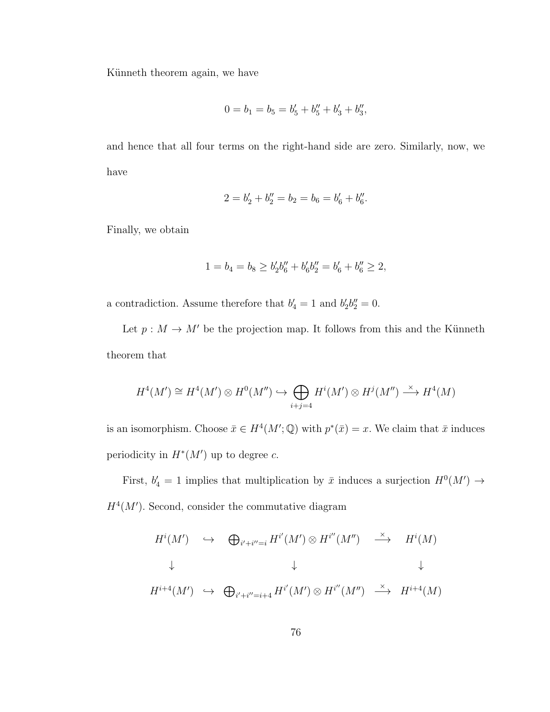Künneth theorem again, we have

$$
0 = b_1 = b_5 = b'_5 + b''_5 + b'_3 + b''_3,
$$

and hence that all four terms on the right-hand side are zero. Similarly, now, we have

$$
2 = b'_2 + b''_2 = b_2 = b_6 = b'_6 + b''_6.
$$

Finally, we obtain

$$
1 = b_4 = b_8 \ge b_2'b_6'' + b_6'b_2'' = b_6' + b_6'' \ge 2,
$$

a contradiction. Assume therefore that  $b'_4 = 1$  and  $b'_2b''_2 = 0$ .

Let  $p : M \to M'$  be the projection map. It follows from this and the Künneth theorem that

$$
H^4(M') \cong H^4(M') \otimes H^0(M'') \hookrightarrow \bigoplus_{i+j=4} H^i(M') \otimes H^j(M'') \xrightarrow{\times} H^4(M)
$$

is an isomorphism. Choose  $\bar{x} \in H^4(M';\mathbb{Q})$  with  $p^*(\bar{x}) = x$ . We claim that  $\bar{x}$  induces periodicity in  $H^*(M')$  up to degree c.

First,  $b'_4 = 1$  implies that multiplication by  $\bar{x}$  induces a surjection  $H^0(M') \to$  $H^4(M')$ . Second, consider the commutative diagram

$$
H^{i}(M') \leftrightarrow \bigoplus_{i'+i''=i} H^{i'}(M') \otimes H^{i''}(M'') \xrightarrow{\times} H^{i}(M)
$$
  
\n
$$
\downarrow \qquad \qquad \downarrow
$$
  
\n
$$
H^{i+4}(M') \leftrightarrow \bigoplus_{i'+i''=i+4} H^{i'}(M') \otimes H^{i''}(M'') \xrightarrow{\times} H^{i+4}(M)
$$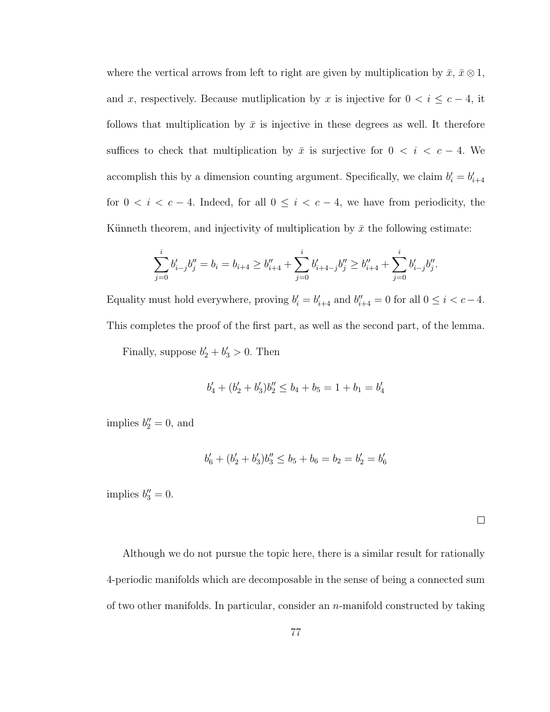where the vertical arrows from left to right are given by multiplication by  $\bar{x}, \bar{x} \otimes 1$ , and x, respectively. Because mutliplication by x is injective for  $0 < i \leq c-4$ , it follows that multiplication by  $\bar{x}$  is injective in these degrees as well. It therefore suffices to check that multiplication by  $\bar{x}$  is surjective for  $0 < i < c - 4$ . We accomplish this by a dimension counting argument. Specifically, we claim  $b_i' = b_{i+4}'$ for  $0 < i < c - 4$ . Indeed, for all  $0 \le i < c - 4$ , we have from periodicity, the Künneth theorem, and injectivity of multiplication by  $\bar{x}$  the following estimate:

$$
\sum_{j=0}^i b'_{i-j} b''_j = b_i = b_{i+4} \ge b''_{i+4} + \sum_{j=0}^i b'_{i+4-j} b''_j \ge b''_{i+4} + \sum_{j=0}^i b'_{i-j} b''_j.
$$

Equality must hold everywhere, proving  $b'_i = b'_{i+4}$  and  $b''_{i+4} = 0$  for all  $0 \le i < c-4$ . This completes the proof of the first part, as well as the second part, of the lemma.

Finally, suppose  $b'_2 + b'_3 > 0$ . Then

$$
b'_4 + (b'_2 + b'_3)b''_2 \le b_4 + b_5 = 1 + b_1 = b'_4
$$

implies  $b_2'' = 0$ , and

$$
b'_6 + (b'_2 + b'_3)b''_3 \le b_5 + b_6 = b_2 = b'_2 = b'_6
$$

implies  $b_3'' = 0$ .

 $\Box$ 

Although we do not pursue the topic here, there is a similar result for rationally 4-periodic manifolds which are decomposable in the sense of being a connected sum of two other manifolds. In particular, consider an  $n$ -manifold constructed by taking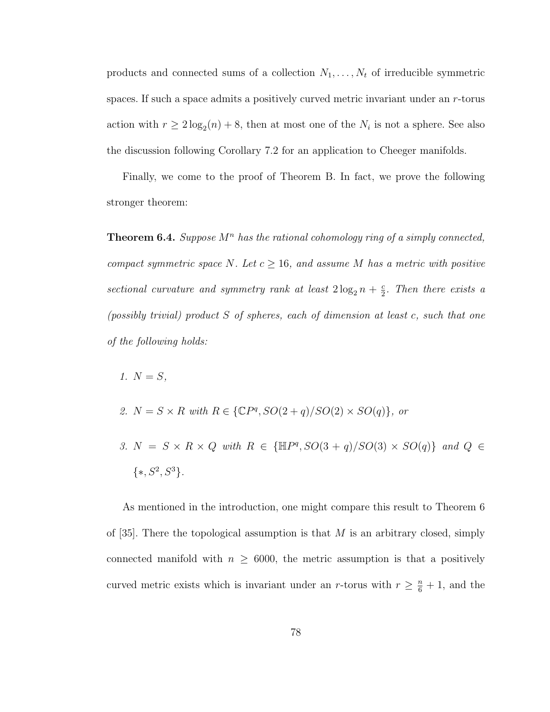products and connected sums of a collection  $N_1, \ldots, N_t$  of irreducible symmetric spaces. If such a space admits a positively curved metric invariant under an r-torus action with  $r \geq 2 \log_2(n) + 8$ , then at most one of the  $N_i$  is not a sphere. See also the discussion following Corollary 7.2 for an application to Cheeger manifolds.

Finally, we come to the proof of Theorem B. In fact, we prove the following stronger theorem:

**Theorem 6.4.** Suppose  $M^n$  has the rational cohomology ring of a simply connected, compact symmetric space N. Let  $c \geq 16$ , and assume M has a metric with positive sectional curvature and symmetry rank at least  $2\log_2 n + \frac{c}{2}$  $\frac{c}{2}$ . Then there exists a (possibly trivial) product S of spheres, each of dimension at least c, such that one of the following holds:

- 1.  $N = S$ ,
- 2.  $N = S \times R$  with  $R \in \{ \mathbb{C}P^q, SO(2+q)/SO(2) \times SO(q) \}$ , or
- 3.  $N = S \times R \times Q$  with  $R \in \{\mathbb{H}P^q, SO(3+q)/SO(3) \times SO(q)\}\$  and  $Q \in$  $\{*, S^2, S^3\}.$

As mentioned in the introduction, one might compare this result to Theorem 6 of [35]. There the topological assumption is that  $M$  is an arbitrary closed, simply connected manifold with  $n \geq 6000$ , the metric assumption is that a positively curved metric exists which is invariant under an r-torus with  $r \geq \frac{n}{6} + 1$ , and the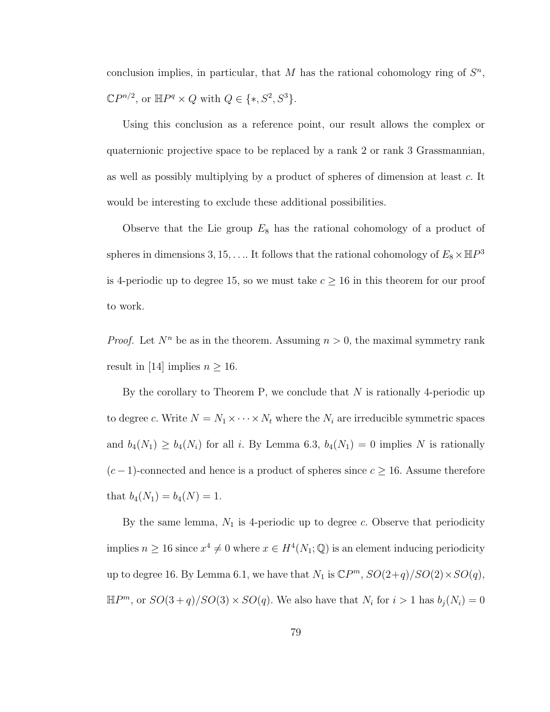conclusion implies, in particular, that M has the rational cohomology ring of  $S<sup>n</sup>$ ,  $\mathbb{C}P^{n/2}$ , or  $\mathbb{H}P^q \times Q$  with  $Q \in \{*, S^2, S^3\}.$ 

Using this conclusion as a reference point, our result allows the complex or quaternionic projective space to be replaced by a rank 2 or rank 3 Grassmannian, as well as possibly multiplying by a product of spheres of dimension at least c. It would be interesting to exclude these additional possibilities.

Observe that the Lie group  $E_8$  has the rational cohomology of a product of spheres in dimensions 3, 15, ... It follows that the rational cohomology of  $E_8 \times \mathbb{H}P^3$ is 4-periodic up to degree 15, so we must take  $c \geq 16$  in this theorem for our proof to work.

*Proof.* Let  $N^n$  be as in the theorem. Assuming  $n > 0$ , the maximal symmetry rank result in [14] implies  $n \geq 16$ .

By the corollary to Theorem P, we conclude that  $N$  is rationally 4-periodic up to degree c. Write  $N = N_1 \times \cdots \times N_t$  where the  $N_i$  are irreducible symmetric spaces and  $b_4(N_1) \geq b_4(N_i)$  for all i. By Lemma 6.3,  $b_4(N_1) = 0$  implies N is rationally  $(c-1)$ -connected and hence is a product of spheres since  $c \ge 16$ . Assume therefore that  $b_4(N_1) = b_4(N) = 1$ .

By the same lemma,  $N_1$  is 4-periodic up to degree c. Observe that periodicity implies  $n \geq 16$  since  $x^4 \neq 0$  where  $x \in H^4(N_1; \mathbb{Q})$  is an element inducing periodicity up to degree 16. By Lemma 6.1, we have that  $N_1$  is  $\mathbb{C}P^m$ ,  $SO(2+q)/SO(2)\times SO(q)$ ,  $\mathbb{H}P^{m}$ , or  $SO(3+q)/SO(3)\times SO(q)$ . We also have that  $N_i$  for  $i>1$  has  $b_j(N_i)=0$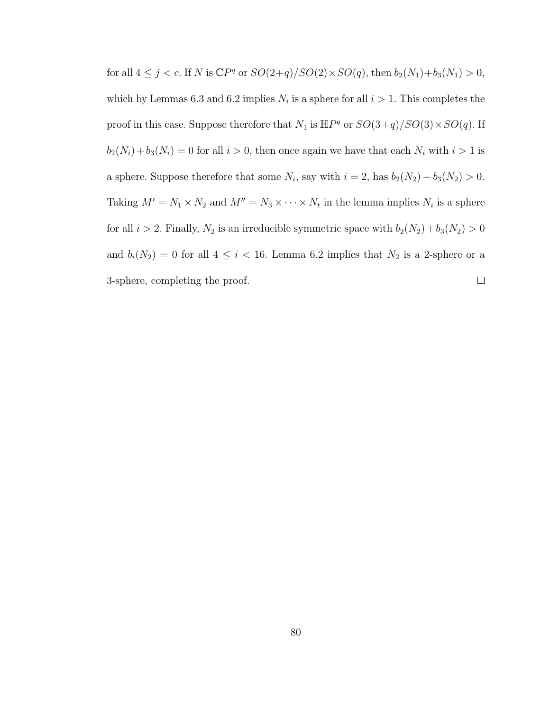for all  $4 \leq j < c$ . If N is  $\mathbb{C}P^q$  or  $SO(2+q)/SO(2) \times SO(q)$ , then  $b_2(N_1)+b_3(N_1) > 0$ , which by Lemmas 6.3 and 6.2 implies  $N_i$  is a sphere for all  $i > 1$ . This completes the proof in this case. Suppose therefore that  $N_1$  is  $\mathbb{H}P^q$  or  $SO(3+q)/SO(3)\times SO(q)$ . If  $b_2(N_i) + b_3(N_i) = 0$  for all  $i > 0$ , then once again we have that each  $N_i$  with  $i > 1$  is a sphere. Suppose therefore that some  $N_i$ , say with  $i = 2$ , has  $b_2(N_2) + b_3(N_2) > 0$ . Taking  $M' = N_1 \times N_2$  and  $M'' = N_3 \times \cdots \times N_t$  in the lemma implies  $N_i$  is a sphere for all  $i > 2$ . Finally,  $N_2$  is an irreducible symmetric space with  $b_2(N_2) + b_3(N_2) > 0$ and  $b_i(N_2) = 0$  for all  $4 \leq i < 16$ . Lemma 6.2 implies that  $N_2$  is a 2-sphere or a 3-sphere, completing the proof.  $\Box$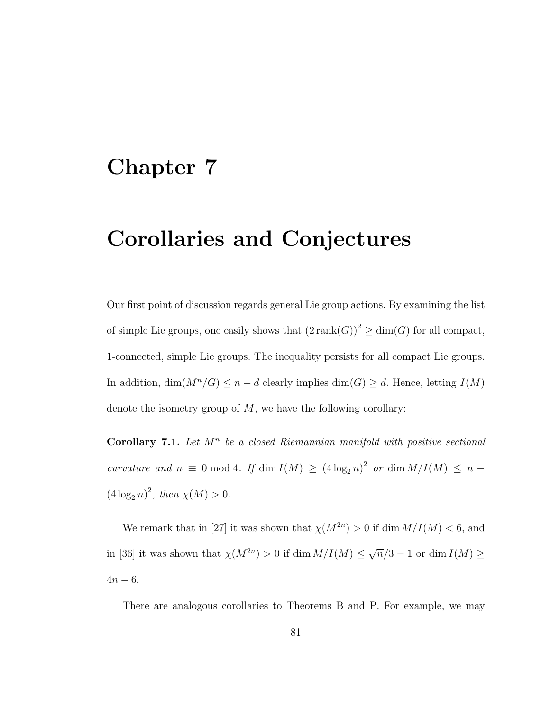### Chapter 7

# Corollaries and Conjectures

Our first point of discussion regards general Lie group actions. By examining the list of simple Lie groups, one easily shows that  $(2\operatorname{rank}(G))^2 \ge \dim(G)$  for all compact, 1-connected, simple Lie groups. The inequality persists for all compact Lie groups. In addition,  $\dim(M^n/G) \leq n - d$  clearly implies  $\dim(G) \geq d$ . Hence, letting  $I(M)$ denote the isometry group of  $M$ , we have the following corollary:

Corollary 7.1. Let  $M^n$  be a closed Riemannian manifold with positive sectional curvature and  $n \equiv 0 \mod 4$ . If  $\dim I(M) \ge (4 \log_2 n)^2$  or  $\dim M/I(M) \le n$  $(4 \log_2 n)^2$ , then  $\chi(M) > 0$ .

We remark that in [27] it was shown that  $\chi(M^{2n}) > 0$  if dim  $M/I(M) < 6$ , and in [36] it was shown that  $\chi(M^{2n}) > 0$  if dim  $M/I(M) \leq$ √  $\overline{n}/3 - 1$  or dim  $I(M) \geq$  $4n - 6$ .

There are analogous corollaries to Theorems B and P. For example, we may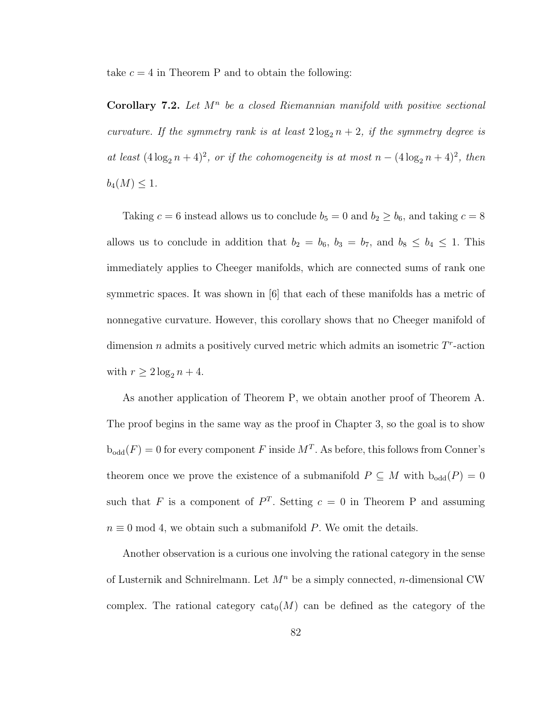take  $c = 4$  in Theorem P and to obtain the following:

Corollary 7.2. Let  $M^n$  be a closed Riemannian manifold with positive sectional curvature. If the symmetry rank is at least  $2 \log_2 n + 2$ , if the symmetry degree is at least  $(4\log_2 n + 4)^2$ , or if the cohomogeneity is at most  $n - (4\log_2 n + 4)^2$ , then  $b_4(M) \leq 1.$ 

Taking  $c = 6$  instead allows us to conclude  $b_5 = 0$  and  $b_2 \ge b_6$ , and taking  $c = 8$ allows us to conclude in addition that  $b_2 = b_6$ ,  $b_3 = b_7$ , and  $b_8 \le b_4 \le 1$ . This immediately applies to Cheeger manifolds, which are connected sums of rank one symmetric spaces. It was shown in [6] that each of these manifolds has a metric of nonnegative curvature. However, this corollary shows that no Cheeger manifold of dimension  $n$  admits a positively curved metric which admits an isometric  $T<sup>r</sup>$ -action with  $r \geq 2 \log_2 n + 4$ .

As another application of Theorem P, we obtain another proof of Theorem A. The proof begins in the same way as the proof in Chapter 3, so the goal is to show  $b_{odd}(F) = 0$  for every component F inside  $M<sup>T</sup>$ . As before, this follows from Conner's theorem once we prove the existence of a submanifold  $P \subseteq M$  with  $b_{odd}(P) = 0$ such that F is a component of  $P<sup>T</sup>$ . Setting  $c = 0$  in Theorem P and assuming  $n \equiv 0 \mod 4$ , we obtain such a submanifold P. We omit the details.

Another observation is a curious one involving the rational category in the sense of Lusternik and Schnirelmann. Let  $M^n$  be a simply connected, *n*-dimensional CW complex. The rational category  $cat_0(M)$  can be defined as the category of the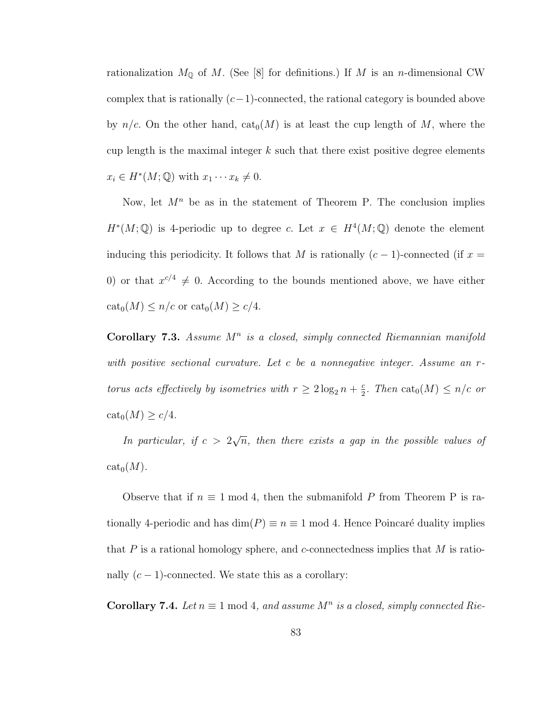rationalization  $M_{\mathbb{Q}}$  of M. (See [8] for definitions.) If M is an n-dimensional CW complex that is rationally  $(c-1)$ -connected, the rational category is bounded above by  $n/c$ . On the other hand,  $\text{cat}_0(M)$  is at least the cup length of M, where the cup length is the maximal integer  $k$  such that there exist positive degree elements  $x_i \in H^*(M; \mathbb{Q})$  with  $x_1 \cdots x_k \neq 0$ .

Now, let  $M^n$  be as in the statement of Theorem P. The conclusion implies  $H^*(M; \mathbb{Q})$  is 4-periodic up to degree c. Let  $x \in H^4(M; \mathbb{Q})$  denote the element inducing this periodicity. It follows that M is rationally  $(c-1)$ -connected (if  $x =$ 0) or that  $x^{c/4} \neq 0$ . According to the bounds mentioned above, we have either  $\text{cat}_0(M) \leq n/c$  or  $\text{cat}_0(M) \geq c/4$ .

Corollary 7.3. Assume  $M^n$  is a closed, simply connected Riemannian manifold with positive sectional curvature. Let c be a nonnegative integer. Assume an rtorus acts effectively by isometries with  $r \geq 2 \log_2 n + \frac{c}{2}$  $\frac{c}{2}$ . Then  $\text{cat}_0(M) \leq n/c$  or  $\text{cat}_0(M) \geq c/4.$ 

In particular, if  $c > 2$ √  $\overline{n}$ , then there exists a gap in the possible values of  $cat_0(M)$ .

Observe that if  $n \equiv 1 \mod 4$ , then the submanifold P from Theorem P is rationally 4-periodic and has  $\dim(P) \equiv n \equiv 1 \mod 4$ . Hence Poincaré duality implies that  $P$  is a rational homology sphere, and c-connectedness implies that  $M$  is rationally  $(c-1)$ -connected. We state this as a corollary:

**Corollary 7.4.** Let  $n \equiv 1 \mod 4$ , and assume  $M^n$  is a closed, simply connected Rie-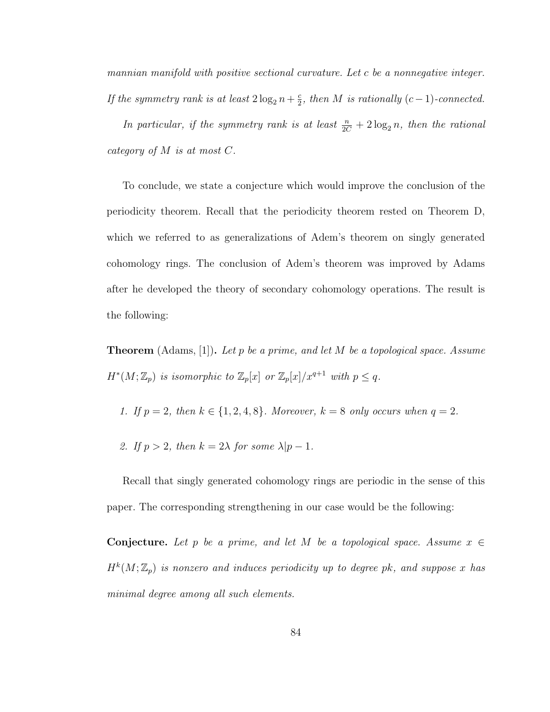mannian manifold with positive sectional curvature. Let c be a nonnegative integer. If the symmetry rank is at least  $2\log_2 n + \frac{c}{2}$  $\frac{c}{2}$ , then M is rationally (c-1)-connected.

In particular, if the symmetry rank is at least  $\frac{n}{2C} + 2\log_2 n$ , then the rational category of M is at most C.

To conclude, we state a conjecture which would improve the conclusion of the periodicity theorem. Recall that the periodicity theorem rested on Theorem D, which we referred to as generalizations of Adem's theorem on singly generated cohomology rings. The conclusion of Adem's theorem was improved by Adams after he developed the theory of secondary cohomology operations. The result is the following:

**Theorem** (Adams, [1]). Let p be a prime, and let M be a topological space. Assume  $H^*(M; \mathbb{Z}_p)$  is isomorphic to  $\mathbb{Z}_p[x]$  or  $\mathbb{Z}_p[x]/x^{q+1}$  with  $p \leq q$ .

- 1. If  $p = 2$ , then  $k \in \{1, 2, 4, 8\}$ . Moreover,  $k = 8$  only occurs when  $q = 2$ .
- 2. If  $p > 2$ , then  $k = 2\lambda$  for some  $\lambda | p 1$ .

Recall that singly generated cohomology rings are periodic in the sense of this paper. The corresponding strengthening in our case would be the following:

Conjecture. Let p be a prime, and let M be a topological space. Assume  $x \in$  $H^k(M; \mathbb{Z}_p)$  is nonzero and induces periodicity up to degree pk, and suppose x has minimal degree among all such elements.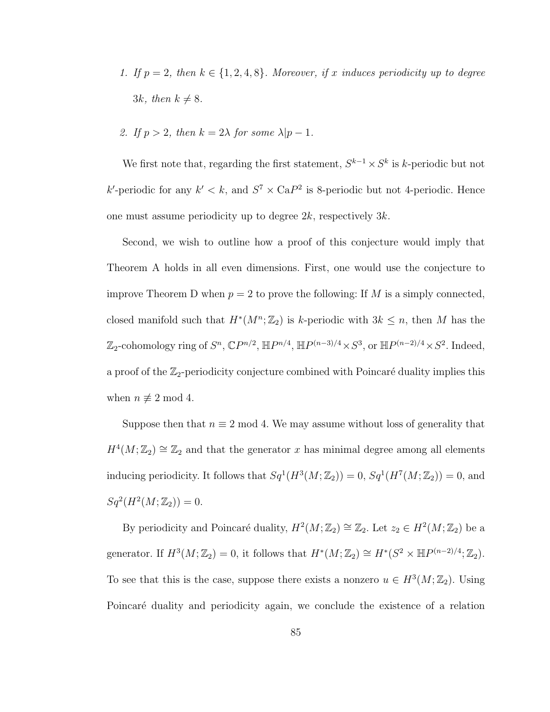- 1. If  $p = 2$ , then  $k \in \{1, 2, 4, 8\}$ . Moreover, if x induces periodicity up to degree 3k, then  $k \neq 8$ .
- 2. If  $p > 2$ , then  $k = 2\lambda$  for some  $\lambda | p 1$ .

We first note that, regarding the first statement,  $S^{k-1} \times S^k$  is k-periodic but not k'-periodic for any  $k' < k$ , and  $S^7 \times \text{Ca}P^2$  is 8-periodic but not 4-periodic. Hence one must assume periodicity up to degree  $2k$ , respectively  $3k$ .

Second, we wish to outline how a proof of this conjecture would imply that Theorem A holds in all even dimensions. First, one would use the conjecture to improve Theorem D when  $p = 2$  to prove the following: If M is a simply connected, closed manifold such that  $H^*(M^n; \mathbb{Z}_2)$  is k-periodic with  $3k \leq n$ , then M has the  $\mathbb{Z}_2$ -cohomology ring of  $S^n$ ,  $\mathbb{C}P^{n/2}$ ,  $\mathbb{H}P^{n/4}$ ,  $\mathbb{H}P^{(n-3)/4}\times S^3$ , or  $\mathbb{H}P^{(n-2)/4}\times S^2$ . Indeed, a proof of the  $\mathbb{Z}_2$ -periodicity conjecture combined with Poincaré duality implies this when  $n \not\equiv 2 \mod 4$ .

Suppose then that  $n \equiv 2 \mod 4$ . We may assume without loss of generality that  $H^4(M; \mathbb{Z}_2) \cong \mathbb{Z}_2$  and that the generator x has minimal degree among all elements inducing periodicity. It follows that  $Sq^1(H^3(M; \mathbb{Z}_2)) = 0$ ,  $Sq^1(H^7(M; \mathbb{Z}_2)) = 0$ , and  $Sq^{2}(H^{2}(M; \mathbb{Z}_{2})) = 0.$ 

By periodicity and Poincaré duality,  $H^2(M; \mathbb{Z}_2) \cong \mathbb{Z}_2$ . Let  $z_2 \in H^2(M; \mathbb{Z}_2)$  be a generator. If  $H^3(M; \mathbb{Z}_2) = 0$ , it follows that  $H^*(M; \mathbb{Z}_2) \cong H^*(S^2 \times \mathbb{H}P^{(n-2)/4}; \mathbb{Z}_2)$ . To see that this is the case, suppose there exists a nonzero  $u \in H^3(M; \mathbb{Z}_2)$ . Using Poincaré duality and periodicity again, we conclude the existence of a relation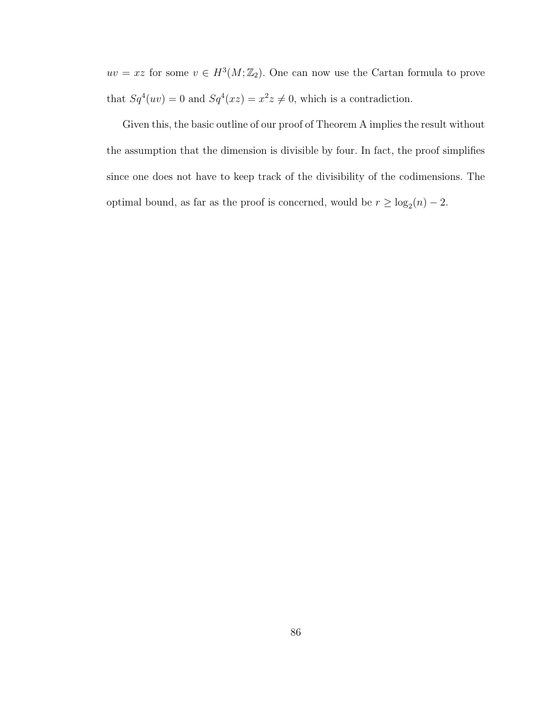$uv = xz$  for some  $v \in H^3(M; \mathbb{Z}_2)$ . One can now use the Cartan formula to prove that  $Sq^{4}(uv) = 0$  and  $Sq^{4}(xz) = x^{2}z \neq 0$ , which is a contradiction.

Given this, the basic outline of our proof of Theorem A implies the result without the assumption that the dimension is divisible by four. In fact, the proof simplifies since one does not have to keep track of the divisibility of the codimensions. The optimal bound, as far as the proof is concerned, would be  $r \geq \log_2(n) - 2$ .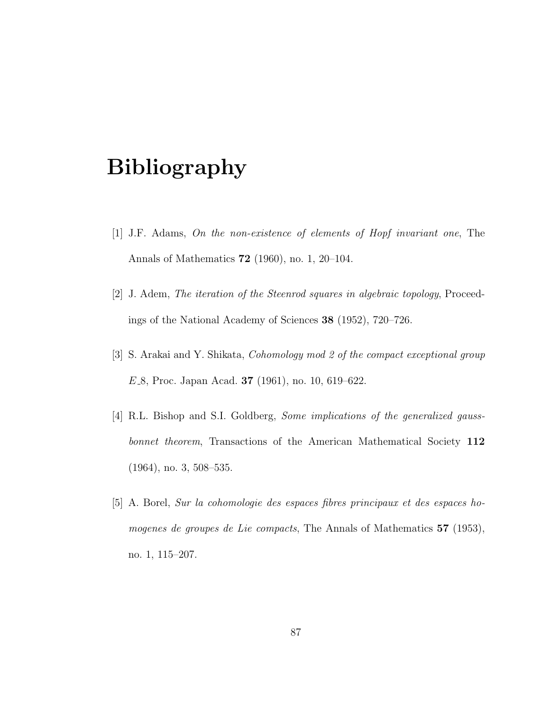# Bibliography

- [1] J.F. Adams, On the non-existence of elements of Hopf invariant one, The Annals of Mathematics 72 (1960), no. 1, 20–104.
- [2] J. Adem, The iteration of the Steenrod squares in algebraic topology, Proceedings of the National Academy of Sciences 38 (1952), 720–726.
- [3] S. Arakai and Y. Shikata, Cohomology mod 2 of the compact exceptional group  $E_8$ , Proc. Japan Acad. **37** (1961), no. 10, 619–622.
- [4] R.L. Bishop and S.I. Goldberg, Some implications of the generalized gaussbonnet theorem, Transactions of the American Mathematical Society 112 (1964), no. 3, 508–535.
- [5] A. Borel, Sur la cohomologie des espaces fibres principaux et des espaces homogenes de groupes de Lie compacts, The Annals of Mathematics 57 (1953), no. 1, 115–207.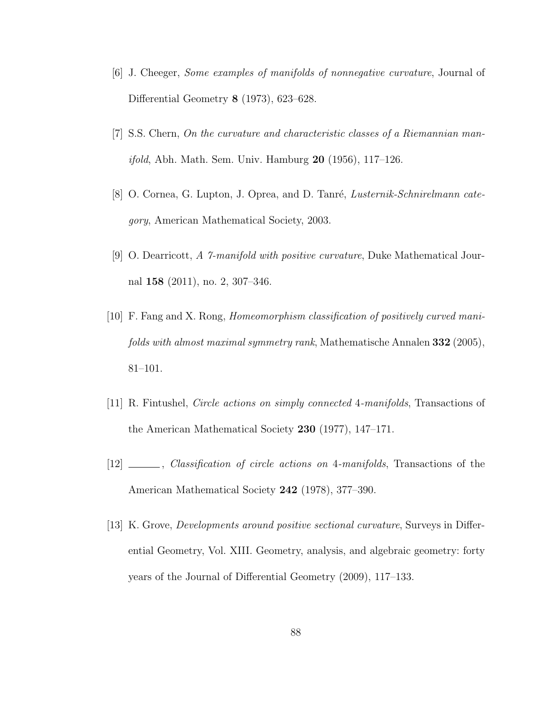- [6] J. Cheeger, Some examples of manifolds of nonnegative curvature, Journal of Differential Geometry 8 (1973), 623–628.
- [7] S.S. Chern, On the curvature and characteristic classes of a Riemannian manifold, Abh. Math. Sem. Univ. Hamburg 20 (1956), 117–126.
- [8] O. Cornea, G. Lupton, J. Oprea, and D. Tanré, Lusternik-Schnirelmann category, American Mathematical Society, 2003.
- [9] O. Dearricott, A 7-manifold with positive curvature, Duke Mathematical Journal 158 (2011), no. 2, 307–346.
- [10] F. Fang and X. Rong, Homeomorphism classification of positively curved manifolds with almost maximal symmetry rank, Mathematische Annalen 332 (2005), 81–101.
- [11] R. Fintushel, Circle actions on simply connected 4-manifolds, Transactions of the American Mathematical Society 230 (1977), 147–171.
- [12] , Classification of circle actions on 4-manifolds, Transactions of the American Mathematical Society 242 (1978), 377–390.
- [13] K. Grove, Developments around positive sectional curvature, Surveys in Differential Geometry, Vol. XIII. Geometry, analysis, and algebraic geometry: forty years of the Journal of Differential Geometry (2009), 117–133.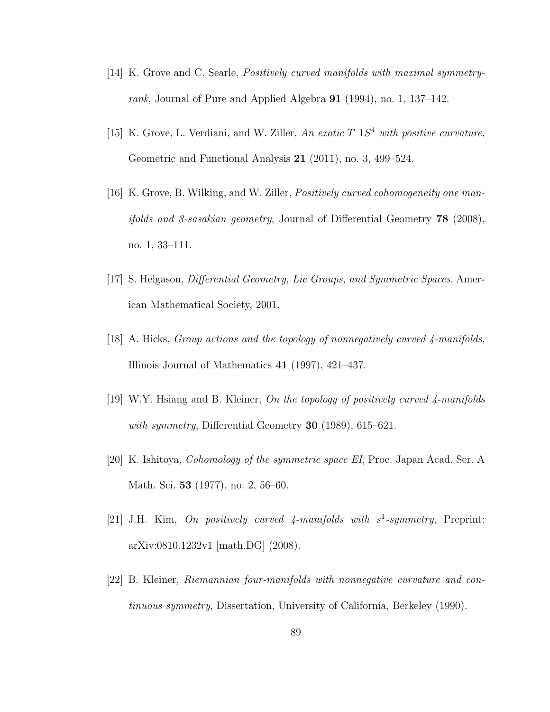- [14] K. Grove and C. Searle, Positively curved manifolds with maximal symmetryrank, Journal of Pure and Applied Algebra 91 (1994), no. 1, 137–142.
- [15] K. Grove, L. Verdiani, and W. Ziller, An exotic  $T_{-1}S^4$  with positive curvature, Geometric and Functional Analysis 21 (2011), no. 3, 499–524.
- [16] K. Grove, B. Wilking, and W. Ziller, *Positively curved cohomogeneity one manifolds and 3-sasakian geometry*, Journal of Differential Geometry  $78$  (2008), no. 1, 33–111.
- [17] S. Helgason, *Differential Geometry, Lie Groups, and Symmetric Spaces*, American Mathematical Society, 2001.
- $[18]$  A. Hicks, *Group actions and the topology of nonnegatively curved 4-manifolds*, Illinois Journal of Mathematics 41 (1997), 421–437.
- [19] W.Y. Hsiang and B. Kleiner, On the topology of positively curved 4-manifolds with symmetry, Differential Geometry 30 (1989), 615–621.
- [20] K. Ishitoya, Cohomology of the symmetric space EI, Proc. Japan Acad. Ser. A Math. Sci. 53 (1977), no. 2, 56–60.
- [21] J.H. Kim, On positively curved  $\frac{4}{7}$ -manifolds with  $s^1$ -symmetry, Preprint: arXiv:0810.1232v1 [math.DG] (2008).
- [22] B. Kleiner, Riemannian four-manifolds with nonnegative curvature and continuous symmetry, Dissertation, University of California, Berkeley (1990).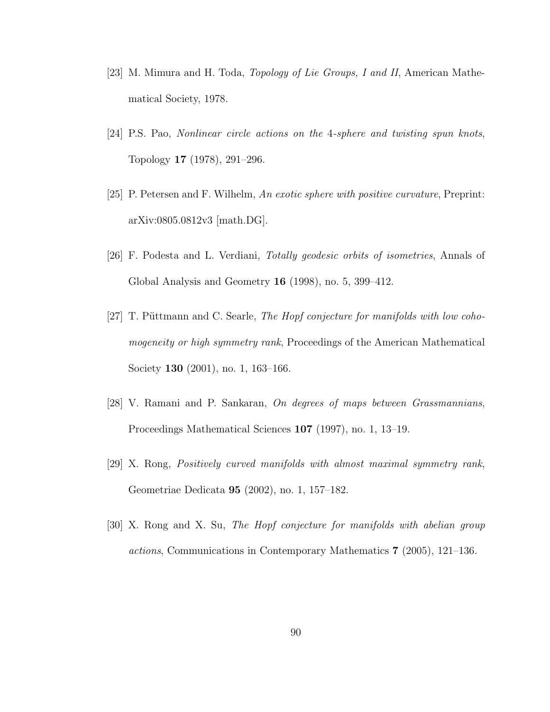- [23] M. Mimura and H. Toda, Topology of Lie Groups, I and II, American Mathematical Society, 1978.
- [24] P.S. Pao, Nonlinear circle actions on the 4-sphere and twisting spun knots, Topology 17 (1978), 291–296.
- [25] P. Petersen and F. Wilhelm, An exotic sphere with positive curvature, Preprint: arXiv:0805.0812v3 [math.DG].
- [26] F. Podesta and L. Verdiani, Totally geodesic orbits of isometries, Annals of Global Analysis and Geometry 16 (1998), no. 5, 399–412.
- [27] T. Püttmann and C. Searle, The Hopf conjecture for manifolds with low cohomogeneity or high symmetry rank, Proceedings of the American Mathematical Society **130** (2001), no. 1, 163-166.
- [28] V. Ramani and P. Sankaran, On degrees of maps between Grassmannians, Proceedings Mathematical Sciences 107 (1997), no. 1, 13–19.
- [29] X. Rong, Positively curved manifolds with almost maximal symmetry rank, Geometriae Dedicata 95 (2002), no. 1, 157–182.
- [30] X. Rong and X. Su, The Hopf conjecture for manifolds with abelian group actions, Communications in Contemporary Mathematics 7 (2005), 121–136.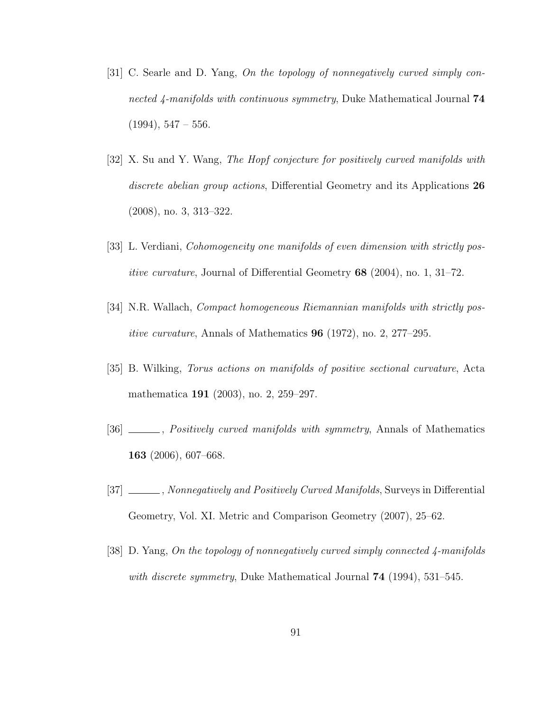- [31] C. Searle and D. Yang, On the topology of nonnegatively curved simply connected 4-manifolds with continuous symmetry, Duke Mathematical Journal 74  $(1994), 547 - 556.$
- [32] X. Su and Y. Wang, The Hopf conjecture for positively curved manifolds with discrete abelian group actions, Differential Geometry and its Applications 26 (2008), no. 3, 313–322.
- [33] L. Verdiani, Cohomogeneity one manifolds of even dimension with strictly positive curvature, Journal of Differential Geometry 68 (2004), no. 1, 31–72.
- [34] N.R. Wallach, Compact homogeneous Riemannian manifolds with strictly positive curvature, Annals of Mathematics 96 (1972), no. 2, 277–295.
- [35] B. Wilking, Torus actions on manifolds of positive sectional curvature, Acta mathematica 191 (2003), no. 2, 259–297.
- [36] \_\_\_\_, *Positively curved manifolds with symmetry*, Annals of Mathematics 163 (2006), 607–668.
- [37] \_\_\_\_\_\_, Nonnegatively and Positively Curved Manifolds, Surveys in Differential Geometry, Vol. XI. Metric and Comparison Geometry (2007), 25–62.
- [38] D. Yang, On the topology of nonnegatively curved simply connected 4-manifolds with discrete symmetry, Duke Mathematical Journal 74 (1994), 531–545.